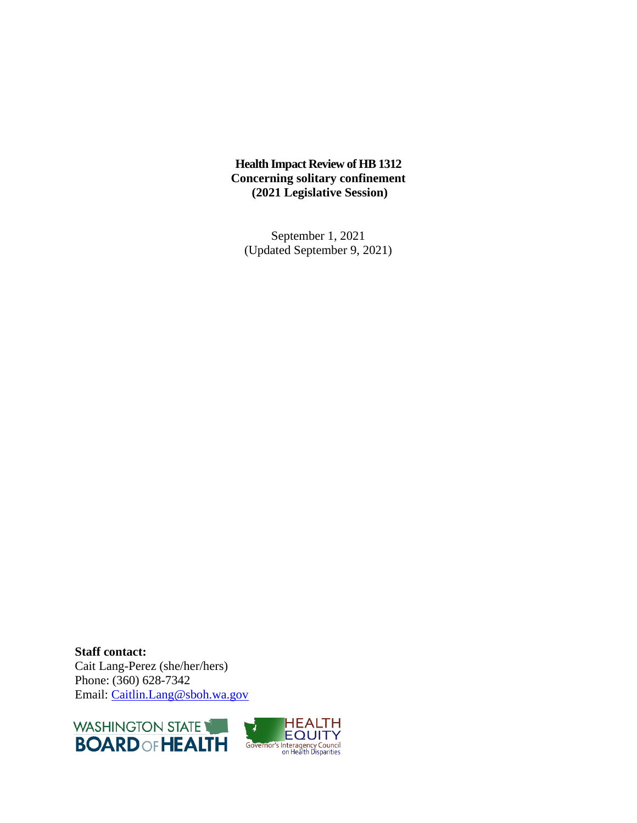## **Health Impact Review of HB 1312 Concerning solitary confinement (2021 Legislative Session)**

September 1, 2021 (Updated September 9, 2021)

**Staff contact:** Cait Lang-Perez (she/her/hers) Phone: (360) 628-7342 Email: [Caitlin.Lang@sboh.wa.gov](mailto:Caitlin.Lang@sboh.wa.gov)



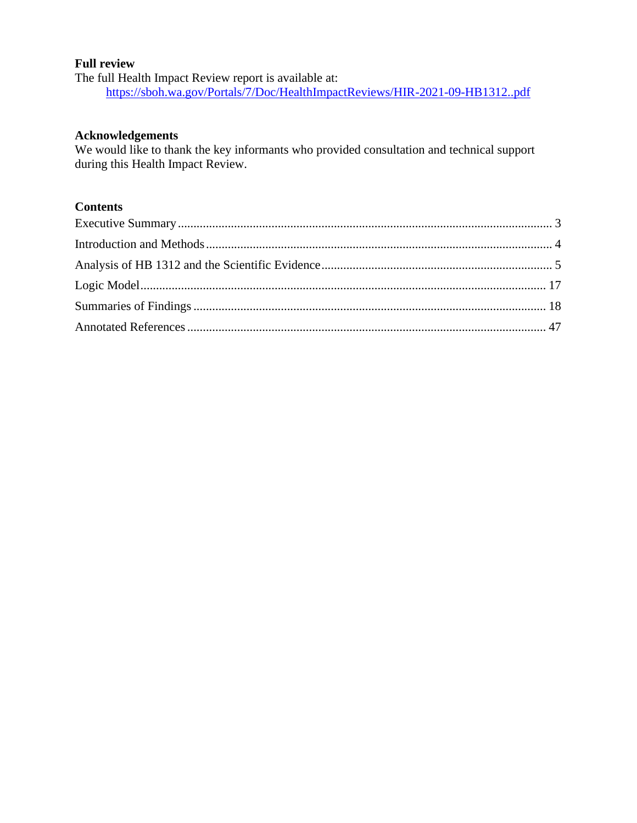### **Full review**

The full Health Impact Review report is available at: <https://sboh.wa.gov/Portals/7/Doc/HealthImpactReviews/HIR-2021-09-HB1312..pdf>

#### **Acknowledgements**

We would like to thank the key informants who provided consultation and technical support during this Health Impact Review.

# **Contents**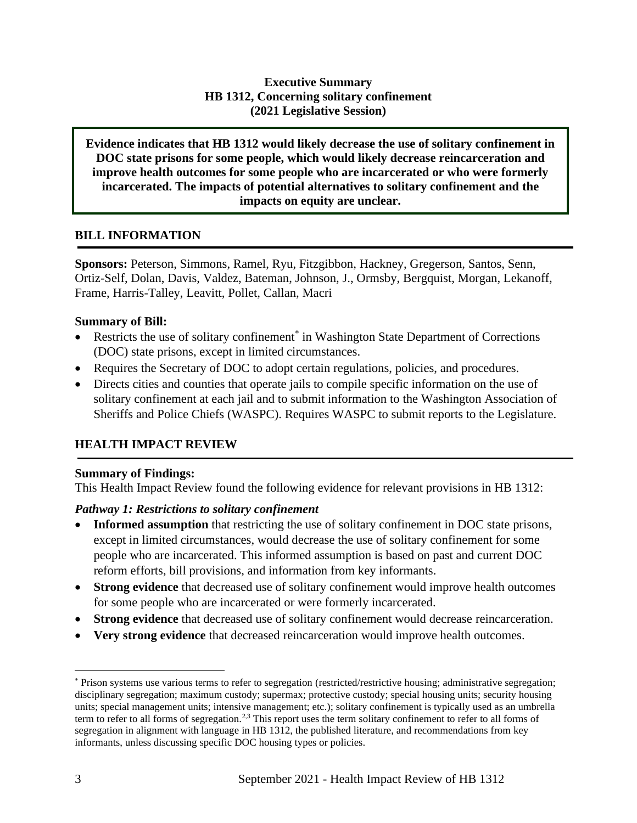# **Executive Summary HB 1312, Concerning solitary confinement (2021 Legislative Session)**

**Evidence indicates that HB 1312 would likely decrease the use of solitary confinement in DOC state prisons for some people, which would likely decrease reincarceration and improve health outcomes for some people who are incarcerated or who were formerly incarcerated. The impacts of potential alternatives to solitary confinement and the impacts on equity are unclear.**

## **BILL INFORMATION**

**Sponsors:** Peterson, Simmons, Ramel, Ryu, Fitzgibbon, Hackney, Gregerson, Santos, Senn, Ortiz-Self, Dolan, Davis, Valdez, Bateman, Johnson, J., Ormsby, Bergquist, Morgan, Lekanoff, Frame, Harris-Talley, Leavitt, Pollet, Callan, Macri

#### **Summary of Bill:**

- Restricts the use of solitary confinement<sup>\*</sup> in Washington State Department of Corrections (DOC) state prisons, except in limited circumstances.
- Requires the Secretary of DOC to adopt certain regulations, policies, and procedures.
- Directs cities and counties that operate jails to compile specific information on the use of solitary confinement at each jail and to submit information to the Washington Association of Sheriffs and Police Chiefs (WASPC). Requires WASPC to submit reports to the Legislature.

## **HEALTH IMPACT REVIEW**

#### **Summary of Findings:**

This Health Impact Review found the following evidence for relevant provisions in HB 1312:

## *Pathway 1: Restrictions to solitary confinement*

- **Informed assumption** that restricting the use of solitary confinement in DOC state prisons, except in limited circumstances, would decrease the use of solitary confinement for some people who are incarcerated. This informed assumption is based on past and current DOC reform efforts, bill provisions, and information from key informants.
- **Strong evidence** that decreased use of solitary confinement would improve health outcomes for some people who are incarcerated or were formerly incarcerated.
- **Strong evidence** that decreased use of solitary confinement would decrease reincarceration.
- **Very strong evidence** that decreased reincarceration would improve health outcomes.

<sup>\*</sup> Prison systems use various terms to refer to segregation (restricted/restrictive housing; administrative segregation; disciplinary segregation; maximum custody; supermax; protective custody; special housing units; security housing units; special management units; intensive management; etc.); solitary confinement is typically used as an umbrella term to refer to all forms of segregation.<sup>2,3</sup> This report uses the term solitary confinement to refer to all forms of segregation in alignment with language in HB 1312, the published literature, and recommendations from key informants, unless discussing specific DOC housing types or policies.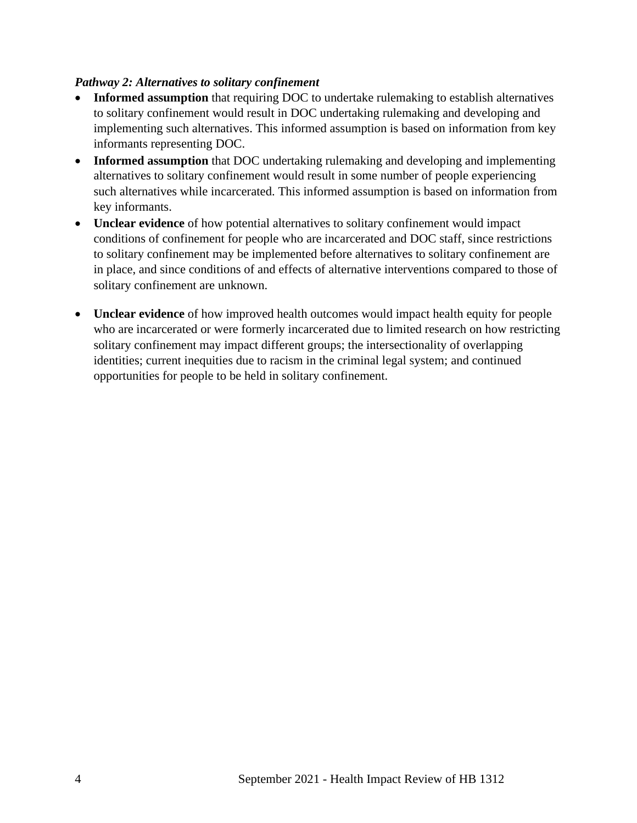## <span id="page-3-0"></span>*Pathway 2: Alternatives to solitary confinement*

- **Informed assumption** that requiring DOC to undertake rulemaking to establish alternatives to solitary confinement would result in DOC undertaking rulemaking and developing and implementing such alternatives. This informed assumption is based on information from key informants representing DOC.
- **Informed assumption** that DOC undertaking rulemaking and developing and implementing alternatives to solitary confinement would result in some number of people experiencing such alternatives while incarcerated. This informed assumption is based on information from key informants.
- **Unclear evidence** of how potential alternatives to solitary confinement would impact conditions of confinement for people who are incarcerated and DOC staff, since restrictions to solitary confinement may be implemented before alternatives to solitary confinement are in place, and since conditions of and effects of alternative interventions compared to those of solitary confinement are unknown.
- **Unclear evidence** of how improved health outcomes would impact health equity for people who are incarcerated or were formerly incarcerated due to limited research on how restricting solitary confinement may impact different groups; the intersectionality of overlapping identities; current inequities due to racism in the criminal legal system; and continued opportunities for people to be held in solitary confinement.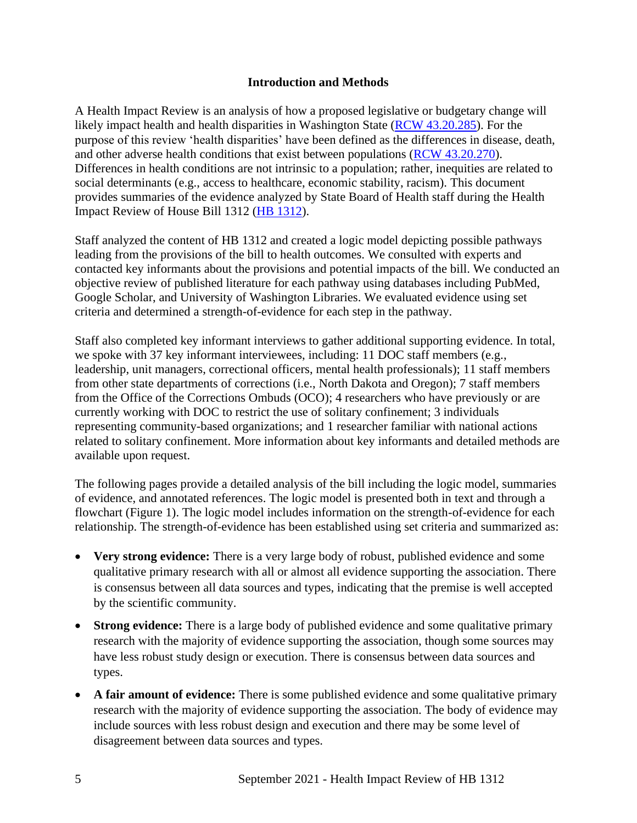#### **Introduction and Methods**

A Health Impact Review is an analysis of how a proposed legislative or budgetary change will likely impact health and health disparities in Washington State [\(RCW 43.20.285\)](https://apps.leg.wa.gov/rcw/default.aspx?cite=43.20.285). For the purpose of this review 'health disparities' have been defined as the differences in disease, death, and other adverse health conditions that exist between populations [\(RCW 43.20.270\)](http://apps.leg.wa.gov/rcw/default.aspx?cite=43.20.270). Differences in health conditions are not intrinsic to a population; rather, inequities are related to social determinants (e.g., access to healthcare, economic stability, racism). This document provides summaries of the evidence analyzed by State Board of Health staff during the Health Impact Review of House Bill 1312 [\(HB 1312\)](https://app.leg.wa.gov/billsummary?BillNumber=1312&Year=2021&Initiative=False).

Staff analyzed the content of HB 1312 and created a logic model depicting possible pathways leading from the provisions of the bill to health outcomes. We consulted with experts and contacted key informants about the provisions and potential impacts of the bill. We conducted an objective review of published literature for each pathway using databases including PubMed, Google Scholar, and University of Washington Libraries. We evaluated evidence using set criteria and determined a strength-of-evidence for each step in the pathway.

Staff also completed key informant interviews to gather additional supporting evidence. In total, we spoke with 37 key informant interviewees, including: 11 DOC staff members (e.g., leadership, unit managers, correctional officers, mental health professionals); 11 staff members from other state departments of corrections (i.e., North Dakota and Oregon); 7 staff members from the Office of the Corrections Ombuds (OCO); 4 researchers who have previously or are currently working with DOC to restrict the use of solitary confinement; 3 individuals representing community-based organizations; and 1 researcher familiar with national actions related to solitary confinement. More information about key informants and detailed methods are available upon request.

The following pages provide a detailed analysis of the bill including the logic model, summaries of evidence, and annotated references. The logic model is presented both in text and through a flowchart (Figure 1). The logic model includes information on the strength-of-evidence for each relationship. The strength-of-evidence has been established using set criteria and summarized as:

- <span id="page-4-0"></span>• **Very strong evidence:** There is a very large body of robust, published evidence and some qualitative primary research with all or almost all evidence supporting the association. There is consensus between all data sources and types, indicating that the premise is well accepted by the scientific community.
- **Strong evidence:** There is a large body of published evidence and some qualitative primary research with the majority of evidence supporting the association, though some sources may have less robust study design or execution. There is consensus between data sources and types.
- A fair amount of evidence: There is some published evidence and some qualitative primary research with the majority of evidence supporting the association. The body of evidence may include sources with less robust design and execution and there may be some level of disagreement between data sources and types.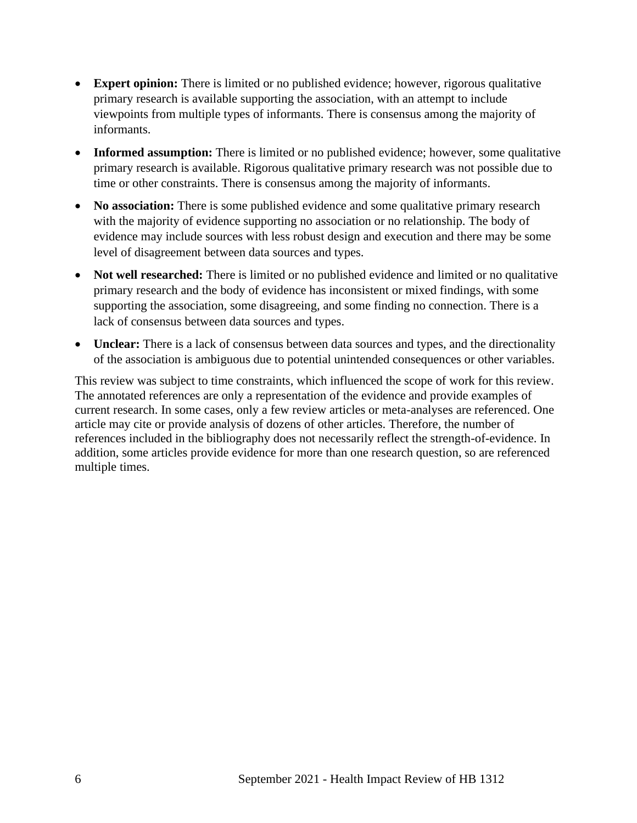- **Expert opinion:** There is limited or no published evidence; however, rigorous qualitative primary research is available supporting the association, with an attempt to include viewpoints from multiple types of informants. There is consensus among the majority of informants.
- **Informed assumption:** There is limited or no published evidence; however, some qualitative primary research is available. Rigorous qualitative primary research was not possible due to time or other constraints. There is consensus among the majority of informants.
- **No association:** There is some published evidence and some qualitative primary research with the majority of evidence supporting no association or no relationship. The body of evidence may include sources with less robust design and execution and there may be some level of disagreement between data sources and types.
- **Not well researched:** There is limited or no published evidence and limited or no qualitative primary research and the body of evidence has inconsistent or mixed findings, with some supporting the association, some disagreeing, and some finding no connection. There is a lack of consensus between data sources and types.
- **Unclear:** There is a lack of consensus between data sources and types, and the directionality of the association is ambiguous due to potential unintended consequences or other variables.

This review was subject to time constraints, which influenced the scope of work for this review. The annotated references are only a representation of the evidence and provide examples of current research. In some cases, only a few review articles or meta-analyses are referenced. One article may cite or provide analysis of dozens of other articles. Therefore, the number of references included in the bibliography does not necessarily reflect the strength-of-evidence. In addition, some articles provide evidence for more than one research question, so are referenced multiple times.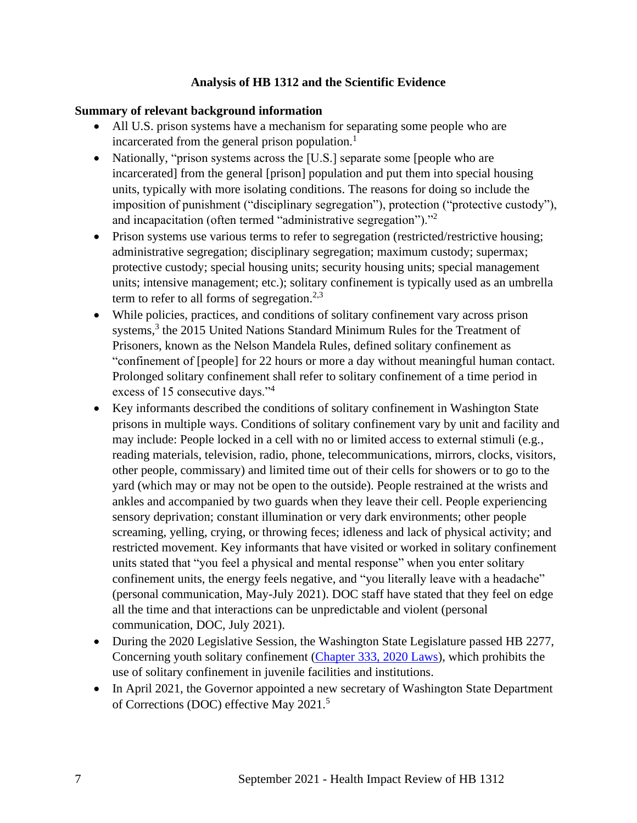## **Analysis of HB 1312 and the Scientific Evidence**

#### **Summary of relevant background information**

- All U.S. prison systems have a mechanism for separating some people who are incarcerated from the general prison population.<sup>1</sup>
- Nationally, "prison systems across the [U.S.] separate some [people who are incarcerated] from the general [prison] population and put them into special housing units, typically with more isolating conditions. The reasons for doing so include the imposition of punishment ("disciplinary segregation"), protection ("protective custody"), and incapacitation (often termed "administrative segregation")."<sup>2</sup>
- Prison systems use various terms to refer to segregation (restricted/restrictive housing; administrative segregation; disciplinary segregation; maximum custody; supermax; protective custody; special housing units; security housing units; special management units; intensive management; etc.); solitary confinement is typically used as an umbrella term to refer to all forms of segregation.<sup>2,3</sup>
- While policies, practices, and conditions of solitary confinement vary across prison systems,<sup>3</sup> the 2015 United Nations Standard Minimum Rules for the Treatment of Prisoners, known as the Nelson Mandela Rules, defined solitary confinement as "confinement of [people] for 22 hours or more a day without meaningful human contact. Prolonged solitary confinement shall refer to solitary confinement of a time period in excess of 15 consecutive days."<sup>4</sup>
- Key informants described the conditions of solitary confinement in Washington State prisons in multiple ways. Conditions of solitary confinement vary by unit and facility and may include: People locked in a cell with no or limited access to external stimuli (e.g., reading materials, television, radio, phone, telecommunications, mirrors, clocks, visitors, other people, commissary) and limited time out of their cells for showers or to go to the yard (which may or may not be open to the outside). People restrained at the wrists and ankles and accompanied by two guards when they leave their cell. People experiencing sensory deprivation; constant illumination or very dark environments; other people screaming, yelling, crying, or throwing feces; idleness and lack of physical activity; and restricted movement. Key informants that have visited or worked in solitary confinement units stated that "you feel a physical and mental response" when you enter solitary confinement units, the energy feels negative, and "you literally leave with a headache" (personal communication, May-July 2021). DOC staff have stated that they feel on edge all the time and that interactions can be unpredictable and violent (personal communication, DOC, July 2021).
- During the 2020 Legislative Session, the Washington State Legislature passed HB 2277, Concerning youth solitary confinement [\(Chapter 333, 2020 Laws\)](http://lawfilesext.leg.wa.gov/biennium/2019-20/Pdf/Bills/Session%20Laws/House/2277-S2.SL.pdf#page=1), which prohibits the use of solitary confinement in juvenile facilities and institutions.
- In April 2021, the Governor appointed a new secretary of Washington State Department of Corrections (DOC) effective May 2021.<sup>5</sup>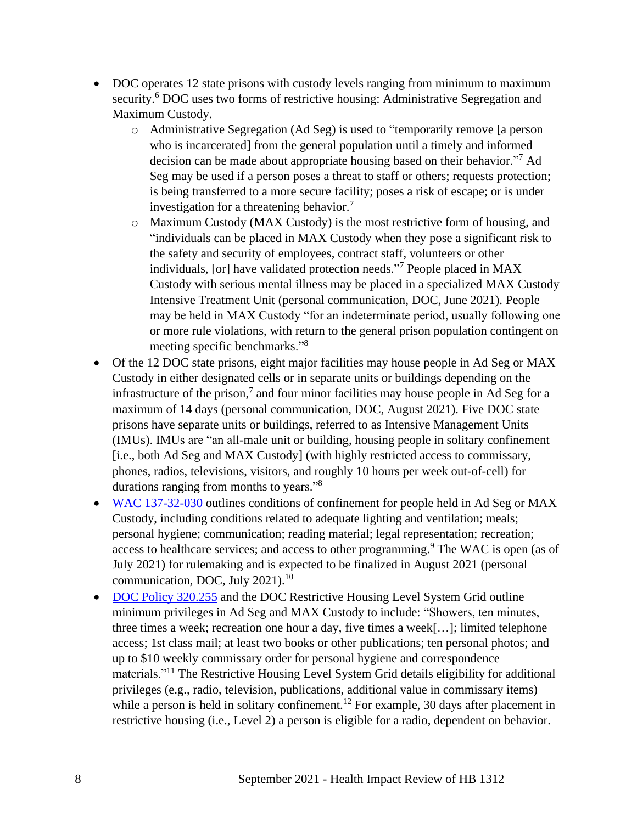- DOC operates 12 state prisons with custody levels ranging from minimum to maximum security.<sup>6</sup> DOC uses two forms of restrictive housing: Administrative Segregation and Maximum Custody.
	- o Administrative Segregation (Ad Seg) is used to "temporarily remove [a person who is incarcerated] from the general population until a timely and informed decision can be made about appropriate housing based on their behavior." <sup>7</sup> Ad Seg may be used if a person poses a threat to staff or others; requests protection; is being transferred to a more secure facility; poses a risk of escape; or is under investigation for a threatening behavior.<sup>7</sup>
	- o Maximum Custody (MAX Custody) is the most restrictive form of housing, and "individuals can be placed in MAX Custody when they pose a significant risk to the safety and security of employees, contract staff, volunteers or other individuals, [or] have validated protection needs." <sup>7</sup> People placed in MAX Custody with serious mental illness may be placed in a specialized MAX Custody Intensive Treatment Unit (personal communication, DOC, June 2021). People may be held in MAX Custody "for an indeterminate period, usually following one or more rule violations, with return to the general prison population contingent on meeting specific benchmarks."<sup>8</sup>
- Of the 12 DOC state prisons, eight major facilities may house people in Ad Seg or MAX Custody in either designated cells or in separate units or buildings depending on the infrastructure of the prison,<sup>7</sup> and four minor facilities may house people in Ad Seg for a maximum of 14 days (personal communication, DOC, August 2021). Five DOC state prisons have separate units or buildings, referred to as Intensive Management Units (IMUs). IMUs are "an all-male unit or building, housing people in solitary confinement [i.e., both Ad Seg and MAX Custody] (with highly restricted access to commissary, phones, radios, televisions, visitors, and roughly 10 hours per week out-of-cell) for durations ranging from months to years."<sup>8</sup>
- [WAC 137-32-030](https://apps.leg.wa.gov/WAC/default.aspx?cite=137-32-030) outlines conditions of confinement for people held in Ad Seg or MAX Custody, including conditions related to adequate lighting and ventilation; meals; personal hygiene; communication; reading material; legal representation; recreation; access to healthcare services; and access to other programming.<sup>9</sup> The WAC is open (as of July 2021) for rulemaking and is expected to be finalized in August 2021 (personal communication, DOC, July 2021).<sup>10</sup>
- [DOC Policy 320.255](https://www.doc.wa.gov/information/policies/files/320255.pdf) and the DOC Restrictive Housing Level System Grid outline minimum privileges in Ad Seg and MAX Custody to include: "Showers, ten minutes, three times a week; recreation one hour a day, five times a week[…]; limited telephone access; 1st class mail; at least two books or other publications; ten personal photos; and up to \$10 weekly commissary order for personal hygiene and correspondence materials."<sup>11</sup> The Restrictive Housing Level System Grid details eligibility for additional privileges (e.g., radio, television, publications, additional value in commissary items) while a person is held in solitary confinement.<sup>12</sup> For example, 30 days after placement in restrictive housing (i.e., Level 2) a person is eligible for a radio, dependent on behavior.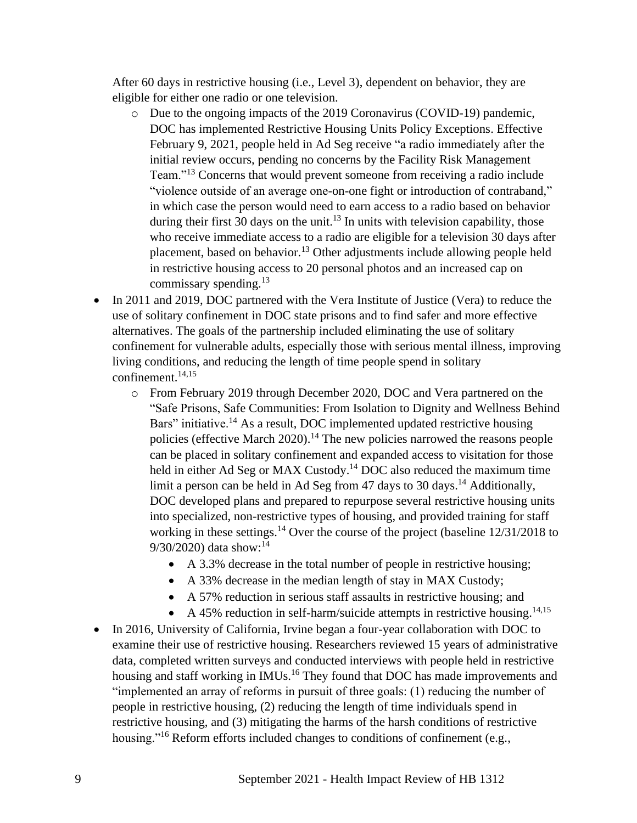After 60 days in restrictive housing (i.e., Level 3), dependent on behavior, they are eligible for either one radio or one television.

- o Due to the ongoing impacts of the 2019 Coronavirus (COVID-19) pandemic, DOC has implemented Restrictive Housing Units Policy Exceptions. Effective February 9, 2021, people held in Ad Seg receive "a radio immediately after the initial review occurs, pending no concerns by the Facility Risk Management Team."<sup>13</sup> Concerns that would prevent someone from receiving a radio include "violence outside of an average one-on-one fight or introduction of contraband," in which case the person would need to earn access to a radio based on behavior during their first 30 days on the unit.<sup>13</sup> In units with television capability, those who receive immediate access to a radio are eligible for a television 30 days after placement, based on behavior.<sup>13</sup> Other adjustments include allowing people held in restrictive housing access to 20 personal photos and an increased cap on commissary spending. $^{13}$
- In 2011 and 2019, DOC partnered with the Vera Institute of Justice (Vera) to reduce the use of solitary confinement in DOC state prisons and to find safer and more effective alternatives. The goals of the partnership included eliminating the use of solitary confinement for vulnerable adults, especially those with serious mental illness, improving living conditions, and reducing the length of time people spend in solitary confinement. 14,15
	- o From February 2019 through December 2020, DOC and Vera partnered on the "Safe Prisons, Safe Communities: From Isolation to Dignity and Wellness Behind Bars" initiative.<sup>14</sup> As a result, DOC implemented updated restrictive housing policies (effective March 2020).<sup>14</sup> The new policies narrowed the reasons people can be placed in solitary confinement and expanded access to visitation for those held in either Ad Seg or MAX Custody.<sup>14</sup> DOC also reduced the maximum time limit a person can be held in Ad Seg from 47 days to 30 days.<sup>14</sup> Additionally, DOC developed plans and prepared to repurpose several restrictive housing units into specialized, non-restrictive types of housing, and provided training for staff working in these settings.<sup>14</sup> Over the course of the project (baseline 12/31/2018 to 9/30/2020) data show:<sup>14</sup>
		- A 3.3% decrease in the total number of people in restrictive housing;
		- A 33% decrease in the median length of stay in MAX Custody;
		- A 57% reduction in serious staff assaults in restrictive housing; and
		- A 45% reduction in self-harm/suicide attempts in restrictive housing.<sup>14,15</sup>
- In 2016, University of California, Irvine began a four-year collaboration with DOC to examine their use of restrictive housing. Researchers reviewed 15 years of administrative data, completed written surveys and conducted interviews with people held in restrictive housing and staff working in IMUs.<sup>16</sup> They found that DOC has made improvements and "implemented an array of reforms in pursuit of three goals: (1) reducing the number of people in restrictive housing, (2) reducing the length of time individuals spend in restrictive housing, and (3) mitigating the harms of the harsh conditions of restrictive housing."<sup>16</sup> Reform efforts included changes to conditions of confinement (e.g.,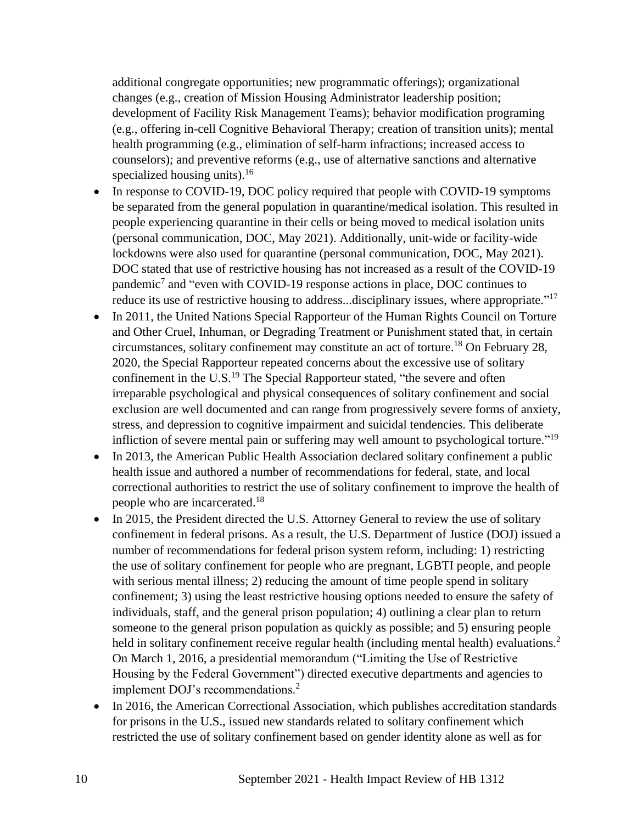additional congregate opportunities; new programmatic offerings); organizational changes (e.g., creation of Mission Housing Administrator leadership position; development of Facility Risk Management Teams); behavior modification programing (e.g., offering in-cell Cognitive Behavioral Therapy; creation of transition units); mental health programming (e.g., elimination of self-harm infractions; increased access to counselors); and preventive reforms (e.g., use of alternative sanctions and alternative specialized housing units). $16$ 

- In response to COVID-19, DOC policy required that people with COVID-19 symptoms be separated from the general population in quarantine/medical isolation. This resulted in people experiencing quarantine in their cells or being moved to medical isolation units (personal communication, DOC, May 2021). Additionally, unit-wide or facility-wide lockdowns were also used for quarantine (personal communication, DOC, May 2021). DOC stated that use of restrictive housing has not increased as a result of the COVID-19 pandemic<sup>7</sup> and "even with COVID-19 response actions in place, DOC continues to reduce its use of restrictive housing to address...disciplinary issues, where appropriate."<sup>17</sup>
- In 2011, the United Nations Special Rapporteur of the Human Rights Council on Torture and Other Cruel, Inhuman, or Degrading Treatment or Punishment stated that, in certain circumstances, solitary confinement may constitute an act of torture.<sup>18</sup> On February 28, 2020, the Special Rapporteur repeated concerns about the excessive use of solitary confinement in the U.S.<sup>19</sup> The Special Rapporteur stated, "the severe and often irreparable psychological and physical consequences of solitary confinement and social exclusion are well documented and can range from progressively severe forms of anxiety, stress, and depression to cognitive impairment and suicidal tendencies. This deliberate infliction of severe mental pain or suffering may well amount to psychological torture."<sup>19</sup>
- In 2013, the American Public Health Association declared solitary confinement a public health issue and authored a number of recommendations for federal, state, and local correctional authorities to restrict the use of solitary confinement to improve the health of people who are incarcerated.<sup>18</sup>
- In 2015, the President directed the U.S. Attorney General to review the use of solitary confinement in federal prisons. As a result, the U.S. Department of Justice (DOJ) issued a number of recommendations for federal prison system reform, including: 1) restricting the use of solitary confinement for people who are pregnant, LGBTI people, and people with serious mental illness; 2) reducing the amount of time people spend in solitary confinement; 3) using the least restrictive housing options needed to ensure the safety of individuals, staff, and the general prison population; 4) outlining a clear plan to return someone to the general prison population as quickly as possible; and 5) ensuring people held in solitary confinement receive regular health (including mental health) evaluations.<sup>2</sup> On March 1, 2016, a presidential memorandum ("Limiting the Use of Restrictive Housing by the Federal Government") directed executive departments and agencies to implement DOJ's recommendations.<sup>2</sup>
- In 2016, the American Correctional Association, which publishes accreditation standards for prisons in the U.S., issued new standards related to solitary confinement which restricted the use of solitary confinement based on gender identity alone as well as for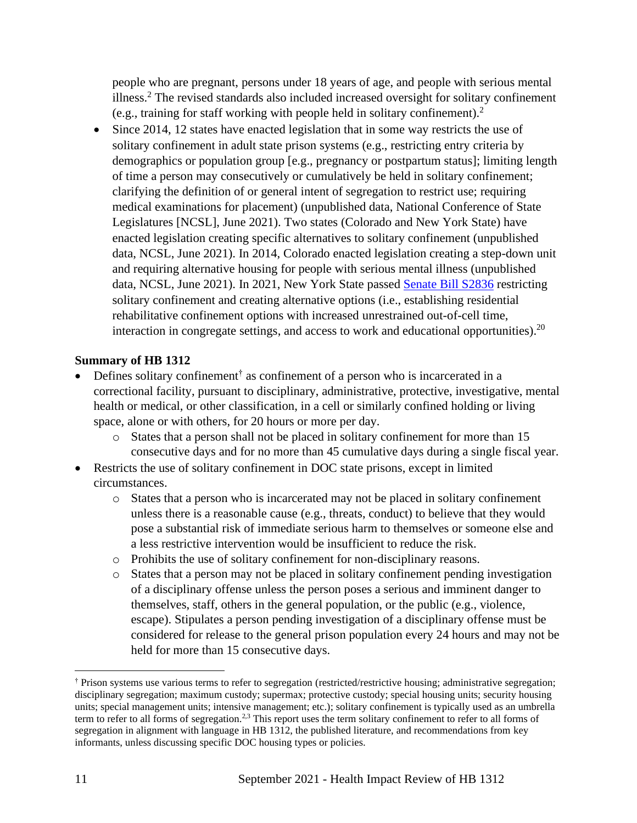people who are pregnant, persons under 18 years of age, and people with serious mental illness.<sup>2</sup> The revised standards also included increased oversight for solitary confinement (e.g., training for staff working with people held in solitary confinement).<sup>2</sup>

• Since 2014, 12 states have enacted legislation that in some way restricts the use of solitary confinement in adult state prison systems (e.g., restricting entry criteria by demographics or population group [e.g., pregnancy or postpartum status]; limiting length of time a person may consecutively or cumulatively be held in solitary confinement; clarifying the definition of or general intent of segregation to restrict use; requiring medical examinations for placement) (unpublished data, National Conference of State Legislatures [NCSL], June 2021). Two states (Colorado and New York State) have enacted legislation creating specific alternatives to solitary confinement (unpublished data, NCSL, June 2021). In 2014, Colorado enacted legislation creating a step-down unit and requiring alternative housing for people with serious mental illness (unpublished data, NCSL, June 2021). In 2021, New York State passed [Senate Bill S2836](https://www.nysenate.gov/legislation/bills/2021/S2836) restricting solitary confinement and creating alternative options (i.e., establishing residential rehabilitative confinement options with increased unrestrained out-of-cell time, interaction in congregate settings, and access to work and educational opportunities).  $20$ 

#### **Summary of HB 1312**

- Defines solitary confinement<sup>†</sup> as confinement of a person who is incarcerated in a correctional facility, pursuant to disciplinary, administrative, protective, investigative, mental health or medical, or other classification, in a cell or similarly confined holding or living space, alone or with others, for 20 hours or more per day.
	- o States that a person shall not be placed in solitary confinement for more than 15 consecutive days and for no more than 45 cumulative days during a single fiscal year.
- Restricts the use of solitary confinement in DOC state prisons, except in limited circumstances.
	- o States that a person who is incarcerated may not be placed in solitary confinement unless there is a reasonable cause (e.g., threats, conduct) to believe that they would pose a substantial risk of immediate serious harm to themselves or someone else and a less restrictive intervention would be insufficient to reduce the risk.
	- o Prohibits the use of solitary confinement for non-disciplinary reasons.
	- o States that a person may not be placed in solitary confinement pending investigation of a disciplinary offense unless the person poses a serious and imminent danger to themselves, staff, others in the general population, or the public (e.g., violence, escape). Stipulates a person pending investigation of a disciplinary offense must be considered for release to the general prison population every 24 hours and may not be held for more than 15 consecutive days.

<sup>†</sup> Prison systems use various terms to refer to segregation (restricted/restrictive housing; administrative segregation; disciplinary segregation; maximum custody; supermax; protective custody; special housing units; security housing units; special management units; intensive management; etc.); solitary confinement is typically used as an umbrella term to refer to all forms of segregation.<sup>2,3</sup> This report uses the term solitary confinement to refer to all forms of segregation in alignment with language in HB 1312, the published literature, and recommendations from key informants, unless discussing specific DOC housing types or policies.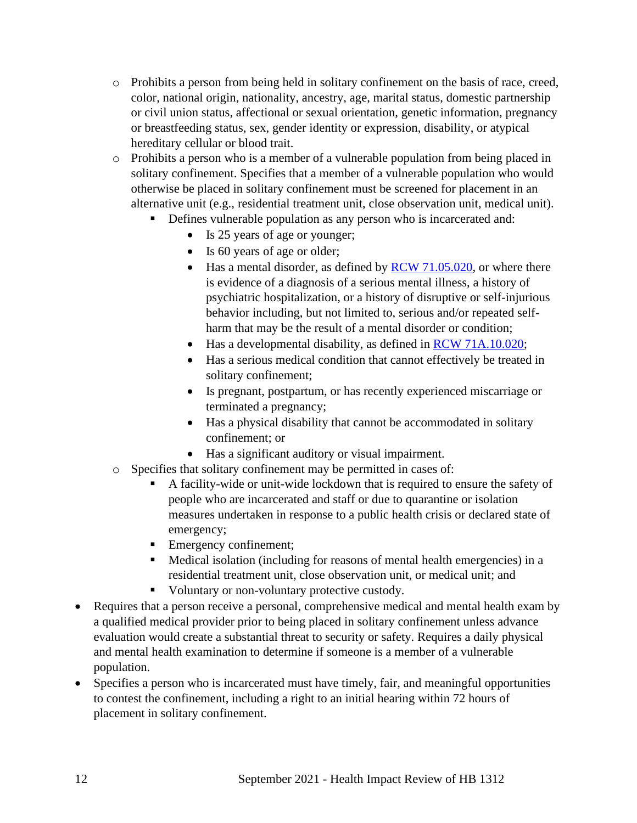- o Prohibits a person from being held in solitary confinement on the basis of race, creed, color, national origin, nationality, ancestry, age, marital status, domestic partnership or civil union status, affectional or sexual orientation, genetic information, pregnancy or breastfeeding status, sex, gender identity or expression, disability, or atypical hereditary cellular or blood trait.
- o Prohibits a person who is a member of a vulnerable population from being placed in solitary confinement. Specifies that a member of a vulnerable population who would otherwise be placed in solitary confinement must be screened for placement in an alternative unit (e.g., residential treatment unit, close observation unit, medical unit).
	- **•** Defines vulnerable population as any person who is incarcerated and:
		- Is 25 years of age or younger;
		- Is 60 years of age or older;
		- Has a mental disorder, as defined by  $RCW$  71.05.020, or where there is evidence of a diagnosis of a serious mental illness, a history of psychiatric hospitalization, or a history of disruptive or self-injurious behavior including, but not limited to, serious and/or repeated selfharm that may be the result of a mental disorder or condition;
		- Has a developmental disability, as defined in [RCW 71A.10.020;](https://app.leg.wa.gov/rcw/default.aspx?cite=71A.10.020)
		- Has a serious medical condition that cannot effectively be treated in solitary confinement;
		- Is pregnant, postpartum, or has recently experienced miscarriage or terminated a pregnancy;
		- Has a physical disability that cannot be accommodated in solitary confinement; or
		- Has a significant auditory or visual impairment.
- o Specifies that solitary confinement may be permitted in cases of:
	- A facility-wide or unit-wide lockdown that is required to ensure the safety of people who are incarcerated and staff or due to quarantine or isolation measures undertaken in response to a public health crisis or declared state of emergency;
	- Emergency confinement;
	- Medical isolation (including for reasons of mental health emergencies) in a residential treatment unit, close observation unit, or medical unit; and
	- Voluntary or non-voluntary protective custody.
- Requires that a person receive a personal, comprehensive medical and mental health exam by a qualified medical provider prior to being placed in solitary confinement unless advance evaluation would create a substantial threat to security or safety. Requires a daily physical and mental health examination to determine if someone is a member of a vulnerable population.
- Specifies a person who is incarcerated must have timely, fair, and meaningful opportunities to contest the confinement, including a right to an initial hearing within 72 hours of placement in solitary confinement.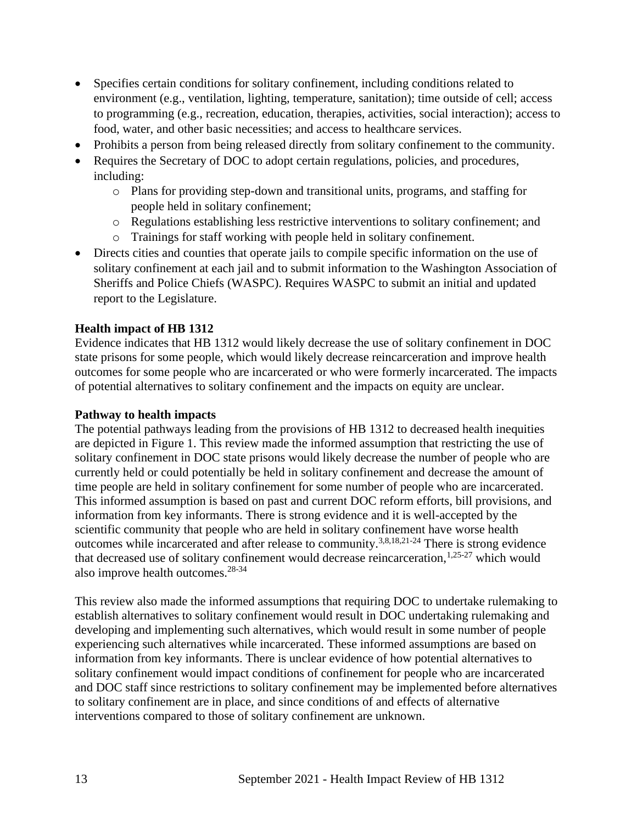- Specifies certain conditions for solitary confinement, including conditions related to environment (e.g., ventilation, lighting, temperature, sanitation); time outside of cell; access to programming (e.g., recreation, education, therapies, activities, social interaction); access to food, water, and other basic necessities; and access to healthcare services.
- Prohibits a person from being released directly from solitary confinement to the community.
- Requires the Secretary of DOC to adopt certain regulations, policies, and procedures, including:
	- o Plans for providing step-down and transitional units, programs, and staffing for people held in solitary confinement;
	- o Regulations establishing less restrictive interventions to solitary confinement; and
	- o Trainings for staff working with people held in solitary confinement.
- Directs cities and counties that operate jails to compile specific information on the use of solitary confinement at each jail and to submit information to the Washington Association of Sheriffs and Police Chiefs (WASPC). Requires WASPC to submit an initial and updated report to the Legislature.

### **Health impact of HB 1312**

Evidence indicates that HB 1312 would likely decrease the use of solitary confinement in DOC state prisons for some people, which would likely decrease reincarceration and improve health outcomes for some people who are incarcerated or who were formerly incarcerated. The impacts of potential alternatives to solitary confinement and the impacts on equity are unclear.

#### **Pathway to health impacts**

The potential pathways leading from the provisions of HB 1312 to decreased health inequities are depicted in Figure 1. This review made the informed assumption that restricting the use of solitary confinement in DOC state prisons would likely decrease the number of people who are currently held or could potentially be held in solitary confinement and decrease the amount of time people are held in solitary confinement for some number of people who are incarcerated. This informed assumption is based on past and current DOC reform efforts, bill provisions, and information from key informants. There is strong evidence and it is well-accepted by the scientific community that people who are held in solitary confinement have worse health outcomes while incarcerated and after release to community.3,8,18,21-24 There is strong evidence that decreased use of solitary confinement would decrease reincarceration,  $1,25-27$  which would also improve health outcomes.28-34

This review also made the informed assumptions that requiring DOC to undertake rulemaking to establish alternatives to solitary confinement would result in DOC undertaking rulemaking and developing and implementing such alternatives, which would result in some number of people experiencing such alternatives while incarcerated. These informed assumptions are based on information from key informants. There is unclear evidence of how potential alternatives to solitary confinement would impact conditions of confinement for people who are incarcerated and DOC staff since restrictions to solitary confinement may be implemented before alternatives to solitary confinement are in place, and since conditions of and effects of alternative interventions compared to those of solitary confinement are unknown.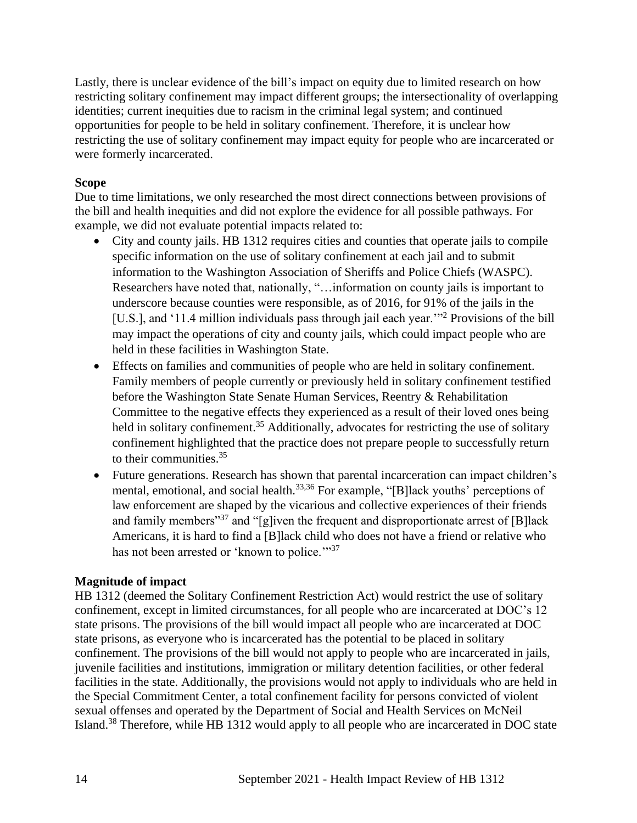Lastly, there is unclear evidence of the bill's impact on equity due to limited research on how restricting solitary confinement may impact different groups; the intersectionality of overlapping identities; current inequities due to racism in the criminal legal system; and continued opportunities for people to be held in solitary confinement. Therefore, it is unclear how restricting the use of solitary confinement may impact equity for people who are incarcerated or were formerly incarcerated.

## **Scope**

Due to time limitations, we only researched the most direct connections between provisions of the bill and health inequities and did not explore the evidence for all possible pathways. For example, we did not evaluate potential impacts related to:

- City and county jails. HB 1312 requires cities and counties that operate jails to compile specific information on the use of solitary confinement at each jail and to submit information to the Washington Association of Sheriffs and Police Chiefs (WASPC). Researchers have noted that, nationally, "…information on county jails is important to underscore because counties were responsible, as of 2016, for 91% of the jails in the [U.S.], and '11.4 million individuals pass through jail each year."<sup>2</sup> Provisions of the bill may impact the operations of city and county jails, which could impact people who are held in these facilities in Washington State.
- Effects on families and communities of people who are held in solitary confinement. Family members of people currently or previously held in solitary confinement testified before the Washington State Senate Human Services, Reentry & Rehabilitation Committee to the negative effects they experienced as a result of their loved ones being held in solitary confinement.<sup>35</sup> Additionally, advocates for restricting the use of solitary confinement highlighted that the practice does not prepare people to successfully return to their communities. 35
- Future generations. Research has shown that parental incarceration can impact children's mental, emotional, and social health.<sup>33,36</sup> For example, "[B]lack youths' perceptions of law enforcement are shaped by the vicarious and collective experiences of their friends and family members<sup>"37</sup> and "[g]iven the frequent and disproportionate arrest of [B] lack Americans, it is hard to find a [B]lack child who does not have a friend or relative who has not been arrested or 'known to police."<sup>37</sup>

## **Magnitude of impact**

HB 1312 (deemed the Solitary Confinement Restriction Act) would restrict the use of solitary confinement, except in limited circumstances, for all people who are incarcerated at DOC's 12 state prisons. The provisions of the bill would impact all people who are incarcerated at DOC state prisons, as everyone who is incarcerated has the potential to be placed in solitary confinement. The provisions of the bill would not apply to people who are incarcerated in jails, juvenile facilities and institutions, immigration or military detention facilities, or other federal facilities in the state. Additionally, the provisions would not apply to individuals who are held in the Special Commitment Center, a total confinement facility for persons convicted of violent sexual offenses and operated by the Department of Social and Health Services on McNeil Island.<sup>38</sup> Therefore, while HB 1312 would apply to all people who are incarcerated in DOC state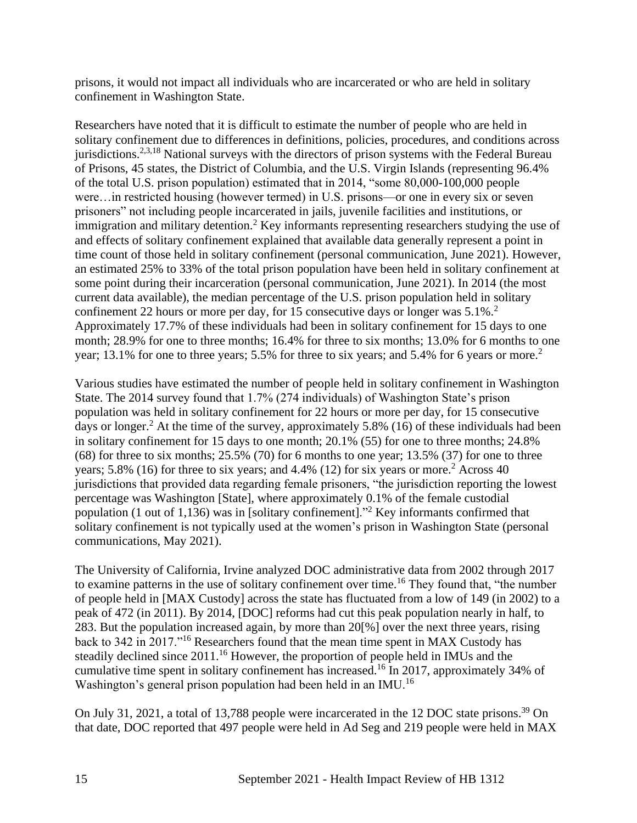prisons, it would not impact all individuals who are incarcerated or who are held in solitary confinement in Washington State.

Researchers have noted that it is difficult to estimate the number of people who are held in solitary confinement due to differences in definitions, policies, procedures, and conditions across jurisdictions.<sup>2,3,18</sup> National surveys with the directors of prison systems with the Federal Bureau of Prisons, 45 states, the District of Columbia, and the U.S. Virgin Islands (representing 96.4% of the total U.S. prison population) estimated that in 2014, "some 80,000-100,000 people were…in restricted housing (however termed) in U.S. prisons—or one in every six or seven prisoners" not including people incarcerated in jails, juvenile facilities and institutions, or immigration and military detention.<sup>2</sup> Key informants representing researchers studying the use of and effects of solitary confinement explained that available data generally represent a point in time count of those held in solitary confinement (personal communication, June 2021). However, an estimated 25% to 33% of the total prison population have been held in solitary confinement at some point during their incarceration (personal communication, June 2021). In 2014 (the most current data available), the median percentage of the U.S. prison population held in solitary confinement 22 hours or more per day, for 15 consecutive days or longer was  $5.1\%$ .<sup>2</sup> Approximately 17.7% of these individuals had been in solitary confinement for 15 days to one month; 28.9% for one to three months; 16.4% for three to six months; 13.0% for 6 months to one year; 13.1% for one to three years; 5.5% for three to six years; and 5.4% for 6 years or more.<sup>2</sup>

Various studies have estimated the number of people held in solitary confinement in Washington State. The 2014 survey found that 1.7% (274 individuals) of Washington State's prison population was held in solitary confinement for 22 hours or more per day, for 15 consecutive days or longer.<sup>2</sup> At the time of the survey, approximately 5.8% (16) of these individuals had been in solitary confinement for 15 days to one month; 20.1% (55) for one to three months; 24.8%  $(68)$  for three to six months;  $25.5\%$   $(70)$  for 6 months to one year;  $13.5\%$   $(37)$  for one to three years; 5.8% (16) for three to six years; and 4.4% (12) for six years or more.<sup>2</sup> Across 40 jurisdictions that provided data regarding female prisoners, "the jurisdiction reporting the lowest percentage was Washington [State], where approximately 0.1% of the female custodial population (1 out of 1,136) was in [solitary confinement]."<sup>2</sup> Key informants confirmed that solitary confinement is not typically used at the women's prison in Washington State (personal communications, May 2021).

The University of California, Irvine analyzed DOC administrative data from 2002 through 2017 to examine patterns in the use of solitary confinement over time.<sup>16</sup> They found that, "the number of people held in [MAX Custody] across the state has fluctuated from a low of 149 (in 2002) to a peak of 472 (in 2011). By 2014, [DOC] reforms had cut this peak population nearly in half, to 283. But the population increased again, by more than 20[%] over the next three years, rising back to 342 in 2017."<sup>16</sup> Researchers found that the mean time spent in MAX Custody has steadily declined since 2011.<sup>16</sup> However, the proportion of people held in IMUs and the cumulative time spent in solitary confinement has increased.<sup>16</sup> In 2017, approximately 34% of Washington's general prison population had been held in an IMU.<sup>16</sup>

On July 31, 2021, a total of 13,788 people were incarcerated in the 12 DOC state prisons.<sup>39</sup> On that date, DOC reported that 497 people were held in Ad Seg and 219 people were held in MAX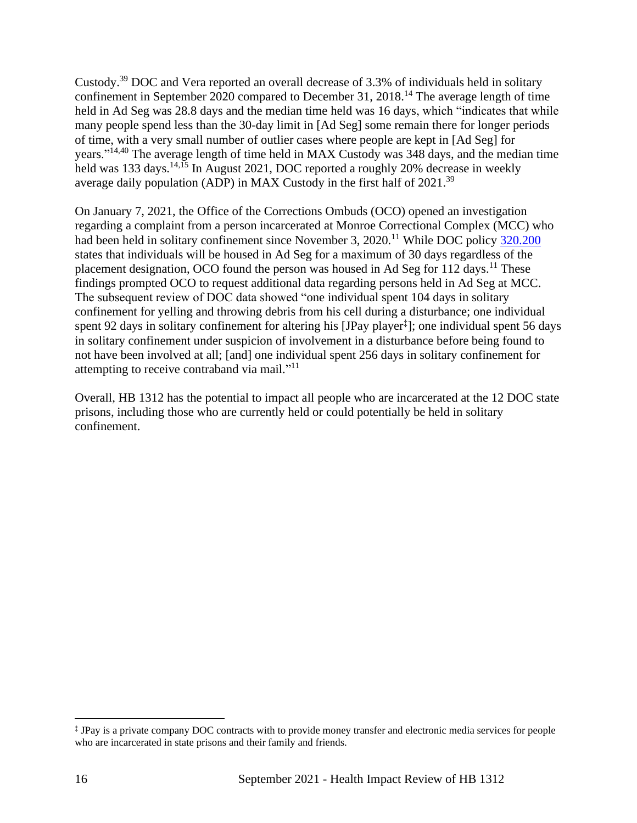Custody.<sup>39</sup> DOC and Vera reported an overall decrease of 3.3% of individuals held in solitary confinement in September 2020 compared to December 31, 2018.<sup>14</sup> The average length of time held in Ad Seg was 28.8 days and the median time held was 16 days, which "indicates that while many people spend less than the 30-day limit in [Ad Seg] some remain there for longer periods of time, with a very small number of outlier cases where people are kept in [Ad Seg] for years."14,40 The average length of time held in MAX Custody was 348 days, and the median time held was 133 days.<sup>14,15</sup> In August 2021, DOC reported a roughly 20% decrease in weekly average daily population (ADP) in MAX Custody in the first half of 2021.<sup>39</sup>

On January 7, 2021, the Office of the Corrections Ombuds (OCO) opened an investigation regarding a complaint from a person incarcerated at Monroe Correctional Complex (MCC) who had been held in solitary confinement since November 3, 2020.<sup>11</sup> While DOC policy [320.200](https://www.doc.wa.gov/information/policies/files/320200.pdf) states that individuals will be housed in Ad Seg for a maximum of 30 days regardless of the placement designation, OCO found the person was housed in Ad Seg for 112 days.<sup>11</sup> These findings prompted OCO to request additional data regarding persons held in Ad Seg at MCC. The subsequent review of DOC data showed "one individual spent 104 days in solitary confinement for yelling and throwing debris from his cell during a disturbance; one individual spent 92 days in solitary confinement for altering his [JPay player‡ ]; one individual spent 56 days in solitary confinement under suspicion of involvement in a disturbance before being found to not have been involved at all; [and] one individual spent 256 days in solitary confinement for attempting to receive contraband via mail."<sup>11</sup>

Overall, HB 1312 has the potential to impact all people who are incarcerated at the 12 DOC state prisons, including those who are currently held or could potentially be held in solitary confinement.

<sup>‡</sup> JPay is a private company DOC contracts with to provide money transfer and electronic media services for people who are incarcerated in state prisons and their family and friends.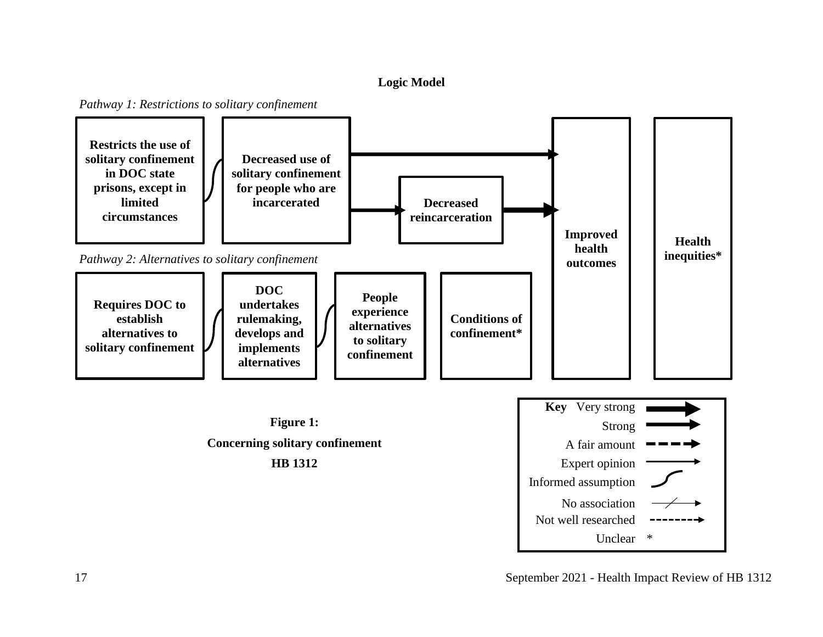## **Logic Model**

*Pathway 1: Restrictions to solitary confinement*

<span id="page-16-0"></span>

17 September 2021 - Health Impact Review of HB 1312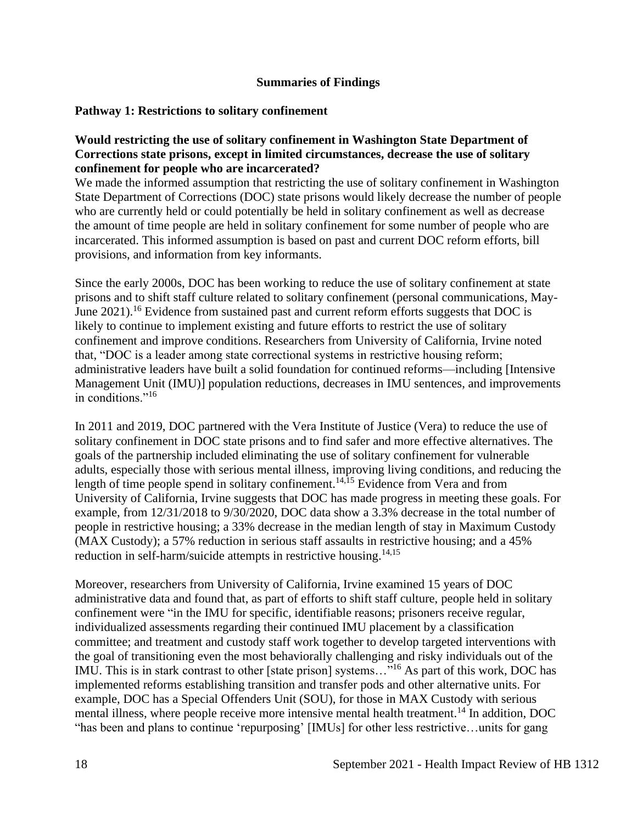### **Summaries of Findings**

#### <span id="page-17-0"></span>**Pathway 1: Restrictions to solitary confinement**

#### **Would restricting the use of solitary confinement in Washington State Department of Corrections state prisons, except in limited circumstances, decrease the use of solitary confinement for people who are incarcerated?**

We made the informed assumption that restricting the use of solitary confinement in Washington State Department of Corrections (DOC) state prisons would likely decrease the number of people who are currently held or could potentially be held in solitary confinement as well as decrease the amount of time people are held in solitary confinement for some number of people who are incarcerated. This informed assumption is based on past and current DOC reform efforts, bill provisions, and information from key informants.

Since the early 2000s, DOC has been working to reduce the use of solitary confinement at state prisons and to shift staff culture related to solitary confinement (personal communications, May-June 2021).<sup>16</sup> Evidence from sustained past and current reform efforts suggests that DOC is likely to continue to implement existing and future efforts to restrict the use of solitary confinement and improve conditions. Researchers from University of California, Irvine noted that, "DOC is a leader among state correctional systems in restrictive housing reform; administrative leaders have built a solid foundation for continued reforms—including [Intensive Management Unit (IMU)] population reductions, decreases in IMU sentences, and improvements in conditions."<sup>16</sup>

In 2011 and 2019, DOC partnered with the Vera Institute of Justice (Vera) to reduce the use of solitary confinement in DOC state prisons and to find safer and more effective alternatives. The goals of the partnership included eliminating the use of solitary confinement for vulnerable adults, especially those with serious mental illness, improving living conditions, and reducing the length of time people spend in solitary confinement.<sup>14,15</sup> Evidence from Vera and from University of California, Irvine suggests that DOC has made progress in meeting these goals. For example, from 12/31/2018 to 9/30/2020, DOC data show a 3.3% decrease in the total number of people in restrictive housing; a 33% decrease in the median length of stay in Maximum Custody (MAX Custody); a 57% reduction in serious staff assaults in restrictive housing; and a 45% reduction in self-harm/suicide attempts in restrictive housing.<sup>14,15</sup>

Moreover, researchers from University of California, Irvine examined 15 years of DOC administrative data and found that, as part of efforts to shift staff culture, people held in solitary confinement were "in the IMU for specific, identifiable reasons; prisoners receive regular, individualized assessments regarding their continued IMU placement by a classification committee; and treatment and custody staff work together to develop targeted interventions with the goal of transitioning even the most behaviorally challenging and risky individuals out of the IMU. This is in stark contrast to other [state prison] systems..."<sup>16</sup> As part of this work, DOC has implemented reforms establishing transition and transfer pods and other alternative units. For example, DOC has a Special Offenders Unit (SOU), for those in MAX Custody with serious mental illness, where people receive more intensive mental health treatment.<sup>14</sup> In addition, DOC "has been and plans to continue 'repurposing' [IMUs] for other less restrictive…units for gang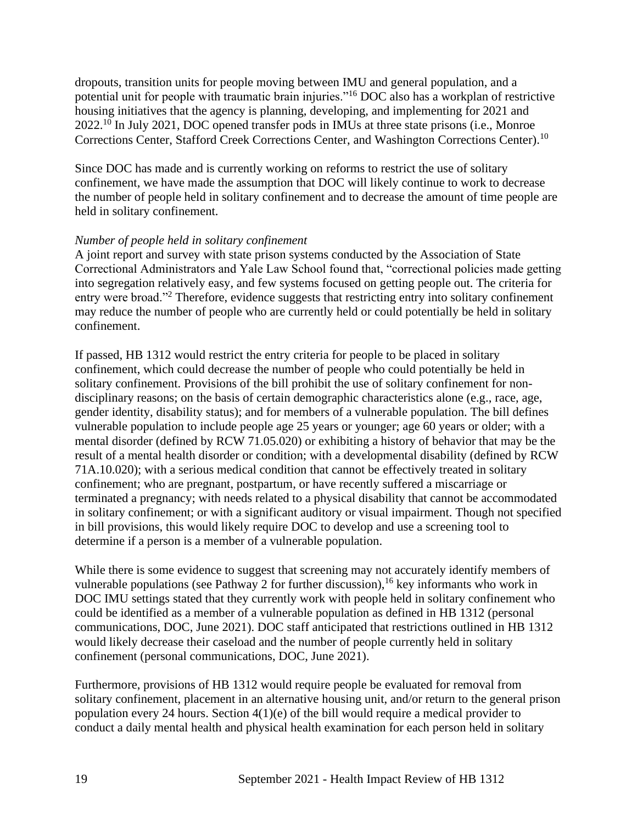dropouts, transition units for people moving between IMU and general population, and a potential unit for people with traumatic brain injuries."<sup>16</sup> DOC also has a workplan of restrictive housing initiatives that the agency is planning, developing, and implementing for 2021 and 2022.<sup>10</sup> In July 2021, DOC opened transfer pods in IMUs at three state prisons (i.e., Monroe Corrections Center, Stafford Creek Corrections Center, and Washington Corrections Center).<sup>10</sup>

Since DOC has made and is currently working on reforms to restrict the use of solitary confinement, we have made the assumption that DOC will likely continue to work to decrease the number of people held in solitary confinement and to decrease the amount of time people are held in solitary confinement.

### *Number of people held in solitary confinement*

A joint report and survey with state prison systems conducted by the Association of State Correctional Administrators and Yale Law School found that, "correctional policies made getting into segregation relatively easy, and few systems focused on getting people out. The criteria for entry were broad."<sup>2</sup> Therefore, evidence suggests that restricting entry into solitary confinement may reduce the number of people who are currently held or could potentially be held in solitary confinement.

If passed, HB 1312 would restrict the entry criteria for people to be placed in solitary confinement, which could decrease the number of people who could potentially be held in solitary confinement. Provisions of the bill prohibit the use of solitary confinement for nondisciplinary reasons; on the basis of certain demographic characteristics alone (e.g., race, age, gender identity, disability status); and for members of a vulnerable population. The bill defines vulnerable population to include people age 25 years or younger; age 60 years or older; with a mental disorder (defined by RCW 71.05.020) or exhibiting a history of behavior that may be the result of a mental health disorder or condition; with a developmental disability (defined by RCW 71A.10.020); with a serious medical condition that cannot be effectively treated in solitary confinement; who are pregnant, postpartum, or have recently suffered a miscarriage or terminated a pregnancy; with needs related to a physical disability that cannot be accommodated in solitary confinement; or with a significant auditory or visual impairment. Though not specified in bill provisions, this would likely require DOC to develop and use a screening tool to determine if a person is a member of a vulnerable population.

While there is some evidence to suggest that screening may not accurately identify members of vulnerable populations (see Pathway 2 for further discussion), <sup>16</sup> key informants who work in DOC IMU settings stated that they currently work with people held in solitary confinement who could be identified as a member of a vulnerable population as defined in HB 1312 (personal communications, DOC, June 2021). DOC staff anticipated that restrictions outlined in HB 1312 would likely decrease their caseload and the number of people currently held in solitary confinement (personal communications, DOC, June 2021).

Furthermore, provisions of HB 1312 would require people be evaluated for removal from solitary confinement, placement in an alternative housing unit, and/or return to the general prison population every 24 hours. Section  $4(1)(e)$  of the bill would require a medical provider to conduct a daily mental health and physical health examination for each person held in solitary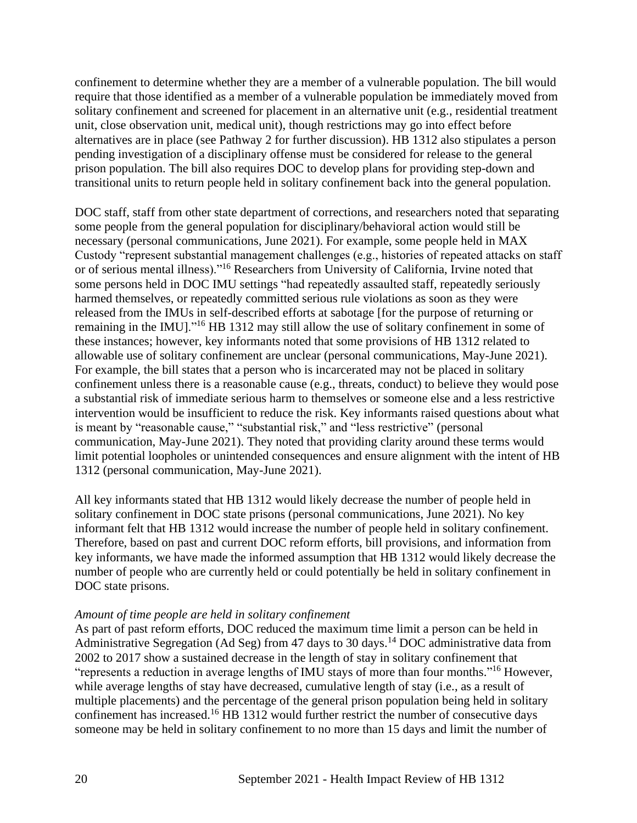confinement to determine whether they are a member of a vulnerable population. The bill would require that those identified as a member of a vulnerable population be immediately moved from solitary confinement and screened for placement in an alternative unit (e.g., residential treatment unit, close observation unit, medical unit), though restrictions may go into effect before alternatives are in place (see Pathway 2 for further discussion). HB 1312 also stipulates a person pending investigation of a disciplinary offense must be considered for release to the general prison population. The bill also requires DOC to develop plans for providing step-down and transitional units to return people held in solitary confinement back into the general population.

DOC staff, staff from other state department of corrections, and researchers noted that separating some people from the general population for disciplinary/behavioral action would still be necessary (personal communications, June 2021). For example, some people held in MAX Custody "represent substantial management challenges (e.g., histories of repeated attacks on staff or of serious mental illness)."<sup>16</sup> Researchers from University of California, Irvine noted that some persons held in DOC IMU settings "had repeatedly assaulted staff, repeatedly seriously harmed themselves, or repeatedly committed serious rule violations as soon as they were released from the IMUs in self-described efforts at sabotage [for the purpose of returning or remaining in the IMU]."<sup>16</sup> HB 1312 may still allow the use of solitary confinement in some of these instances; however, key informants noted that some provisions of HB 1312 related to allowable use of solitary confinement are unclear (personal communications, May-June 2021). For example, the bill states that a person who is incarcerated may not be placed in solitary confinement unless there is a reasonable cause (e.g., threats, conduct) to believe they would pose a substantial risk of immediate serious harm to themselves or someone else and a less restrictive intervention would be insufficient to reduce the risk. Key informants raised questions about what is meant by "reasonable cause," "substantial risk," and "less restrictive" (personal communication, May-June 2021). They noted that providing clarity around these terms would limit potential loopholes or unintended consequences and ensure alignment with the intent of HB 1312 (personal communication, May-June 2021).

All key informants stated that HB 1312 would likely decrease the number of people held in solitary confinement in DOC state prisons (personal communications, June 2021). No key informant felt that HB 1312 would increase the number of people held in solitary confinement. Therefore, based on past and current DOC reform efforts, bill provisions, and information from key informants, we have made the informed assumption that HB 1312 would likely decrease the number of people who are currently held or could potentially be held in solitary confinement in DOC state prisons.

#### *Amount of time people are held in solitary confinement*

As part of past reform efforts, DOC reduced the maximum time limit a person can be held in Administrative Segregation (Ad Seg) from 47 days to 30 days.<sup>14</sup> DOC administrative data from 2002 to 2017 show a sustained decrease in the length of stay in solitary confinement that "represents a reduction in average lengths of IMU stays of more than four months."<sup>16</sup> However, while average lengths of stay have decreased, cumulative length of stay (i.e., as a result of multiple placements) and the percentage of the general prison population being held in solitary confinement has increased.<sup>16</sup> HB 1312 would further restrict the number of consecutive days someone may be held in solitary confinement to no more than 15 days and limit the number of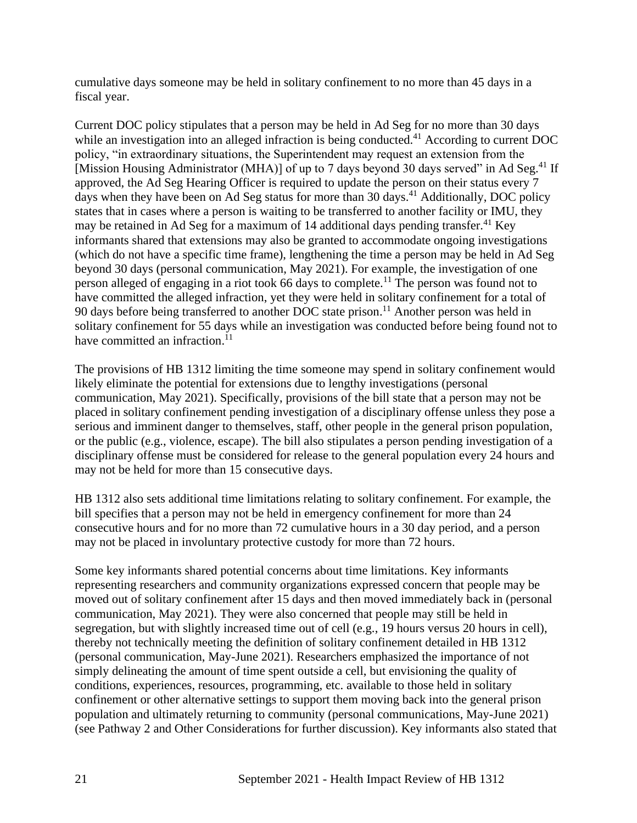cumulative days someone may be held in solitary confinement to no more than 45 days in a fiscal year.

Current DOC policy stipulates that a person may be held in Ad Seg for no more than 30 days while an investigation into an alleged infraction is being conducted.<sup>41</sup> According to current DOC policy, "in extraordinary situations, the Superintendent may request an extension from the [Mission Housing Administrator (MHA)] of up to 7 days beyond 30 days served" in Ad Seg.<sup>41</sup> If approved, the Ad Seg Hearing Officer is required to update the person on their status every 7 days when they have been on Ad Seg status for more than 30 days.<sup>41</sup> Additionally, DOC policy states that in cases where a person is waiting to be transferred to another facility or IMU, they may be retained in Ad Seg for a maximum of 14 additional days pending transfer.<sup>41</sup> Key informants shared that extensions may also be granted to accommodate ongoing investigations (which do not have a specific time frame), lengthening the time a person may be held in Ad Seg beyond 30 days (personal communication, May 2021). For example, the investigation of one person alleged of engaging in a riot took 66 days to complete.<sup>11</sup> The person was found not to have committed the alleged infraction, yet they were held in solitary confinement for a total of 90 days before being transferred to another DOC state prison.<sup>11</sup> Another person was held in solitary confinement for 55 days while an investigation was conducted before being found not to have committed an infraction.<sup>11</sup>

The provisions of HB 1312 limiting the time someone may spend in solitary confinement would likely eliminate the potential for extensions due to lengthy investigations (personal communication, May 2021). Specifically, provisions of the bill state that a person may not be placed in solitary confinement pending investigation of a disciplinary offense unless they pose a serious and imminent danger to themselves, staff, other people in the general prison population, or the public (e.g., violence, escape). The bill also stipulates a person pending investigation of a disciplinary offense must be considered for release to the general population every 24 hours and may not be held for more than 15 consecutive days.

HB 1312 also sets additional time limitations relating to solitary confinement. For example, the bill specifies that a person may not be held in emergency confinement for more than 24 consecutive hours and for no more than 72 cumulative hours in a 30 day period, and a person may not be placed in involuntary protective custody for more than 72 hours.

Some key informants shared potential concerns about time limitations. Key informants representing researchers and community organizations expressed concern that people may be moved out of solitary confinement after 15 days and then moved immediately back in (personal communication, May 2021). They were also concerned that people may still be held in segregation, but with slightly increased time out of cell (e.g., 19 hours versus 20 hours in cell), thereby not technically meeting the definition of solitary confinement detailed in HB 1312 (personal communication, May-June 2021). Researchers emphasized the importance of not simply delineating the amount of time spent outside a cell, but envisioning the quality of conditions, experiences, resources, programming, etc. available to those held in solitary confinement or other alternative settings to support them moving back into the general prison population and ultimately returning to community (personal communications, May-June 2021) (see Pathway 2 and Other Considerations for further discussion). Key informants also stated that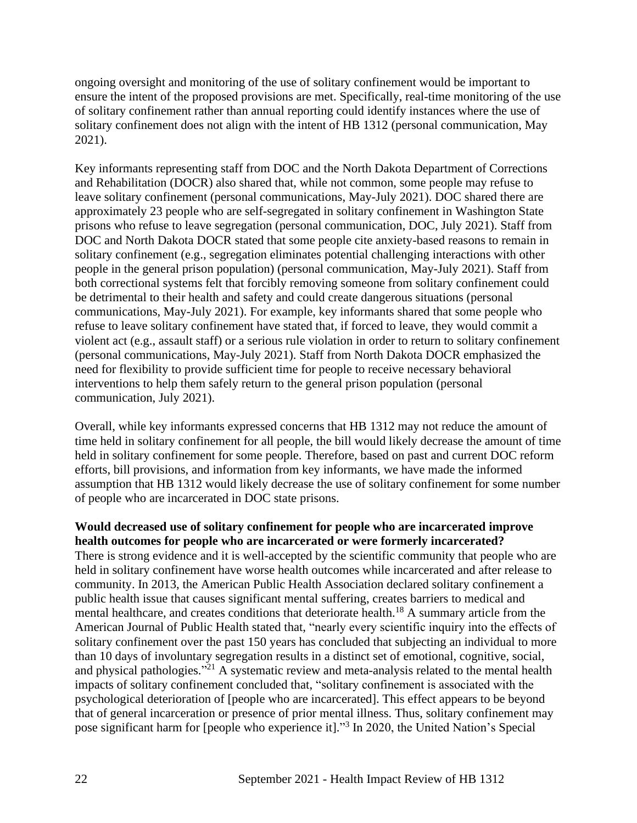ongoing oversight and monitoring of the use of solitary confinement would be important to ensure the intent of the proposed provisions are met. Specifically, real-time monitoring of the use of solitary confinement rather than annual reporting could identify instances where the use of solitary confinement does not align with the intent of HB 1312 (personal communication, May 2021).

Key informants representing staff from DOC and the North Dakota Department of Corrections and Rehabilitation (DOCR) also shared that, while not common, some people may refuse to leave solitary confinement (personal communications, May-July 2021). DOC shared there are approximately 23 people who are self-segregated in solitary confinement in Washington State prisons who refuse to leave segregation (personal communication, DOC, July 2021). Staff from DOC and North Dakota DOCR stated that some people cite anxiety-based reasons to remain in solitary confinement (e.g., segregation eliminates potential challenging interactions with other people in the general prison population) (personal communication, May-July 2021). Staff from both correctional systems felt that forcibly removing someone from solitary confinement could be detrimental to their health and safety and could create dangerous situations (personal communications, May-July 2021). For example, key informants shared that some people who refuse to leave solitary confinement have stated that, if forced to leave, they would commit a violent act (e.g., assault staff) or a serious rule violation in order to return to solitary confinement (personal communications, May-July 2021). Staff from North Dakota DOCR emphasized the need for flexibility to provide sufficient time for people to receive necessary behavioral interventions to help them safely return to the general prison population (personal communication, July 2021).

Overall, while key informants expressed concerns that HB 1312 may not reduce the amount of time held in solitary confinement for all people, the bill would likely decrease the amount of time held in solitary confinement for some people. Therefore, based on past and current DOC reform efforts, bill provisions, and information from key informants, we have made the informed assumption that HB 1312 would likely decrease the use of solitary confinement for some number of people who are incarcerated in DOC state prisons.

#### **Would decreased use of solitary confinement for people who are incarcerated improve health outcomes for people who are incarcerated or were formerly incarcerated?**

There is strong evidence and it is well-accepted by the scientific community that people who are held in solitary confinement have worse health outcomes while incarcerated and after release to community. In 2013, the American Public Health Association declared solitary confinement a public health issue that causes significant mental suffering, creates barriers to medical and mental healthcare, and creates conditions that deteriorate health.<sup>18</sup> A summary article from the American Journal of Public Health stated that, "nearly every scientific inquiry into the effects of solitary confinement over the past 150 years has concluded that subjecting an individual to more than 10 days of involuntary segregation results in a distinct set of emotional, cognitive, social, and physical pathologies."<sup>21</sup> A systematic review and meta-analysis related to the mental health impacts of solitary confinement concluded that, "solitary confinement is associated with the psychological deterioration of [people who are incarcerated]. This effect appears to be beyond that of general incarceration or presence of prior mental illness. Thus, solitary confinement may pose significant harm for [people who experience it]."<sup>3</sup> In 2020, the United Nation's Special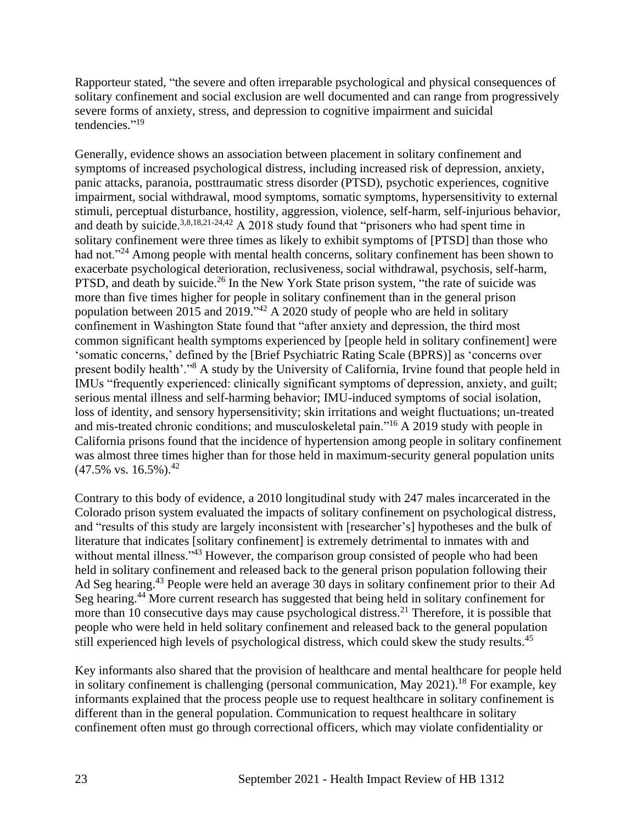Rapporteur stated, "the severe and often irreparable psychological and physical consequences of solitary confinement and social exclusion are well documented and can range from progressively severe forms of anxiety, stress, and depression to cognitive impairment and suicidal tendencies."<sup>19</sup>

Generally, evidence shows an association between placement in solitary confinement and symptoms of increased psychological distress, including increased risk of depression, anxiety, panic attacks, paranoia, posttraumatic stress disorder (PTSD), psychotic experiences, cognitive impairment, social withdrawal, mood symptoms, somatic symptoms, hypersensitivity to external stimuli, perceptual disturbance, hostility, aggression, violence, self-harm, self-injurious behavior, and death by suicide.<sup>3,8,18,21-24,42</sup> A 2018 study found that "prisoners who had spent time in solitary confinement were three times as likely to exhibit symptoms of [PTSD] than those who had not."<sup>24</sup> Among people with mental health concerns, solitary confinement has been shown to exacerbate psychological deterioration, reclusiveness, social withdrawal, psychosis, self-harm, PTSD, and death by suicide.<sup>26</sup> In the New York State prison system, "the rate of suicide was more than five times higher for people in solitary confinement than in the general prison population between 2015 and 2019.<sup> $342$ </sup> A 2020 study of people who are held in solitary confinement in Washington State found that "after anxiety and depression, the third most common significant health symptoms experienced by [people held in solitary confinement] were 'somatic concerns,' defined by the [Brief Psychiatric Rating Scale (BPRS)] as 'concerns over present bodily health'."<sup>8</sup> A study by the University of California, Irvine found that people held in IMUs "frequently experienced: clinically significant symptoms of depression, anxiety, and guilt; serious mental illness and self-harming behavior; IMU-induced symptoms of social isolation, loss of identity, and sensory hypersensitivity; skin irritations and weight fluctuations; un-treated and mis-treated chronic conditions; and musculoskeletal pain."<sup>16</sup> A 2019 study with people in California prisons found that the incidence of hypertension among people in solitary confinement was almost three times higher than for those held in maximum-security general population units  $(47.5\% \text{ vs. } 16.5\%).^{42}$ 

Contrary to this body of evidence, a 2010 longitudinal study with 247 males incarcerated in the Colorado prison system evaluated the impacts of solitary confinement on psychological distress, and "results of this study are largely inconsistent with [researcher's] hypotheses and the bulk of literature that indicates [solitary confinement] is extremely detrimental to inmates with and without mental illness."<sup>43</sup> However, the comparison group consisted of people who had been held in solitary confinement and released back to the general prison population following their Ad Seg hearing.<sup>43</sup> People were held an average 30 days in solitary confinement prior to their Ad Seg hearing.<sup>44</sup> More current research has suggested that being held in solitary confinement for more than 10 consecutive days may cause psychological distress.<sup>21</sup> Therefore, it is possible that people who were held in held solitary confinement and released back to the general population still experienced high levels of psychological distress, which could skew the study results.<sup>45</sup>

Key informants also shared that the provision of healthcare and mental healthcare for people held in solitary confinement is challenging (personal communication, May  $2021$ ).<sup>18</sup> For example, key informants explained that the process people use to request healthcare in solitary confinement is different than in the general population. Communication to request healthcare in solitary confinement often must go through correctional officers, which may violate confidentiality or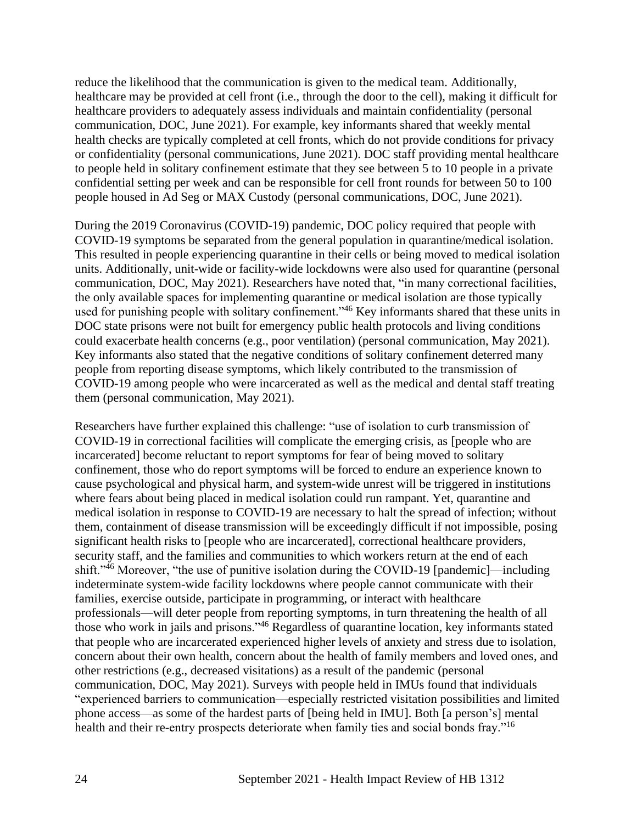reduce the likelihood that the communication is given to the medical team. Additionally, healthcare may be provided at cell front (i.e., through the door to the cell), making it difficult for healthcare providers to adequately assess individuals and maintain confidentiality (personal communication, DOC, June 2021). For example, key informants shared that weekly mental health checks are typically completed at cell fronts, which do not provide conditions for privacy or confidentiality (personal communications, June 2021). DOC staff providing mental healthcare to people held in solitary confinement estimate that they see between 5 to 10 people in a private confidential setting per week and can be responsible for cell front rounds for between 50 to 100 people housed in Ad Seg or MAX Custody (personal communications, DOC, June 2021).

During the 2019 Coronavirus (COVID-19) pandemic, DOC policy required that people with COVID-19 symptoms be separated from the general population in quarantine/medical isolation. This resulted in people experiencing quarantine in their cells or being moved to medical isolation units. Additionally, unit-wide or facility-wide lockdowns were also used for quarantine (personal communication, DOC, May 2021). Researchers have noted that, "in many correctional facilities, the only available spaces for implementing quarantine or medical isolation are those typically used for punishing people with solitary confinement."<sup>46</sup> Key informants shared that these units in DOC state prisons were not built for emergency public health protocols and living conditions could exacerbate health concerns (e.g., poor ventilation) (personal communication, May 2021). Key informants also stated that the negative conditions of solitary confinement deterred many people from reporting disease symptoms, which likely contributed to the transmission of COVID-19 among people who were incarcerated as well as the medical and dental staff treating them (personal communication, May 2021).

Researchers have further explained this challenge: "use of isolation to curb transmission of COVID-19 in correctional facilities will complicate the emerging crisis, as [people who are incarcerated] become reluctant to report symptoms for fear of being moved to solitary confinement, those who do report symptoms will be forced to endure an experience known to cause psychological and physical harm, and system-wide unrest will be triggered in institutions where fears about being placed in medical isolation could run rampant. Yet, quarantine and medical isolation in response to COVID-19 are necessary to halt the spread of infection; without them, containment of disease transmission will be exceedingly difficult if not impossible, posing significant health risks to [people who are incarcerated], correctional healthcare providers, security staff, and the families and communities to which workers return at the end of each shift."<sup>46</sup> Moreover, "the use of punitive isolation during the COVID-19 [pandemic]—including indeterminate system-wide facility lockdowns where people cannot communicate with their families, exercise outside, participate in programming, or interact with healthcare professionals—will deter people from reporting symptoms, in turn threatening the health of all those who work in jails and prisons."<sup>46</sup> Regardless of quarantine location, key informants stated that people who are incarcerated experienced higher levels of anxiety and stress due to isolation, concern about their own health, concern about the health of family members and loved ones, and other restrictions (e.g., decreased visitations) as a result of the pandemic (personal communication, DOC, May 2021). Surveys with people held in IMUs found that individuals "experienced barriers to communication—especially restricted visitation possibilities and limited phone access—as some of the hardest parts of [being held in IMU]. Both [a person's] mental health and their re-entry prospects deteriorate when family ties and social bonds fray."<sup>16</sup>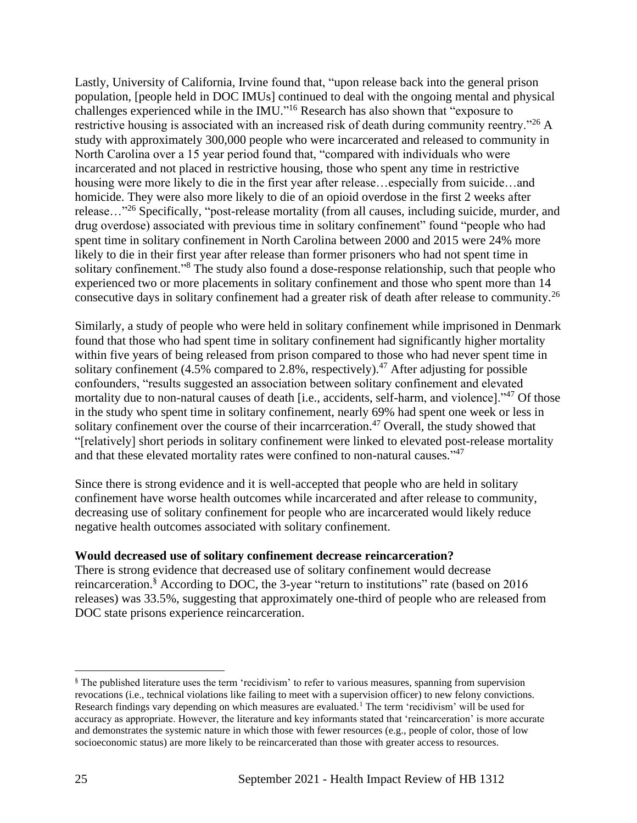Lastly, University of California, Irvine found that, "upon release back into the general prison population, [people held in DOC IMUs] continued to deal with the ongoing mental and physical challenges experienced while in the IMU."<sup>16</sup> Research has also shown that "exposure to restrictive housing is associated with an increased risk of death during community reentry."<sup>26</sup> A study with approximately 300,000 people who were incarcerated and released to community in North Carolina over a 15 year period found that, "compared with individuals who were incarcerated and not placed in restrictive housing, those who spent any time in restrictive housing were more likely to die in the first year after release...especially from suicide...and homicide. They were also more likely to die of an opioid overdose in the first 2 weeks after release…"<sup>26</sup> Specifically, "post-release mortality (from all causes, including suicide, murder, and drug overdose) associated with previous time in solitary confinement" found "people who had spent time in solitary confinement in North Carolina between 2000 and 2015 were 24% more likely to die in their first year after release than former prisoners who had not spent time in solitary confinement."<sup>8</sup> The study also found a dose-response relationship, such that people who experienced two or more placements in solitary confinement and those who spent more than 14 consecutive days in solitary confinement had a greater risk of death after release to community.<sup>26</sup>

Similarly, a study of people who were held in solitary confinement while imprisoned in Denmark found that those who had spent time in solitary confinement had significantly higher mortality within five years of being released from prison compared to those who had never spent time in solitary confinement  $(4.5\%$  compared to 2.8%, respectively).<sup>47</sup> After adjusting for possible confounders, "results suggested an association between solitary confinement and elevated mortality due to non-natural causes of death [i.e., accidents, self-harm, and violence]."<sup>47</sup> Of those in the study who spent time in solitary confinement, nearly 69% had spent one week or less in solitary confinement over the course of their incarrceration.<sup>47</sup> Overall, the study showed that "[relatively] short periods in solitary confinement were linked to elevated post-release mortality and that these elevated mortality rates were confined to non-natural causes."<sup>47</sup>

Since there is strong evidence and it is well-accepted that people who are held in solitary confinement have worse health outcomes while incarcerated and after release to community, decreasing use of solitary confinement for people who are incarcerated would likely reduce negative health outcomes associated with solitary confinement.

## **Would decreased use of solitary confinement decrease reincarceration?**

There is strong evidence that decreased use of solitary confinement would decrease reincarceration.<sup>§</sup> According to DOC, the 3-year "return to institutions" rate (based on 2016 releases) was 33.5%, suggesting that approximately one-third of people who are released from DOC state prisons experience reincarceration.

<sup>§</sup> The published literature uses the term 'recidivism' to refer to various measures, spanning from supervision revocations (i.e., technical violations like failing to meet with a supervision officer) to new felony convictions. Research findings vary depending on which measures are evaluated.<sup>1</sup> The term 'recidivism' will be used for accuracy as appropriate. However, the literature and key informants stated that 'reincarceration' is more accurate and demonstrates the systemic nature in which those with fewer resources (e.g., people of color, those of low socioeconomic status) are more likely to be reincarcerated than those with greater access to resources.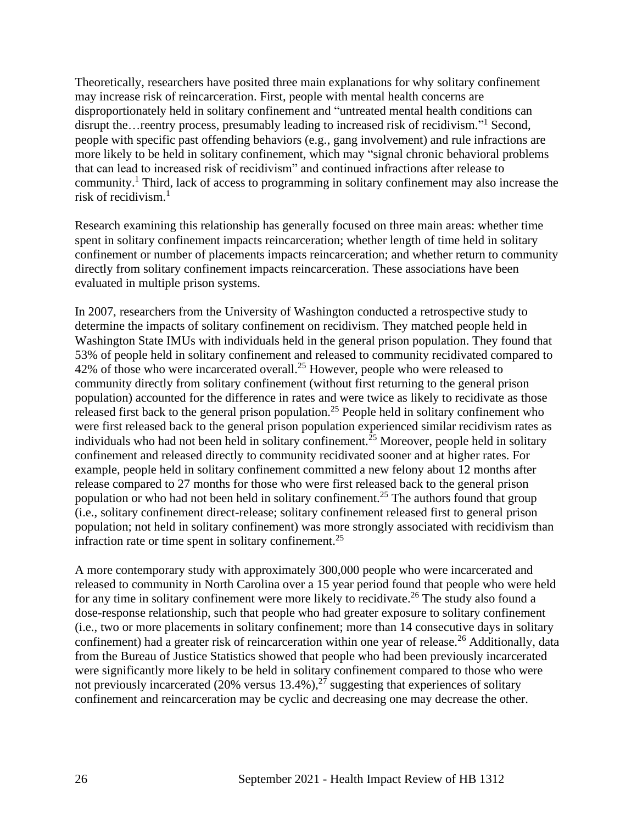Theoretically, researchers have posited three main explanations for why solitary confinement may increase risk of reincarceration. First, people with mental health concerns are disproportionately held in solitary confinement and "untreated mental health conditions can disrupt the... reentry process, presumably leading to increased risk of recidivism."<sup>1</sup> Second, people with specific past offending behaviors (e.g., gang involvement) and rule infractions are more likely to be held in solitary confinement, which may "signal chronic behavioral problems that can lead to increased risk of recidivism" and continued infractions after release to community.<sup>1</sup> Third, lack of access to programming in solitary confinement may also increase the risk of recidivism. $<sup>1</sup>$ </sup>

Research examining this relationship has generally focused on three main areas: whether time spent in solitary confinement impacts reincarceration; whether length of time held in solitary confinement or number of placements impacts reincarceration; and whether return to community directly from solitary confinement impacts reincarceration. These associations have been evaluated in multiple prison systems.

In 2007, researchers from the University of Washington conducted a retrospective study to determine the impacts of solitary confinement on recidivism. They matched people held in Washington State IMUs with individuals held in the general prison population. They found that 53% of people held in solitary confinement and released to community recidivated compared to 42% of those who were incarcerated overall.<sup>25</sup> However, people who were released to community directly from solitary confinement (without first returning to the general prison population) accounted for the difference in rates and were twice as likely to recidivate as those released first back to the general prison population.<sup>25</sup> People held in solitary confinement who were first released back to the general prison population experienced similar recidivism rates as individuals who had not been held in solitary confinement.<sup>25</sup> Moreover, people held in solitary confinement and released directly to community recidivated sooner and at higher rates. For example, people held in solitary confinement committed a new felony about 12 months after release compared to 27 months for those who were first released back to the general prison population or who had not been held in solitary confinement.<sup>25</sup> The authors found that group (i.e., solitary confinement direct-release; solitary confinement released first to general prison population; not held in solitary confinement) was more strongly associated with recidivism than infraction rate or time spent in solitary confinement.<sup>25</sup>

A more contemporary study with approximately 300,000 people who were incarcerated and released to community in North Carolina over a 15 year period found that people who were held for any time in solitary confinement were more likely to recidivate.<sup>26</sup> The study also found a dose-response relationship, such that people who had greater exposure to solitary confinement (i.e., two or more placements in solitary confinement; more than 14 consecutive days in solitary confinement) had a greater risk of reincarceration within one year of release.<sup>26</sup> Additionally, data from the Bureau of Justice Statistics showed that people who had been previously incarcerated were significantly more likely to be held in solitary confinement compared to those who were not previously incarcerated  $(20\%$  versus  $13.4\%)$ ,<sup>27</sup> suggesting that experiences of solitary confinement and reincarceration may be cyclic and decreasing one may decrease the other.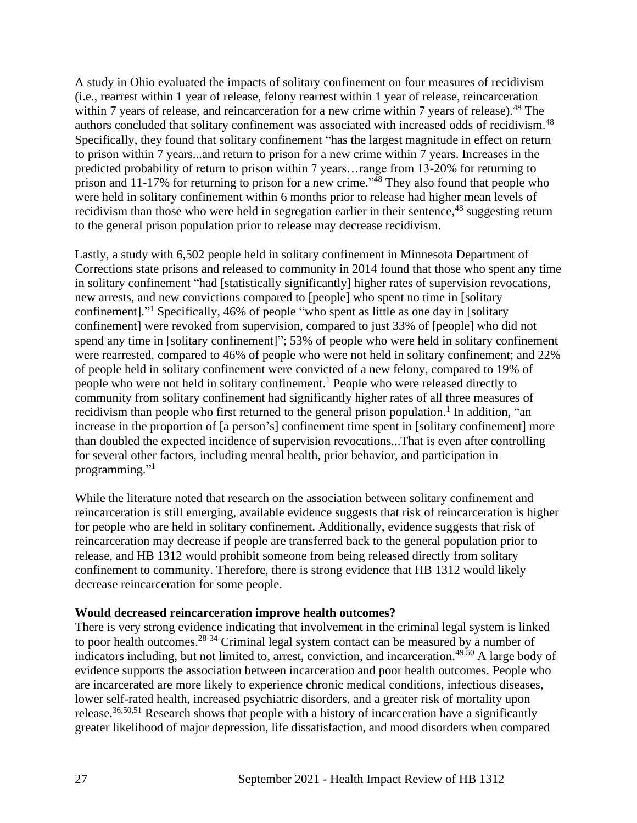A study in Ohio evaluated the impacts of solitary confinement on four measures of recidivism (i.e., rearrest within 1 year of release, felony rearrest within 1 year of release, reincarceration within 7 years of release, and reincarceration for a new crime within 7 years of release).<sup>48</sup> The authors concluded that solitary confinement was associated with increased odds of recidivism.<sup>48</sup> Specifically, they found that solitary confinement "has the largest magnitude in effect on return to prison within 7 years...and return to prison for a new crime within 7 years. Increases in the predicted probability of return to prison within 7 years…range from 13-20% for returning to prison and 11-17% for returning to prison for a new crime." $\frac{3}{48}$  They also found that people who were held in solitary confinement within 6 months prior to release had higher mean levels of recidivism than those who were held in segregation earlier in their sentence,<sup>48</sup> suggesting return to the general prison population prior to release may decrease recidivism.

Lastly, a study with 6,502 people held in solitary confinement in Minnesota Department of Corrections state prisons and released to community in 2014 found that those who spent any time in solitary confinement "had [statistically significantly] higher rates of supervision revocations, new arrests, and new convictions compared to [people] who spent no time in [solitary confinement]." <sup>1</sup> Specifically, 46% of people "who spent as little as one day in [solitary confinement] were revoked from supervision, compared to just 33% of [people] who did not spend any time in [solitary confinement]"; 53% of people who were held in solitary confinement were rearrested, compared to 46% of people who were not held in solitary confinement; and 22% of people held in solitary confinement were convicted of a new felony, compared to 19% of people who were not held in solitary confinement.<sup>1</sup> People who were released directly to community from solitary confinement had significantly higher rates of all three measures of recidivism than people who first returned to the general prison population.<sup>1</sup> In addition, "an increase in the proportion of [a person's] confinement time spent in [solitary confinement] more than doubled the expected incidence of supervision revocations...That is even after controlling for several other factors, including mental health, prior behavior, and participation in programming."<sup>1</sup>

While the literature noted that research on the association between solitary confinement and reincarceration is still emerging, available evidence suggests that risk of reincarceration is higher for people who are held in solitary confinement. Additionally, evidence suggests that risk of reincarceration may decrease if people are transferred back to the general population prior to release, and HB 1312 would prohibit someone from being released directly from solitary confinement to community. Therefore, there is strong evidence that HB 1312 would likely decrease reincarceration for some people.

#### **Would decreased reincarceration improve health outcomes?**

There is very strong evidence indicating that involvement in the criminal legal system is linked to poor health outcomes.<sup>28-34</sup> Criminal legal system contact can be measured by a number of indicators including, but not limited to, arrest, conviction, and incarceration.<sup>49,50</sup> A large body of evidence supports the association between incarceration and poor health outcomes. People who are incarcerated are more likely to experience chronic medical conditions, infectious diseases, lower self-rated health, increased psychiatric disorders, and a greater risk of mortality upon release.36,50,51 Research shows that people with a history of incarceration have a significantly greater likelihood of major depression, life dissatisfaction, and mood disorders when compared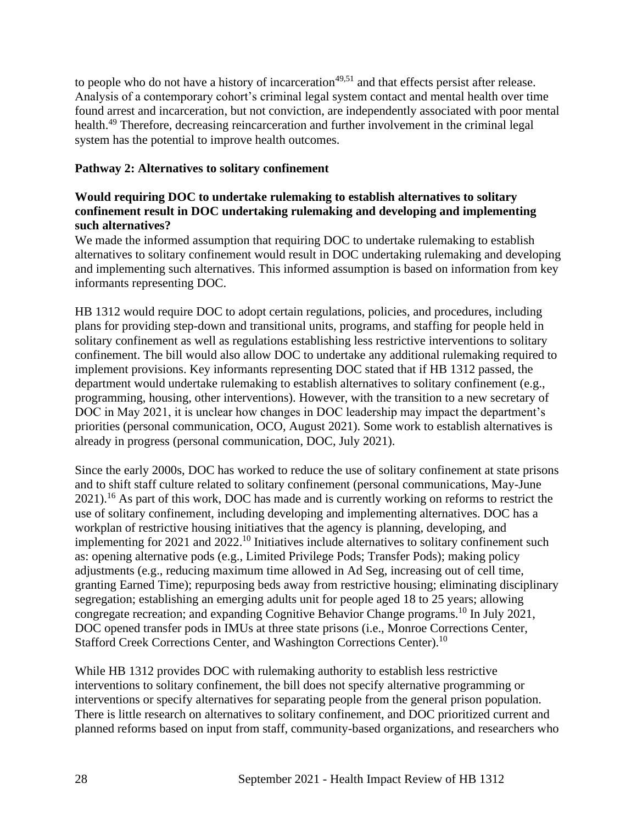to people who do not have a history of incarceration<sup> $49,51$ </sup> and that effects persist after release. Analysis of a contemporary cohort's criminal legal system contact and mental health over time found arrest and incarceration, but not conviction, are independently associated with poor mental health.<sup>49</sup> Therefore, decreasing reincarceration and further involvement in the criminal legal system has the potential to improve health outcomes.

## **Pathway 2: Alternatives to solitary confinement**

## **Would requiring DOC to undertake rulemaking to establish alternatives to solitary confinement result in DOC undertaking rulemaking and developing and implementing such alternatives?**

We made the informed assumption that requiring DOC to undertake rulemaking to establish alternatives to solitary confinement would result in DOC undertaking rulemaking and developing and implementing such alternatives. This informed assumption is based on information from key informants representing DOC.

HB 1312 would require DOC to adopt certain regulations, policies, and procedures, including plans for providing step-down and transitional units, programs, and staffing for people held in solitary confinement as well as regulations establishing less restrictive interventions to solitary confinement. The bill would also allow DOC to undertake any additional rulemaking required to implement provisions. Key informants representing DOC stated that if HB 1312 passed, the department would undertake rulemaking to establish alternatives to solitary confinement (e.g., programming, housing, other interventions). However, with the transition to a new secretary of DOC in May 2021, it is unclear how changes in DOC leadership may impact the department's priorities (personal communication, OCO, August 2021). Some work to establish alternatives is already in progress (personal communication, DOC, July 2021).

Since the early 2000s, DOC has worked to reduce the use of solitary confinement at state prisons and to shift staff culture related to solitary confinement (personal communications, May-June 2021).<sup>16</sup> As part of this work, DOC has made and is currently working on reforms to restrict the use of solitary confinement, including developing and implementing alternatives. DOC has a workplan of restrictive housing initiatives that the agency is planning, developing, and implementing for 2021 and 2022.<sup>10</sup> Initiatives include alternatives to solitary confinement such as: opening alternative pods (e.g., Limited Privilege Pods; Transfer Pods); making policy adjustments (e.g., reducing maximum time allowed in Ad Seg, increasing out of cell time, granting Earned Time); repurposing beds away from restrictive housing; eliminating disciplinary segregation; establishing an emerging adults unit for people aged 18 to 25 years; allowing congregate recreation; and expanding Cognitive Behavior Change programs.<sup>10</sup> In July 2021, DOC opened transfer pods in IMUs at three state prisons (i.e., Monroe Corrections Center, Stafford Creek Corrections Center, and Washington Corrections Center).<sup>10</sup>

While HB 1312 provides DOC with rulemaking authority to establish less restrictive interventions to solitary confinement, the bill does not specify alternative programming or interventions or specify alternatives for separating people from the general prison population. There is little research on alternatives to solitary confinement, and DOC prioritized current and planned reforms based on input from staff, community-based organizations, and researchers who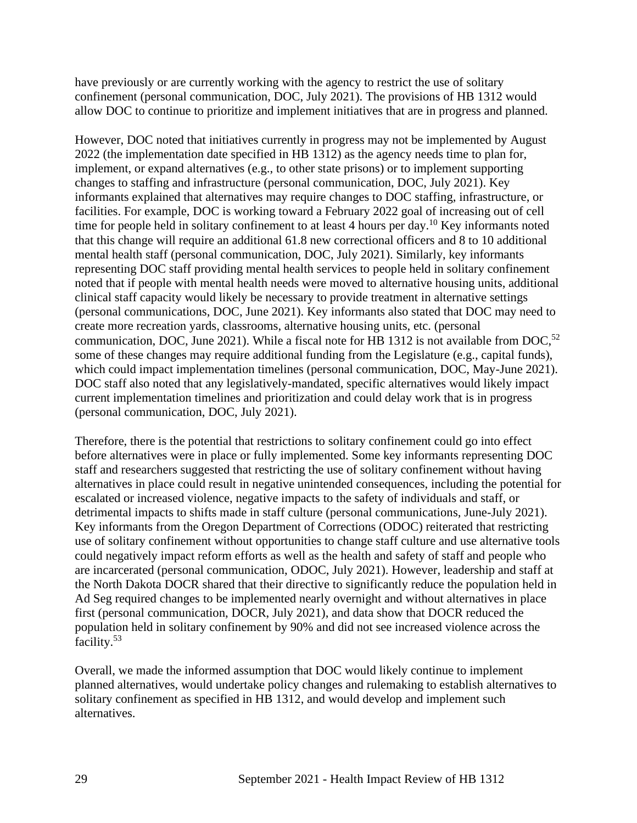have previously or are currently working with the agency to restrict the use of solitary confinement (personal communication, DOC, July 2021). The provisions of HB 1312 would allow DOC to continue to prioritize and implement initiatives that are in progress and planned.

However, DOC noted that initiatives currently in progress may not be implemented by August 2022 (the implementation date specified in HB 1312) as the agency needs time to plan for, implement, or expand alternatives (e.g., to other state prisons) or to implement supporting changes to staffing and infrastructure (personal communication, DOC, July 2021). Key informants explained that alternatives may require changes to DOC staffing, infrastructure, or facilities. For example, DOC is working toward a February 2022 goal of increasing out of cell time for people held in solitary confinement to at least 4 hours per day.<sup>10</sup> Key informants noted that this change will require an additional 61.8 new correctional officers and 8 to 10 additional mental health staff (personal communication, DOC, July 2021). Similarly, key informants representing DOC staff providing mental health services to people held in solitary confinement noted that if people with mental health needs were moved to alternative housing units, additional clinical staff capacity would likely be necessary to provide treatment in alternative settings (personal communications, DOC, June 2021). Key informants also stated that DOC may need to create more recreation yards, classrooms, alternative housing units, etc. (personal communication, DOC, June 2021). While a fiscal note for HB 1312 is not available from DOC,<sup>52</sup> some of these changes may require additional funding from the Legislature (e.g., capital funds), which could impact implementation timelines (personal communication, DOC, May-June 2021). DOC staff also noted that any legislatively-mandated, specific alternatives would likely impact current implementation timelines and prioritization and could delay work that is in progress (personal communication, DOC, July 2021).

Therefore, there is the potential that restrictions to solitary confinement could go into effect before alternatives were in place or fully implemented. Some key informants representing DOC staff and researchers suggested that restricting the use of solitary confinement without having alternatives in place could result in negative unintended consequences, including the potential for escalated or increased violence, negative impacts to the safety of individuals and staff, or detrimental impacts to shifts made in staff culture (personal communications, June-July 2021). Key informants from the Oregon Department of Corrections (ODOC) reiterated that restricting use of solitary confinement without opportunities to change staff culture and use alternative tools could negatively impact reform efforts as well as the health and safety of staff and people who are incarcerated (personal communication, ODOC, July 2021). However, leadership and staff at the North Dakota DOCR shared that their directive to significantly reduce the population held in Ad Seg required changes to be implemented nearly overnight and without alternatives in place first (personal communication, DOCR, July 2021), and data show that DOCR reduced the population held in solitary confinement by 90% and did not see increased violence across the facility.<sup>53</sup>

Overall, we made the informed assumption that DOC would likely continue to implement planned alternatives, would undertake policy changes and rulemaking to establish alternatives to solitary confinement as specified in HB 1312, and would develop and implement such alternatives.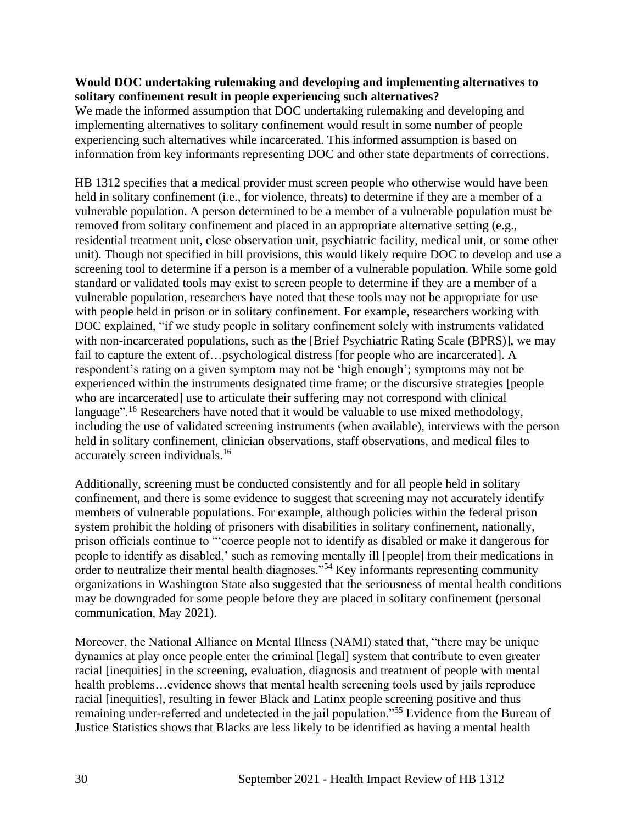### **Would DOC undertaking rulemaking and developing and implementing alternatives to solitary confinement result in people experiencing such alternatives?**

We made the informed assumption that DOC undertaking rulemaking and developing and implementing alternatives to solitary confinement would result in some number of people experiencing such alternatives while incarcerated. This informed assumption is based on information from key informants representing DOC and other state departments of corrections.

HB 1312 specifies that a medical provider must screen people who otherwise would have been held in solitary confinement (i.e., for violence, threats) to determine if they are a member of a vulnerable population. A person determined to be a member of a vulnerable population must be removed from solitary confinement and placed in an appropriate alternative setting (e.g., residential treatment unit, close observation unit, psychiatric facility, medical unit, or some other unit). Though not specified in bill provisions, this would likely require DOC to develop and use a screening tool to determine if a person is a member of a vulnerable population. While some gold standard or validated tools may exist to screen people to determine if they are a member of a vulnerable population, researchers have noted that these tools may not be appropriate for use with people held in prison or in solitary confinement. For example, researchers working with DOC explained, "if we study people in solitary confinement solely with instruments validated with non-incarcerated populations, such as the [Brief Psychiatric Rating Scale (BPRS)], we may fail to capture the extent of...psychological distress [for people who are incarcerated]. A respondent's rating on a given symptom may not be 'high enough'; symptoms may not be experienced within the instruments designated time frame; or the discursive strategies [people who are incarcerated] use to articulate their suffering may not correspond with clinical language".<sup>16</sup> Researchers have noted that it would be valuable to use mixed methodology, including the use of validated screening instruments (when available), interviews with the person held in solitary confinement, clinician observations, staff observations, and medical files to accurately screen individuals. 16

Additionally, screening must be conducted consistently and for all people held in solitary confinement, and there is some evidence to suggest that screening may not accurately identify members of vulnerable populations. For example, although policies within the federal prison system prohibit the holding of prisoners with disabilities in solitary confinement, nationally, prison officials continue to "'coerce people not to identify as disabled or make it dangerous for people to identify as disabled,' such as removing mentally ill [people] from their medications in order to neutralize their mental health diagnoses."<sup>54</sup> Key informants representing community organizations in Washington State also suggested that the seriousness of mental health conditions may be downgraded for some people before they are placed in solitary confinement (personal communication, May 2021).

Moreover, the National Alliance on Mental Illness (NAMI) stated that, "there may be unique dynamics at play once people enter the criminal [legal] system that contribute to even greater racial [inequities] in the screening, evaluation, diagnosis and treatment of people with mental health problems...evidence shows that mental health screening tools used by jails reproduce racial [inequities], resulting in fewer Black and Latinx people screening positive and thus remaining under-referred and undetected in the jail population."<sup>55</sup> Evidence from the Bureau of Justice Statistics shows that Blacks are less likely to be identified as having a mental health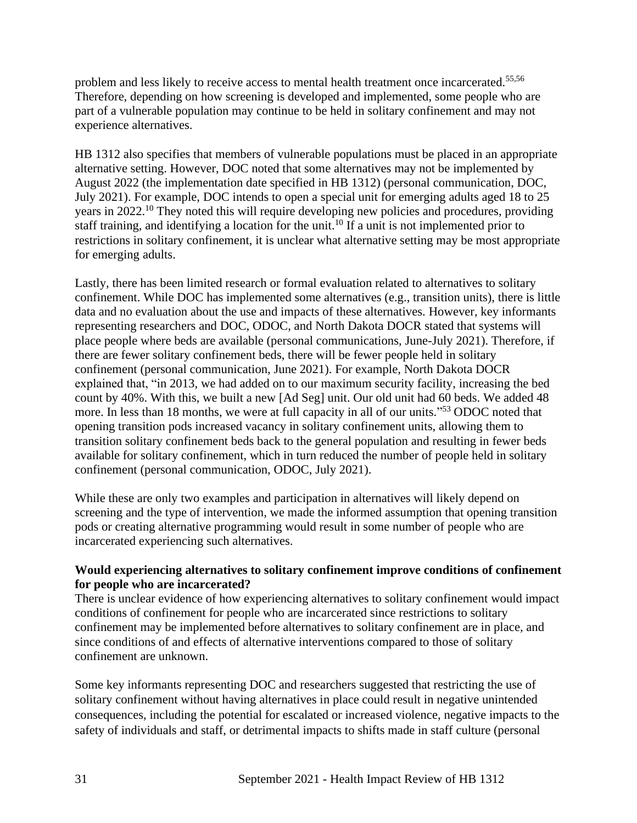problem and less likely to receive access to mental health treatment once incarcerated.<sup>55,56</sup> Therefore, depending on how screening is developed and implemented, some people who are part of a vulnerable population may continue to be held in solitary confinement and may not experience alternatives.

HB 1312 also specifies that members of vulnerable populations must be placed in an appropriate alternative setting. However, DOC noted that some alternatives may not be implemented by August 2022 (the implementation date specified in HB 1312) (personal communication, DOC, July 2021). For example, DOC intends to open a special unit for emerging adults aged 18 to 25 years in 2022.<sup>10</sup> They noted this will require developing new policies and procedures, providing staff training, and identifying a location for the unit.<sup>10</sup> If a unit is not implemented prior to restrictions in solitary confinement, it is unclear what alternative setting may be most appropriate for emerging adults.

Lastly, there has been limited research or formal evaluation related to alternatives to solitary confinement. While DOC has implemented some alternatives (e.g., transition units), there is little data and no evaluation about the use and impacts of these alternatives. However, key informants representing researchers and DOC, ODOC, and North Dakota DOCR stated that systems will place people where beds are available (personal communications, June-July 2021). Therefore, if there are fewer solitary confinement beds, there will be fewer people held in solitary confinement (personal communication, June 2021). For example, North Dakota DOCR explained that, "in 2013, we had added on to our maximum security facility, increasing the bed count by 40%. With this, we built a new [Ad Seg] unit. Our old unit had 60 beds. We added 48 more. In less than 18 months, we were at full capacity in all of our units."<sup>53</sup> ODOC noted that opening transition pods increased vacancy in solitary confinement units, allowing them to transition solitary confinement beds back to the general population and resulting in fewer beds available for solitary confinement, which in turn reduced the number of people held in solitary confinement (personal communication, ODOC, July 2021).

While these are only two examples and participation in alternatives will likely depend on screening and the type of intervention, we made the informed assumption that opening transition pods or creating alternative programming would result in some number of people who are incarcerated experiencing such alternatives.

### **Would experiencing alternatives to solitary confinement improve conditions of confinement for people who are incarcerated?**

There is unclear evidence of how experiencing alternatives to solitary confinement would impact conditions of confinement for people who are incarcerated since restrictions to solitary confinement may be implemented before alternatives to solitary confinement are in place, and since conditions of and effects of alternative interventions compared to those of solitary confinement are unknown.

Some key informants representing DOC and researchers suggested that restricting the use of solitary confinement without having alternatives in place could result in negative unintended consequences, including the potential for escalated or increased violence, negative impacts to the safety of individuals and staff, or detrimental impacts to shifts made in staff culture (personal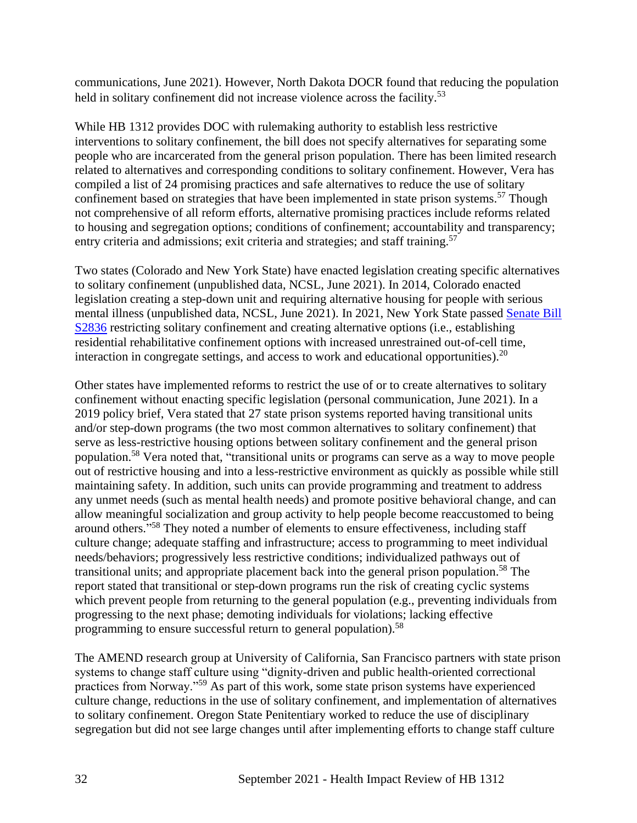communications, June 2021). However, North Dakota DOCR found that reducing the population held in solitary confinement did not increase violence across the facility.<sup>53</sup>

While HB 1312 provides DOC with rulemaking authority to establish less restrictive interventions to solitary confinement, the bill does not specify alternatives for separating some people who are incarcerated from the general prison population. There has been limited research related to alternatives and corresponding conditions to solitary confinement. However, Vera has compiled a list of 24 promising practices and safe alternatives to reduce the use of solitary confinement based on strategies that have been implemented in state prison systems.<sup>57</sup> Though not comprehensive of all reform efforts, alternative promising practices include reforms related to housing and segregation options; conditions of confinement; accountability and transparency; entry criteria and admissions; exit criteria and strategies; and staff training.<sup>57</sup>

Two states (Colorado and New York State) have enacted legislation creating specific alternatives to solitary confinement (unpublished data, NCSL, June 2021). In 2014, Colorado enacted legislation creating a step-down unit and requiring alternative housing for people with serious mental illness (unpublished data, NCSL, June 2021). In 2021, New York State passed [Senate Bill](https://www.nysenate.gov/legislation/bills/2021/S2836)  [S2836](https://www.nysenate.gov/legislation/bills/2021/S2836) restricting solitary confinement and creating alternative options (i.e., establishing residential rehabilitative confinement options with increased unrestrained out-of-cell time, interaction in congregate settings, and access to work and educational opportunities).  $20$ 

Other states have implemented reforms to restrict the use of or to create alternatives to solitary confinement without enacting specific legislation (personal communication, June 2021). In a 2019 policy brief, Vera stated that 27 state prison systems reported having transitional units and/or step-down programs (the two most common alternatives to solitary confinement) that serve as less-restrictive housing options between solitary confinement and the general prison population.<sup>58</sup> Vera noted that, "transitional units or programs can serve as a way to move people out of restrictive housing and into a less-restrictive environment as quickly as possible while still maintaining safety. In addition, such units can provide programming and treatment to address any unmet needs (such as mental health needs) and promote positive behavioral change, and can allow meaningful socialization and group activity to help people become reaccustomed to being around others."<sup>58</sup> They noted a number of elements to ensure effectiveness, including staff culture change; adequate staffing and infrastructure; access to programming to meet individual needs/behaviors; progressively less restrictive conditions; individualized pathways out of transitional units; and appropriate placement back into the general prison population.<sup>58</sup> The report stated that transitional or step-down programs run the risk of creating cyclic systems which prevent people from returning to the general population (e.g., preventing individuals from progressing to the next phase; demoting individuals for violations; lacking effective programming to ensure successful return to general population).<sup>58</sup>

The AMEND research group at University of California, San Francisco partners with state prison systems to change staff culture using "dignity-driven and public health-oriented correctional practices from Norway."<sup>59</sup> As part of this work, some state prison systems have experienced culture change, reductions in the use of solitary confinement, and implementation of alternatives to solitary confinement. Oregon State Penitentiary worked to reduce the use of disciplinary segregation but did not see large changes until after implementing efforts to change staff culture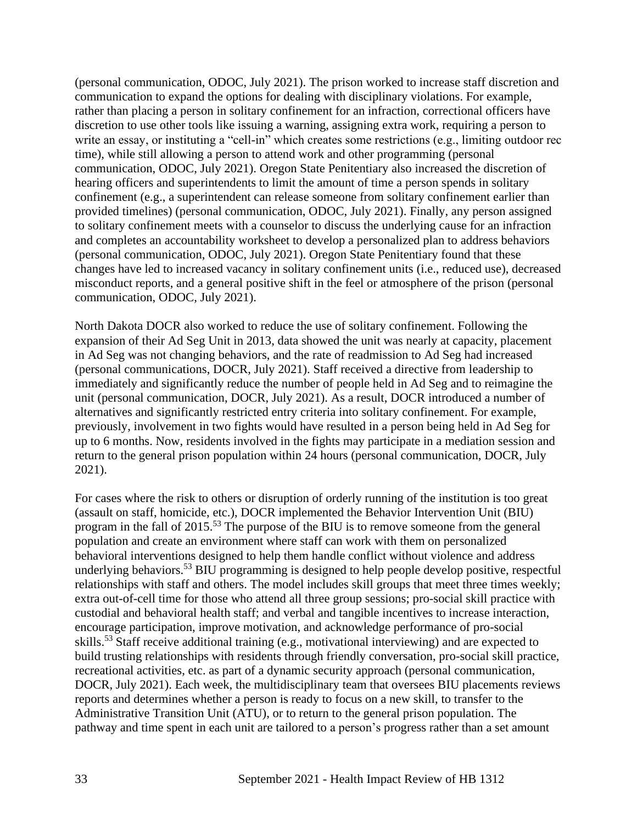(personal communication, ODOC, July 2021). The prison worked to increase staff discretion and communication to expand the options for dealing with disciplinary violations. For example, rather than placing a person in solitary confinement for an infraction, correctional officers have discretion to use other tools like issuing a warning, assigning extra work, requiring a person to write an essay, or instituting a "cell-in" which creates some restrictions (e.g., limiting outdoor rec time), while still allowing a person to attend work and other programming (personal communication, ODOC, July 2021). Oregon State Penitentiary also increased the discretion of hearing officers and superintendents to limit the amount of time a person spends in solitary confinement (e.g., a superintendent can release someone from solitary confinement earlier than provided timelines) (personal communication, ODOC, July 2021). Finally, any person assigned to solitary confinement meets with a counselor to discuss the underlying cause for an infraction and completes an accountability worksheet to develop a personalized plan to address behaviors (personal communication, ODOC, July 2021). Oregon State Penitentiary found that these changes have led to increased vacancy in solitary confinement units (i.e., reduced use), decreased misconduct reports, and a general positive shift in the feel or atmosphere of the prison (personal communication, ODOC, July 2021).

North Dakota DOCR also worked to reduce the use of solitary confinement. Following the expansion of their Ad Seg Unit in 2013, data showed the unit was nearly at capacity, placement in Ad Seg was not changing behaviors, and the rate of readmission to Ad Seg had increased (personal communications, DOCR, July 2021). Staff received a directive from leadership to immediately and significantly reduce the number of people held in Ad Seg and to reimagine the unit (personal communication, DOCR, July 2021). As a result, DOCR introduced a number of alternatives and significantly restricted entry criteria into solitary confinement. For example, previously, involvement in two fights would have resulted in a person being held in Ad Seg for up to 6 months. Now, residents involved in the fights may participate in a mediation session and return to the general prison population within 24 hours (personal communication, DOCR, July 2021).

For cases where the risk to others or disruption of orderly running of the institution is too great (assault on staff, homicide, etc.), DOCR implemented the Behavior Intervention Unit (BIU) program in the fall of 2015.<sup>53</sup> The purpose of the BIU is to remove someone from the general population and create an environment where staff can work with them on personalized behavioral interventions designed to help them handle conflict without violence and address underlying behaviors.<sup>53</sup> BIU programming is designed to help people develop positive, respectful relationships with staff and others. The model includes skill groups that meet three times weekly; extra out-of-cell time for those who attend all three group sessions; pro-social skill practice with custodial and behavioral health staff; and verbal and tangible incentives to increase interaction, encourage participation, improve motivation, and acknowledge performance of pro-social skills.<sup>53</sup> Staff receive additional training (e.g., motivational interviewing) and are expected to build trusting relationships with residents through friendly conversation, pro-social skill practice, recreational activities, etc. as part of a dynamic security approach (personal communication, DOCR, July 2021). Each week, the multidisciplinary team that oversees BIU placements reviews reports and determines whether a person is ready to focus on a new skill, to transfer to the Administrative Transition Unit (ATU), or to return to the general prison population. The pathway and time spent in each unit are tailored to a person's progress rather than a set amount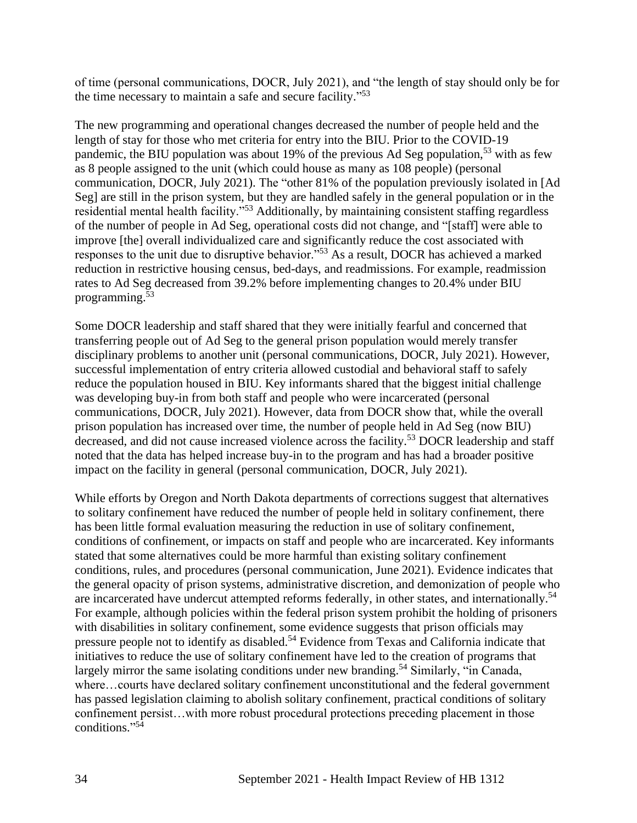of time (personal communications, DOCR, July 2021), and "the length of stay should only be for the time necessary to maintain a safe and secure facility."<sup>53</sup>

The new programming and operational changes decreased the number of people held and the length of stay for those who met criteria for entry into the BIU. Prior to the COVID-19 pandemic, the BIU population was about 19% of the previous Ad Seg population,<sup>53</sup> with as few as 8 people assigned to the unit (which could house as many as 108 people) (personal communication, DOCR, July 2021). The "other 81% of the population previously isolated in [Ad Seg] are still in the prison system, but they are handled safely in the general population or in the residential mental health facility."<sup>53</sup> Additionally, by maintaining consistent staffing regardless of the number of people in Ad Seg, operational costs did not change, and "[staff] were able to improve [the] overall individualized care and significantly reduce the cost associated with responses to the unit due to disruptive behavior."<sup>53</sup> As a result, DOCR has achieved a marked reduction in restrictive housing census, bed-days, and readmissions. For example, readmission rates to Ad Seg decreased from 39.2% before implementing changes to 20.4% under BIU programming. 53

Some DOCR leadership and staff shared that they were initially fearful and concerned that transferring people out of Ad Seg to the general prison population would merely transfer disciplinary problems to another unit (personal communications, DOCR, July 2021). However, successful implementation of entry criteria allowed custodial and behavioral staff to safely reduce the population housed in BIU. Key informants shared that the biggest initial challenge was developing buy-in from both staff and people who were incarcerated (personal communications, DOCR, July 2021). However, data from DOCR show that, while the overall prison population has increased over time, the number of people held in Ad Seg (now BIU) decreased, and did not cause increased violence across the facility.<sup>53</sup> DOCR leadership and staff noted that the data has helped increase buy-in to the program and has had a broader positive impact on the facility in general (personal communication, DOCR, July 2021).

While efforts by Oregon and North Dakota departments of corrections suggest that alternatives to solitary confinement have reduced the number of people held in solitary confinement, there has been little formal evaluation measuring the reduction in use of solitary confinement, conditions of confinement, or impacts on staff and people who are incarcerated. Key informants stated that some alternatives could be more harmful than existing solitary confinement conditions, rules, and procedures (personal communication, June 2021). Evidence indicates that the general opacity of prison systems, administrative discretion, and demonization of people who are incarcerated have undercut attempted reforms federally, in other states, and internationally.<sup>54</sup> For example, although policies within the federal prison system prohibit the holding of prisoners with disabilities in solitary confinement, some evidence suggests that prison officials may pressure people not to identify as disabled.<sup>54</sup> Evidence from Texas and California indicate that initiatives to reduce the use of solitary confinement have led to the creation of programs that largely mirror the same isolating conditions under new branding.<sup>54</sup> Similarly, "in Canada, where…courts have declared solitary confinement unconstitutional and the federal government has passed legislation claiming to abolish solitary confinement, practical conditions of solitary confinement persist…with more robust procedural protections preceding placement in those conditions." 54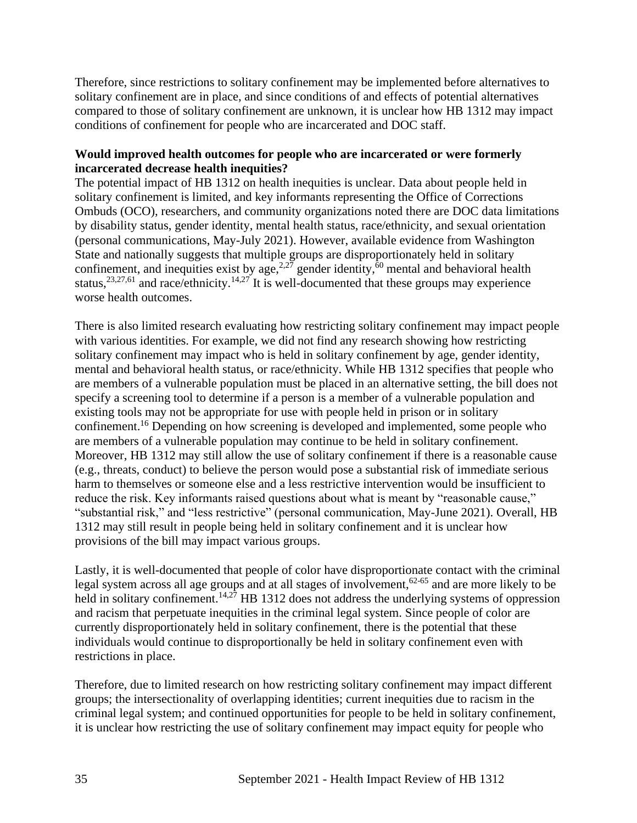Therefore, since restrictions to solitary confinement may be implemented before alternatives to solitary confinement are in place, and since conditions of and effects of potential alternatives compared to those of solitary confinement are unknown, it is unclear how HB 1312 may impact conditions of confinement for people who are incarcerated and DOC staff.

## **Would improved health outcomes for people who are incarcerated or were formerly incarcerated decrease health inequities?**

The potential impact of HB 1312 on health inequities is unclear. Data about people held in solitary confinement is limited, and key informants representing the Office of Corrections Ombuds (OCO), researchers, and community organizations noted there are DOC data limitations by disability status, gender identity, mental health status, race/ethnicity, and sexual orientation (personal communications, May-July 2021). However, available evidence from Washington State and nationally suggests that multiple groups are disproportionately held in solitary confinement, and inequities exist by age,  $2.27$  gender identity,  $60$  mental and behavioral health status,  $23,27,61$  and race/ethnicity.  $14,27$  It is well-documented that these groups may experience worse health outcomes.

There is also limited research evaluating how restricting solitary confinement may impact people with various identities. For example, we did not find any research showing how restricting solitary confinement may impact who is held in solitary confinement by age, gender identity, mental and behavioral health status, or race/ethnicity. While HB 1312 specifies that people who are members of a vulnerable population must be placed in an alternative setting, the bill does not specify a screening tool to determine if a person is a member of a vulnerable population and existing tools may not be appropriate for use with people held in prison or in solitary confinement.<sup>16</sup> Depending on how screening is developed and implemented, some people who are members of a vulnerable population may continue to be held in solitary confinement. Moreover, HB 1312 may still allow the use of solitary confinement if there is a reasonable cause (e.g., threats, conduct) to believe the person would pose a substantial risk of immediate serious harm to themselves or someone else and a less restrictive intervention would be insufficient to reduce the risk. Key informants raised questions about what is meant by "reasonable cause," "substantial risk," and "less restrictive" (personal communication, May-June 2021). Overall, HB 1312 may still result in people being held in solitary confinement and it is unclear how provisions of the bill may impact various groups.

Lastly, it is well-documented that people of color have disproportionate contact with the criminal legal system across all age groups and at all stages of involvement,<sup>62-65</sup> and are more likely to be held in solitary confinement.<sup>14,27</sup> HB 1312 does not address the underlying systems of oppression and racism that perpetuate inequities in the criminal legal system. Since people of color are currently disproportionately held in solitary confinement, there is the potential that these individuals would continue to disproportionally be held in solitary confinement even with restrictions in place.

Therefore, due to limited research on how restricting solitary confinement may impact different groups; the intersectionality of overlapping identities; current inequities due to racism in the criminal legal system; and continued opportunities for people to be held in solitary confinement, it is unclear how restricting the use of solitary confinement may impact equity for people who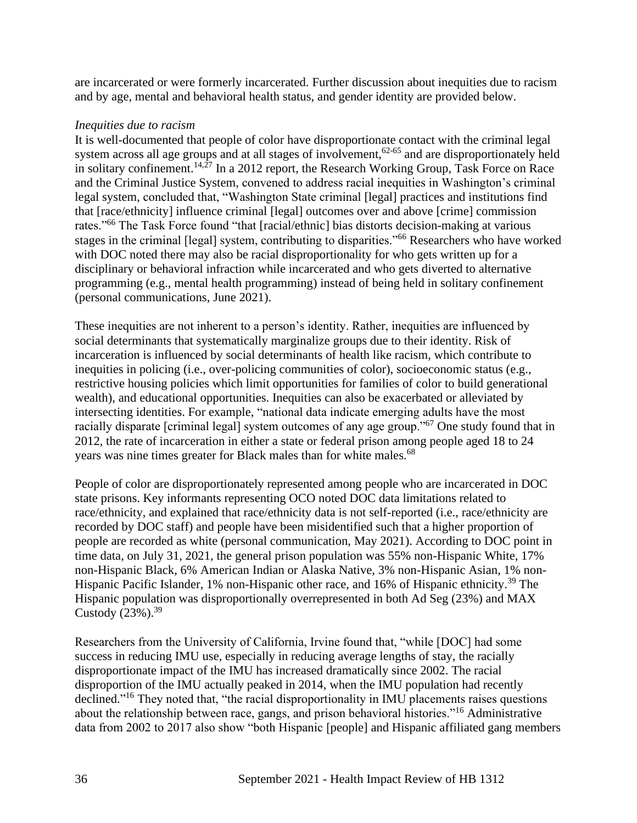are incarcerated or were formerly incarcerated. Further discussion about inequities due to racism and by age, mental and behavioral health status, and gender identity are provided below.

## *Inequities due to racism*

It is well-documented that people of color have disproportionate contact with the criminal legal system across all age groups and at all stages of involvement,<sup>62-65</sup> and are disproportionately held in solitary confinement.<sup>14,27</sup> In a 2012 report, the Research Working Group, Task Force on Race and the Criminal Justice System, convened to address racial inequities in Washington's criminal legal system, concluded that, "Washington State criminal [legal] practices and institutions find that [race/ethnicity] influence criminal [legal] outcomes over and above [crime] commission rates."<sup>66</sup> The Task Force found "that [racial/ethnic] bias distorts decision-making at various stages in the criminal [legal] system, contributing to disparities."<sup>66</sup> Researchers who have worked with DOC noted there may also be racial disproportionality for who gets written up for a disciplinary or behavioral infraction while incarcerated and who gets diverted to alternative programming (e.g., mental health programming) instead of being held in solitary confinement (personal communications, June 2021).

These inequities are not inherent to a person's identity. Rather, inequities are influenced by social determinants that systematically marginalize groups due to their identity. Risk of incarceration is influenced by social determinants of health like racism, which contribute to inequities in policing (i.e., over-policing communities of color), socioeconomic status (e.g., restrictive housing policies which limit opportunities for families of color to build generational wealth), and educational opportunities. Inequities can also be exacerbated or alleviated by intersecting identities. For example, "national data indicate emerging adults have the most racially disparate [criminal legal] system outcomes of any age group."<sup>67</sup> One study found that in 2012, the rate of incarceration in either a state or federal prison among people aged 18 to 24 years was nine times greater for Black males than for white males.<sup>68</sup>

People of color are disproportionately represented among people who are incarcerated in DOC state prisons. Key informants representing OCO noted DOC data limitations related to race/ethnicity, and explained that race/ethnicity data is not self-reported (i.e., race/ethnicity are recorded by DOC staff) and people have been misidentified such that a higher proportion of people are recorded as white (personal communication, May 2021). According to DOC point in time data, on July 31, 2021, the general prison population was 55% non-Hispanic White, 17% non-Hispanic Black, 6% American Indian or Alaska Native, 3% non-Hispanic Asian, 1% non-Hispanic Pacific Islander, 1% non-Hispanic other race, and 16% of Hispanic ethnicity.<sup>39</sup> The Hispanic population was disproportionally overrepresented in both Ad Seg (23%) and MAX Custody  $(23%)$ .<sup>39</sup>

Researchers from the University of California, Irvine found that, "while [DOC] had some success in reducing IMU use, especially in reducing average lengths of stay, the racially disproportionate impact of the IMU has increased dramatically since 2002. The racial disproportion of the IMU actually peaked in 2014, when the IMU population had recently declined."<sup>16</sup> They noted that, "the racial disproportionality in IMU placements raises questions about the relationship between race, gangs, and prison behavioral histories."<sup>16</sup> Administrative data from 2002 to 2017 also show "both Hispanic [people] and Hispanic affiliated gang members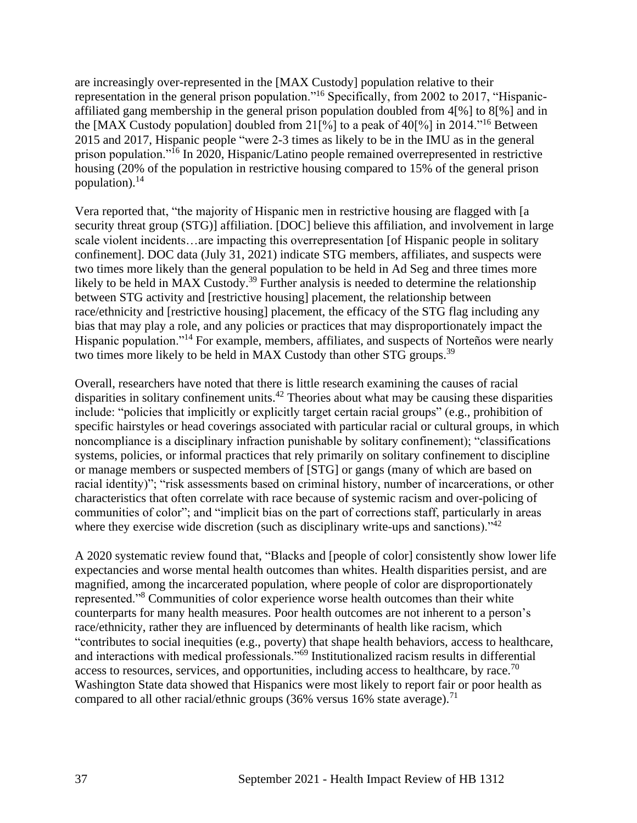are increasingly over-represented in the [MAX Custody] population relative to their representation in the general prison population."<sup>16</sup> Specifically, from 2002 to 2017, "Hispanicaffiliated gang membership in the general prison population doubled from 4[%] to 8[%] and in the [MAX Custody population] doubled from 21[%] to a peak of 40[%] in 2014.<sup>"16</sup> Between 2015 and 2017, Hispanic people "were 2-3 times as likely to be in the IMU as in the general prison population."<sup>16</sup> In 2020, Hispanic/Latino people remained overrepresented in restrictive housing (20% of the population in restrictive housing compared to 15% of the general prison population). $^{14}$ 

Vera reported that, "the majority of Hispanic men in restrictive housing are flagged with [a security threat group (STG)] affiliation. [DOC] believe this affiliation, and involvement in large scale violent incidents…are impacting this overrepresentation [of Hispanic people in solitary confinement]. DOC data (July 31, 2021) indicate STG members, affiliates, and suspects were two times more likely than the general population to be held in Ad Seg and three times more likely to be held in MAX Custody.<sup>39</sup> Further analysis is needed to determine the relationship between STG activity and [restrictive housing] placement, the relationship between race/ethnicity and [restrictive housing] placement, the efficacy of the STG flag including any bias that may play a role, and any policies or practices that may disproportionately impact the Hispanic population."<sup>14</sup> For example, members, affiliates, and suspects of Norteños were nearly two times more likely to be held in MAX Custody than other STG groups.<sup>39</sup>

Overall, researchers have noted that there is little research examining the causes of racial disparities in solitary confinement units.<sup>42</sup> Theories about what may be causing these disparities include: "policies that implicitly or explicitly target certain racial groups" (e.g., prohibition of specific hairstyles or head coverings associated with particular racial or cultural groups, in which noncompliance is a disciplinary infraction punishable by solitary confinement); "classifications systems, policies, or informal practices that rely primarily on solitary confinement to discipline or manage members or suspected members of [STG] or gangs (many of which are based on racial identity)"; "risk assessments based on criminal history, number of incarcerations, or other characteristics that often correlate with race because of systemic racism and over-policing of communities of color"; and "implicit bias on the part of corrections staff, particularly in areas where they exercise wide discretion (such as disciplinary write-ups and sanctions). $1^{342}$ 

A 2020 systematic review found that, "Blacks and [people of color] consistently show lower life expectancies and worse mental health outcomes than whites. Health disparities persist, and are magnified, among the incarcerated population, where people of color are disproportionately represented."<sup>8</sup> Communities of color experience worse health outcomes than their white counterparts for many health measures. Poor health outcomes are not inherent to a person's race/ethnicity, rather they are influenced by determinants of health like racism, which "contributes to social inequities (e.g., poverty) that shape health behaviors, access to healthcare, and interactions with medical professionals."<sup>69</sup> Institutionalized racism results in differential access to resources, services, and opportunities, including access to healthcare, by race.<sup>70</sup> Washington State data showed that Hispanics were most likely to report fair or poor health as compared to all other racial/ethnic groups (36% versus 16% state average).<sup>71</sup>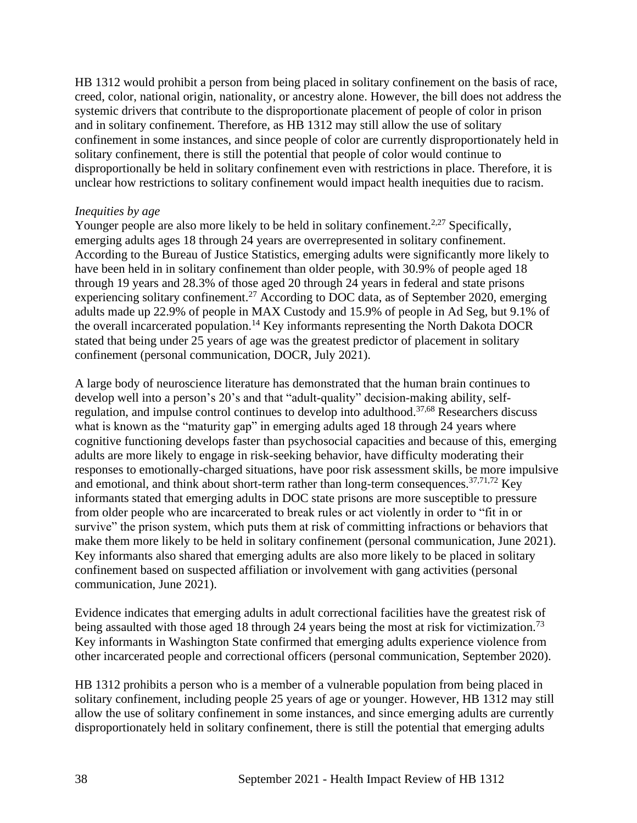HB 1312 would prohibit a person from being placed in solitary confinement on the basis of race, creed, color, national origin, nationality, or ancestry alone. However, the bill does not address the systemic drivers that contribute to the disproportionate placement of people of color in prison and in solitary confinement. Therefore, as HB 1312 may still allow the use of solitary confinement in some instances, and since people of color are currently disproportionately held in solitary confinement, there is still the potential that people of color would continue to disproportionally be held in solitary confinement even with restrictions in place. Therefore, it is unclear how restrictions to solitary confinement would impact health inequities due to racism.

#### *Inequities by age*

Younger people are also more likely to be held in solitary confinement.<sup>2,27</sup> Specifically, emerging adults ages 18 through 24 years are overrepresented in solitary confinement. According to the Bureau of Justice Statistics, emerging adults were significantly more likely to have been held in in solitary confinement than older people, with 30.9% of people aged 18 through 19 years and 28.3% of those aged 20 through 24 years in federal and state prisons experiencing solitary confinement.<sup>27</sup> According to DOC data, as of September 2020, emerging adults made up 22.9% of people in MAX Custody and 15.9% of people in Ad Seg, but 9.1% of the overall incarcerated population.<sup>14</sup> Key informants representing the North Dakota DOCR stated that being under 25 years of age was the greatest predictor of placement in solitary confinement (personal communication, DOCR, July 2021).

A large body of neuroscience literature has demonstrated that the human brain continues to develop well into a person's 20's and that "adult-quality" decision-making ability, selfregulation, and impulse control continues to develop into adulthood.37,68 Researchers discuss what is known as the "maturity gap" in emerging adults aged 18 through 24 years where cognitive functioning develops faster than psychosocial capacities and because of this, emerging adults are more likely to engage in risk-seeking behavior, have difficulty moderating their responses to emotionally-charged situations, have poor risk assessment skills, be more impulsive and emotional, and think about short-term rather than long-term consequences.<sup>37,71,72</sup> Key informants stated that emerging adults in DOC state prisons are more susceptible to pressure from older people who are incarcerated to break rules or act violently in order to "fit in or survive" the prison system, which puts them at risk of committing infractions or behaviors that make them more likely to be held in solitary confinement (personal communication, June 2021). Key informants also shared that emerging adults are also more likely to be placed in solitary confinement based on suspected affiliation or involvement with gang activities (personal communication, June 2021).

Evidence indicates that emerging adults in adult correctional facilities have the greatest risk of being assaulted with those aged 18 through 24 years being the most at risk for victimization.<sup>73</sup> Key informants in Washington State confirmed that emerging adults experience violence from other incarcerated people and correctional officers (personal communication, September 2020).

HB 1312 prohibits a person who is a member of a vulnerable population from being placed in solitary confinement, including people 25 years of age or younger. However, HB 1312 may still allow the use of solitary confinement in some instances, and since emerging adults are currently disproportionately held in solitary confinement, there is still the potential that emerging adults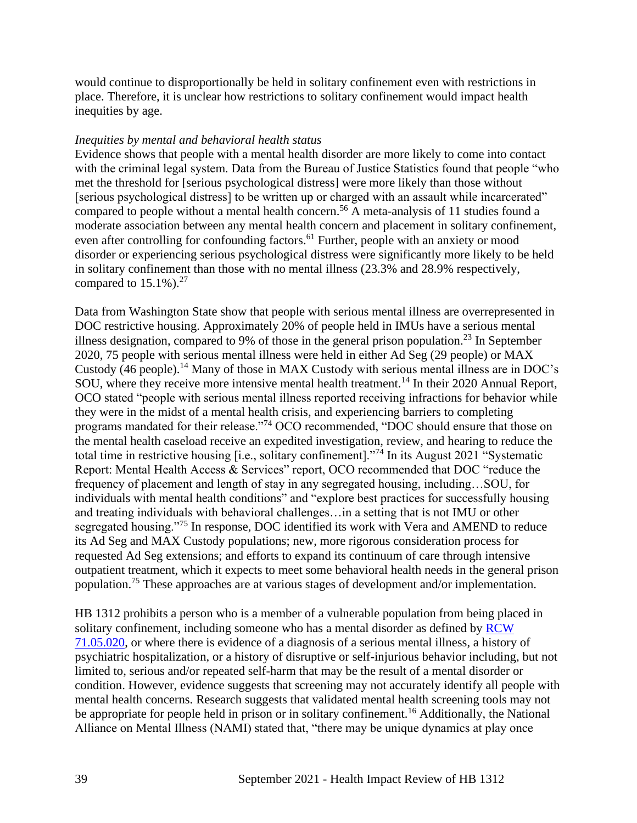would continue to disproportionally be held in solitary confinement even with restrictions in place. Therefore, it is unclear how restrictions to solitary confinement would impact health inequities by age.

#### *Inequities by mental and behavioral health status*

Evidence shows that people with a mental health disorder are more likely to come into contact with the criminal legal system. Data from the Bureau of Justice Statistics found that people "who met the threshold for [serious psychological distress] were more likely than those without [serious psychological distress] to be written up or charged with an assault while incarcerated" compared to people without a mental health concern. <sup>56</sup> A meta-analysis of 11 studies found a moderate association between any mental health concern and placement in solitary confinement, even after controlling for confounding factors.<sup>61</sup> Further, people with an anxiety or mood disorder or experiencing serious psychological distress were significantly more likely to be held in solitary confinement than those with no mental illness (23.3% and 28.9% respectively, compared to  $15.1\%$ ).<sup>27</sup>

Data from Washington State show that people with serious mental illness are overrepresented in DOC restrictive housing. Approximately 20% of people held in IMUs have a serious mental illness designation, compared to 9% of those in the general prison population.<sup>23</sup> In September 2020, 75 people with serious mental illness were held in either Ad Seg (29 people) or MAX Custody (46 people).<sup>14</sup> Many of those in MAX Custody with serious mental illness are in DOC's SOU, where they receive more intensive mental health treatment.<sup>14</sup> In their 2020 Annual Report, OCO stated "people with serious mental illness reported receiving infractions for behavior while they were in the midst of a mental health crisis, and experiencing barriers to completing programs mandated for their release."<sup>74</sup> OCO recommended, "DOC should ensure that those on the mental health caseload receive an expedited investigation, review, and hearing to reduce the total time in restrictive housing [i.e., solitary confinement]."<sup>74</sup> In its August 2021 "Systematic Report: Mental Health Access & Services" report, OCO recommended that DOC "reduce the frequency of placement and length of stay in any segregated housing, including…SOU, for individuals with mental health conditions" and "explore best practices for successfully housing and treating individuals with behavioral challenges…in a setting that is not IMU or other segregated housing."<sup>75</sup> In response, DOC identified its work with Vera and AMEND to reduce its Ad Seg and MAX Custody populations; new, more rigorous consideration process for requested Ad Seg extensions; and efforts to expand its continuum of care through intensive outpatient treatment, which it expects to meet some behavioral health needs in the general prison population.<sup>75</sup> These approaches are at various stages of development and/or implementation.

HB 1312 prohibits a person who is a member of a vulnerable population from being placed in solitary confinement, including someone who has a mental disorder as defined by [RCW](https://app.leg.wa.gov/rcw/default.aspx?cite=71.05.020)  [71.05.020,](https://app.leg.wa.gov/rcw/default.aspx?cite=71.05.020) or where there is evidence of a diagnosis of a serious mental illness, a history of psychiatric hospitalization, or a history of disruptive or self-injurious behavior including, but not limited to, serious and/or repeated self-harm that may be the result of a mental disorder or condition. However, evidence suggests that screening may not accurately identify all people with mental health concerns. Research suggests that validated mental health screening tools may not be appropriate for people held in prison or in solitary confinement.<sup>16</sup> Additionally, the National Alliance on Mental Illness (NAMI) stated that, "there may be unique dynamics at play once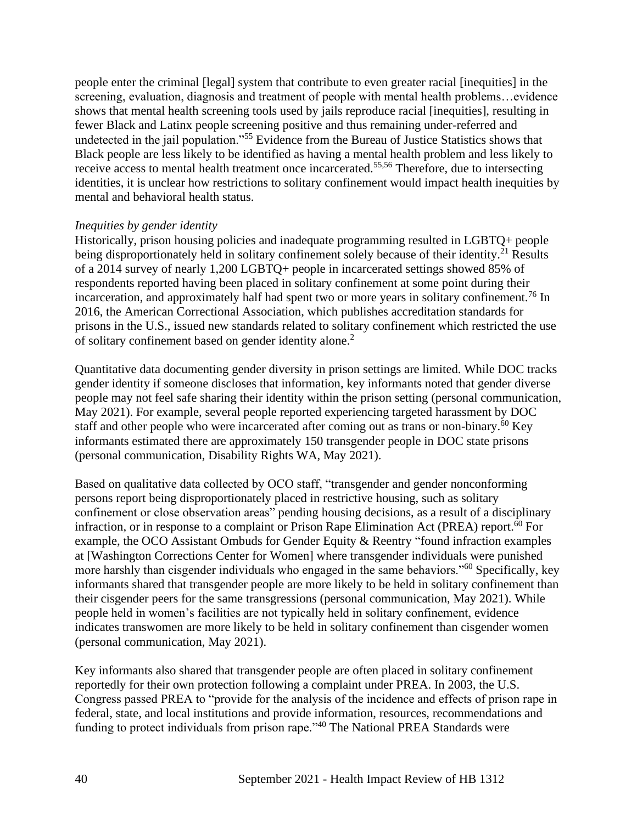people enter the criminal [legal] system that contribute to even greater racial [inequities] in the screening, evaluation, diagnosis and treatment of people with mental health problems...evidence shows that mental health screening tools used by jails reproduce racial [inequities], resulting in fewer Black and Latinx people screening positive and thus remaining under-referred and undetected in the jail population."<sup>55</sup> Evidence from the Bureau of Justice Statistics shows that Black people are less likely to be identified as having a mental health problem and less likely to receive access to mental health treatment once incarcerated.<sup>55,56</sup> Therefore, due to intersecting identities, it is unclear how restrictions to solitary confinement would impact health inequities by mental and behavioral health status.

#### *Inequities by gender identity*

Historically, prison housing policies and inadequate programming resulted in LGBTQ+ people being disproportionately held in solitary confinement solely because of their identity.<sup>21</sup> Results of a 2014 survey of nearly 1,200 LGBTQ+ people in incarcerated settings showed 85% of respondents reported having been placed in solitary confinement at some point during their incarceration, and approximately half had spent two or more years in solitary confinement.<sup>76</sup> In 2016, the American Correctional Association, which publishes accreditation standards for prisons in the U.S., issued new standards related to solitary confinement which restricted the use of solitary confinement based on gender identity alone.<sup>2</sup>

Quantitative data documenting gender diversity in prison settings are limited. While DOC tracks gender identity if someone discloses that information, key informants noted that gender diverse people may not feel safe sharing their identity within the prison setting (personal communication, May 2021). For example, several people reported experiencing targeted harassment by DOC staff and other people who were incarcerated after coming out as trans or non-binary.<sup>60</sup> Key informants estimated there are approximately 150 transgender people in DOC state prisons (personal communication, Disability Rights WA, May 2021).

Based on qualitative data collected by OCO staff, "transgender and gender nonconforming persons report being disproportionately placed in restrictive housing, such as solitary confinement or close observation areas" pending housing decisions, as a result of a disciplinary infraction, or in response to a complaint or Prison Rape Elimination Act (PREA) report. <sup>60</sup> For example, the OCO Assistant Ombuds for Gender Equity & Reentry "found infraction examples at [Washington Corrections Center for Women] where transgender individuals were punished more harshly than cisgender individuals who engaged in the same behaviors."<sup>60</sup> Specifically, key informants shared that transgender people are more likely to be held in solitary confinement than their cisgender peers for the same transgressions (personal communication, May 2021). While people held in women's facilities are not typically held in solitary confinement, evidence indicates transwomen are more likely to be held in solitary confinement than cisgender women (personal communication, May 2021).

Key informants also shared that transgender people are often placed in solitary confinement reportedly for their own protection following a complaint under PREA. In 2003, the U.S. Congress passed PREA to "provide for the analysis of the incidence and effects of prison rape in federal, state, and local institutions and provide information, resources, recommendations and funding to protect individuals from prison rape."<sup>40</sup> The National PREA Standards were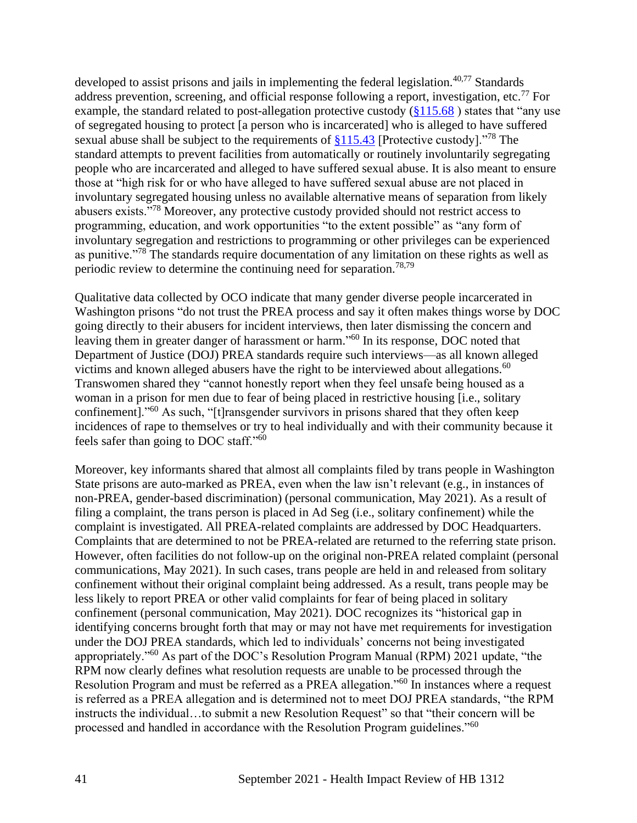developed to assist prisons and jails in implementing the federal legislation. $40,77$  Standards address prevention, screening, and official response following a report, investigation, etc.<sup>77</sup> For example, the standard related to post-allegation protective custody [\(§115.68](https://www.prearesourcecenter.org/standard/115-68)) states that "any use of segregated housing to protect [a person who is incarcerated] who is alleged to have suffered sexual abuse shall be subject to the requirements of  $\S115.43$  [Protective custody].<sup>"78</sup> The standard attempts to prevent facilities from automatically or routinely involuntarily segregating people who are incarcerated and alleged to have suffered sexual abuse. It is also meant to ensure those at "high risk for or who have alleged to have suffered sexual abuse are not placed in involuntary segregated housing unless no available alternative means of separation from likely abusers exists."<sup>78</sup> Moreover, any protective custody provided should not restrict access to programming, education, and work opportunities "to the extent possible" as "any form of involuntary segregation and restrictions to programming or other privileges can be experienced as punitive."<sup>78</sup> The standards require documentation of any limitation on these rights as well as periodic review to determine the continuing need for separation.<sup>78,79</sup>

Qualitative data collected by OCO indicate that many gender diverse people incarcerated in Washington prisons "do not trust the PREA process and say it often makes things worse by DOC going directly to their abusers for incident interviews, then later dismissing the concern and leaving them in greater danger of harassment or harm."<sup>60</sup> In its response, DOC noted that Department of Justice (DOJ) PREA standards require such interviews—as all known alleged victims and known alleged abusers have the right to be interviewed about allegations.<sup>60</sup> Transwomen shared they "cannot honestly report when they feel unsafe being housed as a woman in a prison for men due to fear of being placed in restrictive housing [i.e., solitary confinement]."<sup>60</sup> As such, "[t]ransgender survivors in prisons shared that they often keep incidences of rape to themselves or try to heal individually and with their community because it feels safer than going to DOC staff."<sup>60</sup>

Moreover, key informants shared that almost all complaints filed by trans people in Washington State prisons are auto-marked as PREA, even when the law isn't relevant (e.g., in instances of non-PREA, gender-based discrimination) (personal communication, May 2021). As a result of filing a complaint, the trans person is placed in Ad Seg (i.e., solitary confinement) while the complaint is investigated. All PREA-related complaints are addressed by DOC Headquarters. Complaints that are determined to not be PREA-related are returned to the referring state prison. However, often facilities do not follow-up on the original non-PREA related complaint (personal communications, May 2021). In such cases, trans people are held in and released from solitary confinement without their original complaint being addressed. As a result, trans people may be less likely to report PREA or other valid complaints for fear of being placed in solitary confinement (personal communication, May 2021). DOC recognizes its "historical gap in identifying concerns brought forth that may or may not have met requirements for investigation under the DOJ PREA standards, which led to individuals' concerns not being investigated appropriately."<sup>60</sup> As part of the DOC's Resolution Program Manual (RPM) 2021 update, "the RPM now clearly defines what resolution requests are unable to be processed through the Resolution Program and must be referred as a PREA allegation.<sup>560</sup> In instances where a request is referred as a PREA allegation and is determined not to meet DOJ PREA standards, "the RPM instructs the individual…to submit a new Resolution Request" so that "their concern will be processed and handled in accordance with the Resolution Program guidelines."<sup>60</sup>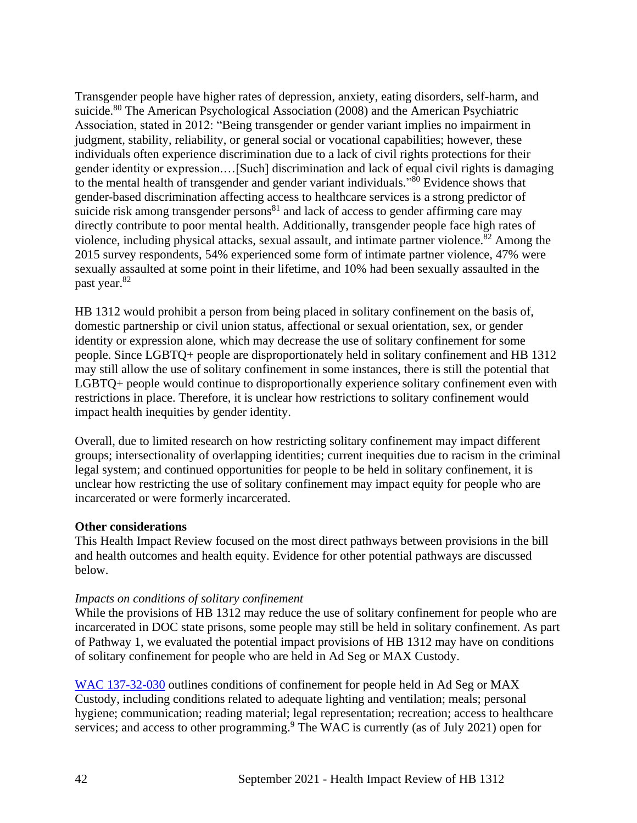Transgender people have higher rates of depression, anxiety, eating disorders, self-harm, and suicide.<sup>80</sup> The American Psychological Association (2008) and the American Psychiatric Association, stated in 2012: "Being transgender or gender variant implies no impairment in judgment, stability, reliability, or general social or vocational capabilities; however, these individuals often experience discrimination due to a lack of civil rights protections for their gender identity or expression.…[Such] discrimination and lack of equal civil rights is damaging to the mental health of transgender and gender variant individuals." $\delta$ <sup>0</sup> Evidence shows that gender-based discrimination affecting access to healthcare services is a strong predictor of suicide risk among transgender persons<sup>81</sup> and lack of access to gender affirming care may directly contribute to poor mental health. Additionally, transgender people face high rates of violence, including physical attacks, sexual assault, and intimate partner violence.<sup>82</sup> Among the 2015 survey respondents, 54% experienced some form of intimate partner violence, 47% were sexually assaulted at some point in their lifetime, and 10% had been sexually assaulted in the past year.<sup>82</sup>

HB 1312 would prohibit a person from being placed in solitary confinement on the basis of, domestic partnership or civil union status, affectional or sexual orientation, sex, or gender identity or expression alone, which may decrease the use of solitary confinement for some people. Since LGBTQ+ people are disproportionately held in solitary confinement and HB 1312 may still allow the use of solitary confinement in some instances, there is still the potential that LGBTQ+ people would continue to disproportionally experience solitary confinement even with restrictions in place. Therefore, it is unclear how restrictions to solitary confinement would impact health inequities by gender identity.

Overall, due to limited research on how restricting solitary confinement may impact different groups; intersectionality of overlapping identities; current inequities due to racism in the criminal legal system; and continued opportunities for people to be held in solitary confinement, it is unclear how restricting the use of solitary confinement may impact equity for people who are incarcerated or were formerly incarcerated.

#### **Other considerations**

This Health Impact Review focused on the most direct pathways between provisions in the bill and health outcomes and health equity. Evidence for other potential pathways are discussed below.

#### *Impacts on conditions of solitary confinement*

While the provisions of HB 1312 may reduce the use of solitary confinement for people who are incarcerated in DOC state prisons, some people may still be held in solitary confinement. As part of Pathway 1, we evaluated the potential impact provisions of HB 1312 may have on conditions of solitary confinement for people who are held in Ad Seg or MAX Custody.

[WAC 137-32-030](https://apps.leg.wa.gov/WAC/default.aspx?cite=137-32-030) outlines conditions of confinement for people held in Ad Seg or MAX Custody, including conditions related to adequate lighting and ventilation; meals; personal hygiene; communication; reading material; legal representation; recreation; access to healthcare services; and access to other programming.<sup>9</sup> The WAC is currently (as of July 2021) open for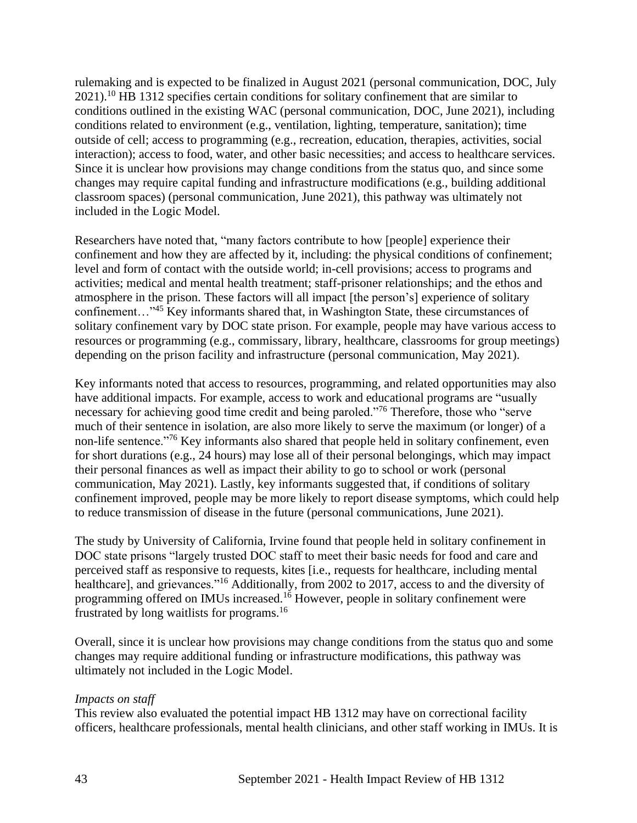rulemaking and is expected to be finalized in August 2021 (personal communication, DOC, July  $2021$ .<sup>10</sup> HB 1312 specifies certain conditions for solitary confinement that are similar to conditions outlined in the existing WAC (personal communication, DOC, June 2021), including conditions related to environment (e.g., ventilation, lighting, temperature, sanitation); time outside of cell; access to programming (e.g., recreation, education, therapies, activities, social interaction); access to food, water, and other basic necessities; and access to healthcare services. Since it is unclear how provisions may change conditions from the status quo, and since some changes may require capital funding and infrastructure modifications (e.g., building additional classroom spaces) (personal communication, June 2021), this pathway was ultimately not included in the Logic Model.

Researchers have noted that, "many factors contribute to how [people] experience their confinement and how they are affected by it, including: the physical conditions of confinement; level and form of contact with the outside world; in-cell provisions; access to programs and activities; medical and mental health treatment; staff-prisoner relationships; and the ethos and atmosphere in the prison. These factors will all impact [the person's] experience of solitary confinement…"<sup>45</sup> Key informants shared that, in Washington State, these circumstances of solitary confinement vary by DOC state prison. For example, people may have various access to resources or programming (e.g., commissary, library, healthcare, classrooms for group meetings) depending on the prison facility and infrastructure (personal communication, May 2021).

Key informants noted that access to resources, programming, and related opportunities may also have additional impacts. For example, access to work and educational programs are "usually necessary for achieving good time credit and being paroled."<sup>76</sup> Therefore, those who "serve much of their sentence in isolation, are also more likely to serve the maximum (or longer) of a non-life sentence."<sup>76</sup> Key informants also shared that people held in solitary confinement, even for short durations (e.g., 24 hours) may lose all of their personal belongings, which may impact their personal finances as well as impact their ability to go to school or work (personal communication, May 2021). Lastly, key informants suggested that, if conditions of solitary confinement improved, people may be more likely to report disease symptoms, which could help to reduce transmission of disease in the future (personal communications, June 2021).

The study by University of California, Irvine found that people held in solitary confinement in DOC state prisons "largely trusted DOC staff to meet their basic needs for food and care and perceived staff as responsive to requests, kites [i.e., requests for healthcare, including mental healthcare], and grievances."<sup>16</sup> Additionally, from 2002 to 2017, access to and the diversity of programming offered on IMUs increased.<sup>16</sup> However, people in solitary confinement were frustrated by long waitlists for programs.<sup>16</sup>

Overall, since it is unclear how provisions may change conditions from the status quo and some changes may require additional funding or infrastructure modifications, this pathway was ultimately not included in the Logic Model.

#### *Impacts on staff*

This review also evaluated the potential impact HB 1312 may have on correctional facility officers, healthcare professionals, mental health clinicians, and other staff working in IMUs. It is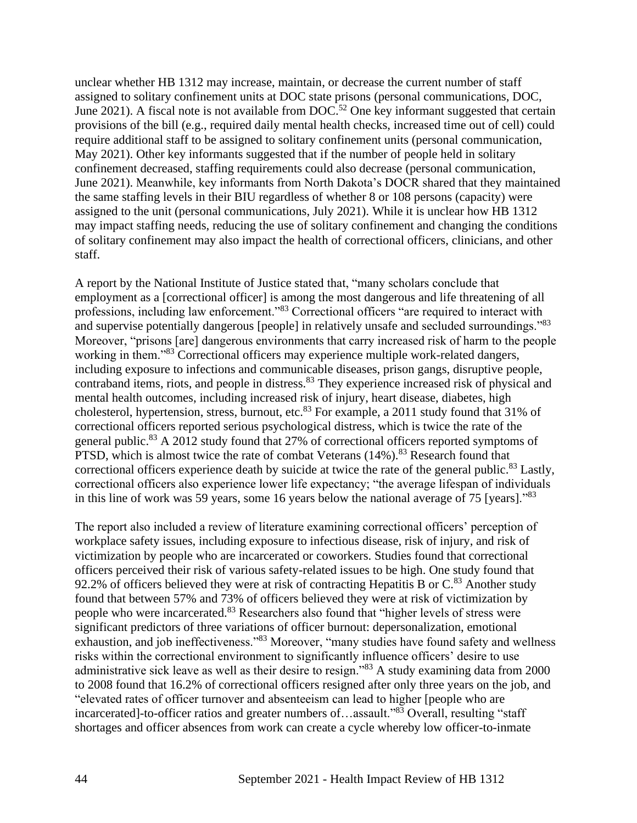unclear whether HB 1312 may increase, maintain, or decrease the current number of staff assigned to solitary confinement units at DOC state prisons (personal communications, DOC, June 2021). A fiscal note is not available from  $DOC^{52}$  One key informant suggested that certain provisions of the bill (e.g., required daily mental health checks, increased time out of cell) could require additional staff to be assigned to solitary confinement units (personal communication, May 2021). Other key informants suggested that if the number of people held in solitary confinement decreased, staffing requirements could also decrease (personal communication, June 2021). Meanwhile, key informants from North Dakota's DOCR shared that they maintained the same staffing levels in their BIU regardless of whether 8 or 108 persons (capacity) were assigned to the unit (personal communications, July 2021). While it is unclear how HB 1312 may impact staffing needs, reducing the use of solitary confinement and changing the conditions of solitary confinement may also impact the health of correctional officers, clinicians, and other staff.

A report by the National Institute of Justice stated that, "many scholars conclude that employment as a [correctional officer] is among the most dangerous and life threatening of all professions, including law enforcement."<sup>83</sup> Correctional officers "are required to interact with and supervise potentially dangerous [people] in relatively unsafe and secluded surroundings."83 Moreover, "prisons [are] dangerous environments that carry increased risk of harm to the people working in them."<sup>83</sup> Correctional officers may experience multiple work-related dangers, including exposure to infections and communicable diseases, prison gangs, disruptive people, contraband items, riots, and people in distress.<sup>83</sup> They experience increased risk of physical and mental health outcomes, including increased risk of injury, heart disease, diabetes, high cholesterol, hypertension, stress, burnout, etc. $83$  For example, a 2011 study found that 31% of correctional officers reported serious psychological distress, which is twice the rate of the general public.<sup>83</sup> A 2012 study found that 27% of correctional officers reported symptoms of PTSD, which is almost twice the rate of combat Veterans  $(14\%)$ .<sup>83</sup> Research found that correctional officers experience death by suicide at twice the rate of the general public.<sup>83</sup> Lastly, correctional officers also experience lower life expectancy; "the average lifespan of individuals in this line of work was 59 years, some 16 years below the national average of 75 [years]."<sup>83</sup>

The report also included a review of literature examining correctional officers' perception of workplace safety issues, including exposure to infectious disease, risk of injury, and risk of victimization by people who are incarcerated or coworkers. Studies found that correctional officers perceived their risk of various safety-related issues to be high. One study found that 92.2% of officers believed they were at risk of contracting Hepatitis B or  $C^{83}$  Another study found that between 57% and 73% of officers believed they were at risk of victimization by people who were incarcerated.<sup>83</sup> Researchers also found that "higher levels of stress were significant predictors of three variations of officer burnout: depersonalization, emotional exhaustion, and job ineffectiveness."83 Moreover, "many studies have found safety and wellness risks within the correctional environment to significantly influence officers' desire to use administrative sick leave as well as their desire to resign."<sup>83</sup> A study examining data from 2000 to 2008 found that 16.2% of correctional officers resigned after only three years on the job, and "elevated rates of officer turnover and absenteeism can lead to higher [people who are incarcerated]-to-officer ratios and greater numbers of…assault."<sup>83</sup> Overall, resulting "staff shortages and officer absences from work can create a cycle whereby low officer-to-inmate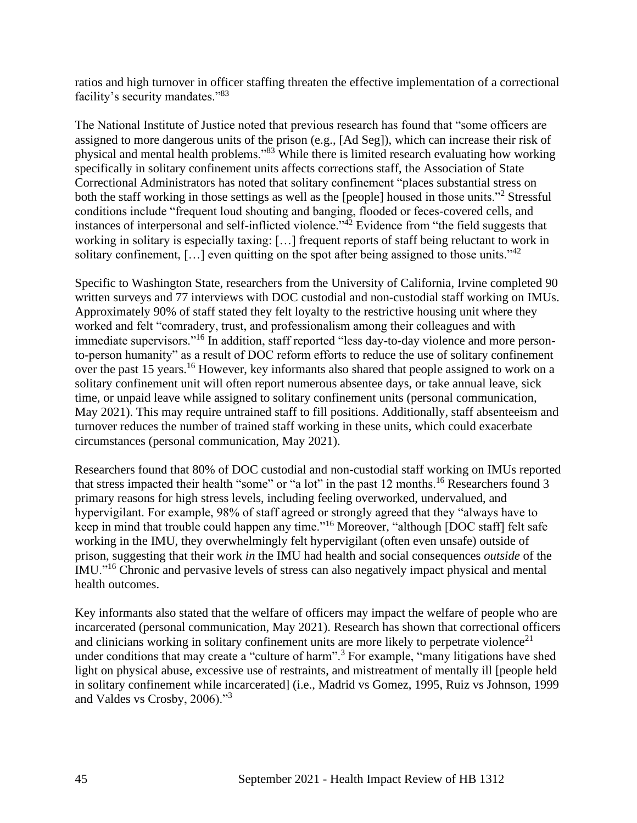ratios and high turnover in officer staffing threaten the effective implementation of a correctional facility's security mandates."<sup>83</sup>

The National Institute of Justice noted that previous research has found that "some officers are assigned to more dangerous units of the prison (e.g., [Ad Seg]), which can increase their risk of physical and mental health problems."<sup>83</sup> While there is limited research evaluating how working specifically in solitary confinement units affects corrections staff, the Association of State Correctional Administrators has noted that solitary confinement "places substantial stress on both the staff working in those settings as well as the [people] housed in those units.<sup>"2</sup> Stressful conditions include "frequent loud shouting and banging, flooded or feces-covered cells, and instances of interpersonal and self-inflicted violence."<sup>42</sup> Evidence from "the field suggests that working in solitary is especially taxing: […] frequent reports of staff being reluctant to work in solitary confinement,  $[\dots]$  even quitting on the spot after being assigned to those units."<sup>42</sup>

Specific to Washington State, researchers from the University of California, Irvine completed 90 written surveys and 77 interviews with DOC custodial and non-custodial staff working on IMUs. Approximately 90% of staff stated they felt loyalty to the restrictive housing unit where they worked and felt "comradery, trust, and professionalism among their colleagues and with immediate supervisors."<sup>16</sup> In addition, staff reported "less day-to-day violence and more personto-person humanity" as a result of DOC reform efforts to reduce the use of solitary confinement over the past 15 years.<sup>16</sup> However, key informants also shared that people assigned to work on a solitary confinement unit will often report numerous absentee days, or take annual leave, sick time, or unpaid leave while assigned to solitary confinement units (personal communication, May 2021). This may require untrained staff to fill positions. Additionally, staff absenteeism and turnover reduces the number of trained staff working in these units, which could exacerbate circumstances (personal communication, May 2021).

Researchers found that 80% of DOC custodial and non-custodial staff working on IMUs reported that stress impacted their health "some" or "a lot" in the past 12 months.<sup>16</sup> Researchers found 3 primary reasons for high stress levels, including feeling overworked, undervalued, and hypervigilant. For example, 98% of staff agreed or strongly agreed that they "always have to keep in mind that trouble could happen any time."<sup>16</sup> Moreover, "although [DOC staff] felt safe working in the IMU, they overwhelmingly felt hypervigilant (often even unsafe) outside of prison, suggesting that their work *in* the IMU had health and social consequences *outside* of the IMU."<sup>16</sup> Chronic and pervasive levels of stress can also negatively impact physical and mental health outcomes.

Key informants also stated that the welfare of officers may impact the welfare of people who are incarcerated (personal communication, May 2021). Research has shown that correctional officers and clinicians working in solitary confinement units are more likely to perpetrate violence<sup>21</sup> under conditions that may create a "culture of harm".<sup>3</sup> For example, "many litigations have shed light on physical abuse, excessive use of restraints, and mistreatment of mentally ill [people held in solitary confinement while incarcerated] (i.e., Madrid vs Gomez, 1995, Ruiz vs Johnson, 1999 and Valdes vs Crosby, 2006)."<sup>3</sup>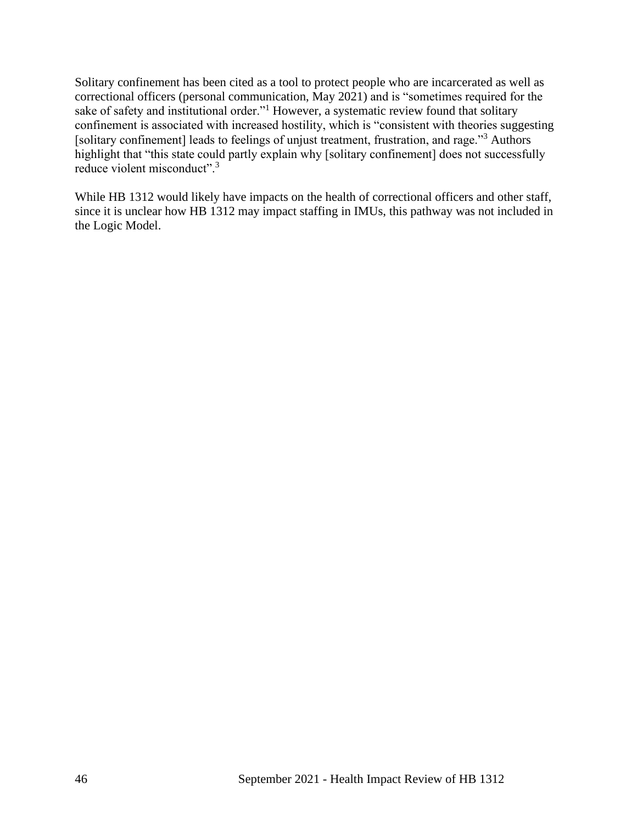Solitary confinement has been cited as a tool to protect people who are incarcerated as well as correctional officers (personal communication, May 2021) and is "sometimes required for the sake of safety and institutional order."<sup>1</sup> However, a systematic review found that solitary confinement is associated with increased hostility, which is "consistent with theories suggesting [solitary confinement] leads to feelings of unjust treatment, frustration, and rage."<sup>3</sup> Authors highlight that "this state could partly explain why [solitary confinement] does not successfully reduce violent misconduct".<sup>3</sup>

While HB 1312 would likely have impacts on the health of correctional officers and other staff, since it is unclear how HB 1312 may impact staffing in IMUs, this pathway was not included in the Logic Model.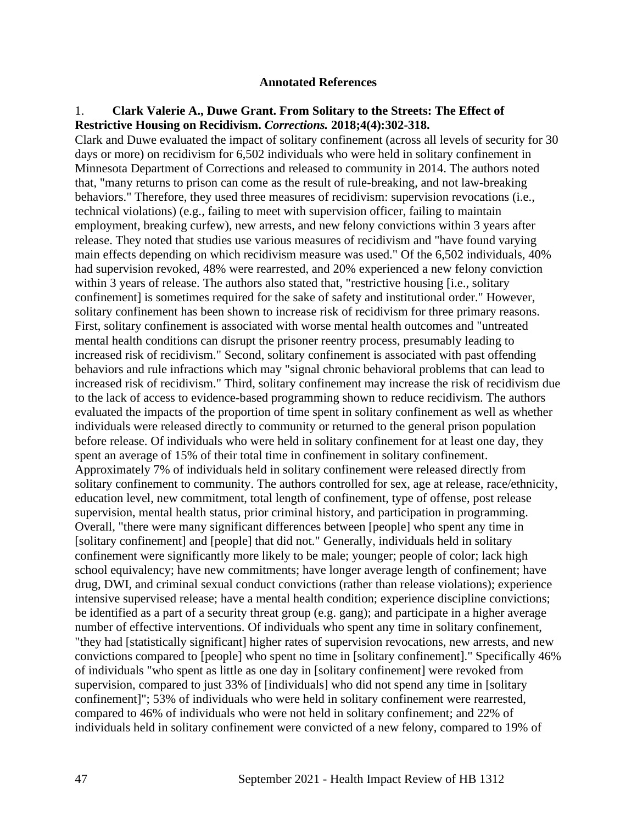#### **Annotated References**

#### 1. **Clark Valerie A., Duwe Grant. From Solitary to the Streets: The Effect of Restrictive Housing on Recidivism.** *Corrections.* **2018;4(4):302-318.**

Clark and Duwe evaluated the impact of solitary confinement (across all levels of security for 30 days or more) on recidivism for 6,502 individuals who were held in solitary confinement in Minnesota Department of Corrections and released to community in 2014. The authors noted that, "many returns to prison can come as the result of rule-breaking, and not law-breaking behaviors." Therefore, they used three measures of recidivism: supervision revocations (i.e., technical violations) (e.g., failing to meet with supervision officer, failing to maintain employment, breaking curfew), new arrests, and new felony convictions within 3 years after release. They noted that studies use various measures of recidivism and "have found varying main effects depending on which recidivism measure was used." Of the 6,502 individuals, 40% had supervision revoked, 48% were rearrested, and 20% experienced a new felony conviction within 3 years of release. The authors also stated that, "restrictive housing [i.e., solitary confinement] is sometimes required for the sake of safety and institutional order." However, solitary confinement has been shown to increase risk of recidivism for three primary reasons. First, solitary confinement is associated with worse mental health outcomes and "untreated mental health conditions can disrupt the prisoner reentry process, presumably leading to increased risk of recidivism." Second, solitary confinement is associated with past offending behaviors and rule infractions which may "signal chronic behavioral problems that can lead to increased risk of recidivism." Third, solitary confinement may increase the risk of recidivism due to the lack of access to evidence-based programming shown to reduce recidivism. The authors evaluated the impacts of the proportion of time spent in solitary confinement as well as whether individuals were released directly to community or returned to the general prison population before release. Of individuals who were held in solitary confinement for at least one day, they spent an average of 15% of their total time in confinement in solitary confinement. Approximately 7% of individuals held in solitary confinement were released directly from solitary confinement to community. The authors controlled for sex, age at release, race/ethnicity, education level, new commitment, total length of confinement, type of offense, post release supervision, mental health status, prior criminal history, and participation in programming. Overall, "there were many significant differences between [people] who spent any time in [solitary confinement] and [people] that did not." Generally, individuals held in solitary confinement were significantly more likely to be male; younger; people of color; lack high school equivalency; have new commitments; have longer average length of confinement; have drug, DWI, and criminal sexual conduct convictions (rather than release violations); experience intensive supervised release; have a mental health condition; experience discipline convictions; be identified as a part of a security threat group (e.g. gang); and participate in a higher average number of effective interventions. Of individuals who spent any time in solitary confinement, "they had [statistically significant] higher rates of supervision revocations, new arrests, and new convictions compared to [people] who spent no time in [solitary confinement]." Specifically 46% of individuals "who spent as little as one day in [solitary confinement] were revoked from supervision, compared to just 33% of [individuals] who did not spend any time in [solitary confinement]"; 53% of individuals who were held in solitary confinement were rearrested, compared to 46% of individuals who were not held in solitary confinement; and 22% of individuals held in solitary confinement were convicted of a new felony, compared to 19% of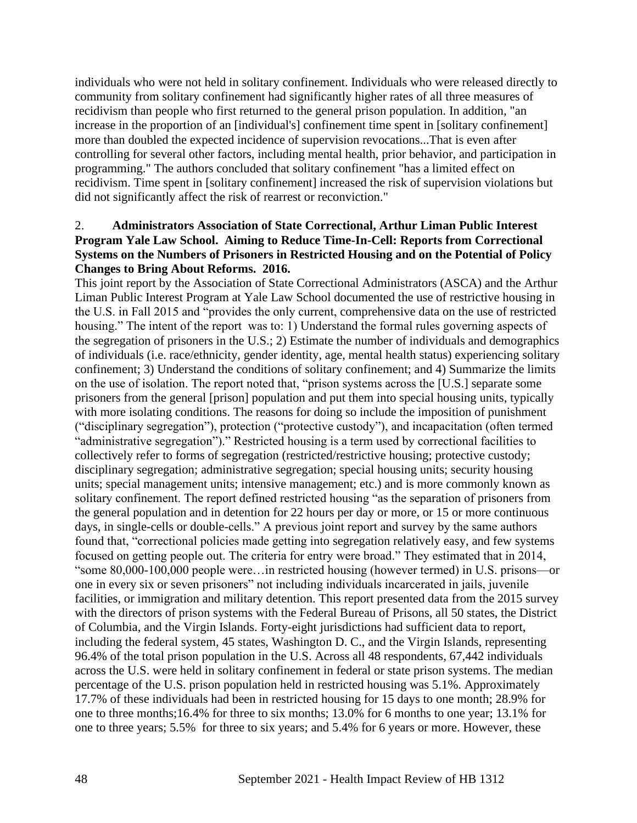individuals who were not held in solitary confinement. Individuals who were released directly to community from solitary confinement had significantly higher rates of all three measures of recidivism than people who first returned to the general prison population. In addition, "an increase in the proportion of an [individual's] confinement time spent in [solitary confinement] more than doubled the expected incidence of supervision revocations...That is even after controlling for several other factors, including mental health, prior behavior, and participation in programming." The authors concluded that solitary confinement "has a limited effect on recidivism. Time spent in [solitary confinement] increased the risk of supervision violations but did not significantly affect the risk of rearrest or reconviction."

#### 2. **Administrators Association of State Correctional, Arthur Liman Public Interest Program Yale Law School. Aiming to Reduce Time-In-Cell: Reports from Correctional Systems on the Numbers of Prisoners in Restricted Housing and on the Potential of Policy Changes to Bring About Reforms. 2016.**

This joint report by the Association of State Correctional Administrators (ASCA) and the Arthur Liman Public Interest Program at Yale Law School documented the use of restrictive housing in the U.S. in Fall 2015 and "provides the only current, comprehensive data on the use of restricted housing." The intent of the report was to: 1) Understand the formal rules governing aspects of the segregation of prisoners in the U.S.; 2) Estimate the number of individuals and demographics of individuals (i.e. race/ethnicity, gender identity, age, mental health status) experiencing solitary confinement; 3) Understand the conditions of solitary confinement; and 4) Summarize the limits on the use of isolation. The report noted that, "prison systems across the [U.S.] separate some prisoners from the general [prison] population and put them into special housing units, typically with more isolating conditions. The reasons for doing so include the imposition of punishment ("disciplinary segregation"), protection ("protective custody"), and incapacitation (often termed "administrative segregation")." Restricted housing is a term used by correctional facilities to collectively refer to forms of segregation (restricted/restrictive housing; protective custody; disciplinary segregation; administrative segregation; special housing units; security housing units; special management units; intensive management; etc.) and is more commonly known as solitary confinement. The report defined restricted housing "as the separation of prisoners from the general population and in detention for 22 hours per day or more, or 15 or more continuous days, in single-cells or double-cells." A previous joint report and survey by the same authors found that, "correctional policies made getting into segregation relatively easy, and few systems focused on getting people out. The criteria for entry were broad." They estimated that in 2014, "some 80,000-100,000 people were…in restricted housing (however termed) in U.S. prisons—or one in every six or seven prisoners" not including individuals incarcerated in jails, juvenile facilities, or immigration and military detention. This report presented data from the 2015 survey with the directors of prison systems with the Federal Bureau of Prisons, all 50 states, the District of Columbia, and the Virgin Islands. Forty-eight jurisdictions had sufficient data to report, including the federal system, 45 states, Washington D. C., and the Virgin Islands, representing 96.4% of the total prison population in the U.S. Across all 48 respondents, 67,442 individuals across the U.S. were held in solitary confinement in federal or state prison systems. The median percentage of the U.S. prison population held in restricted housing was 5.1%. Approximately 17.7% of these individuals had been in restricted housing for 15 days to one month; 28.9% for one to three months;16.4% for three to six months; 13.0% for 6 months to one year; 13.1% for one to three years; 5.5% for three to six years; and 5.4% for 6 years or more. However, these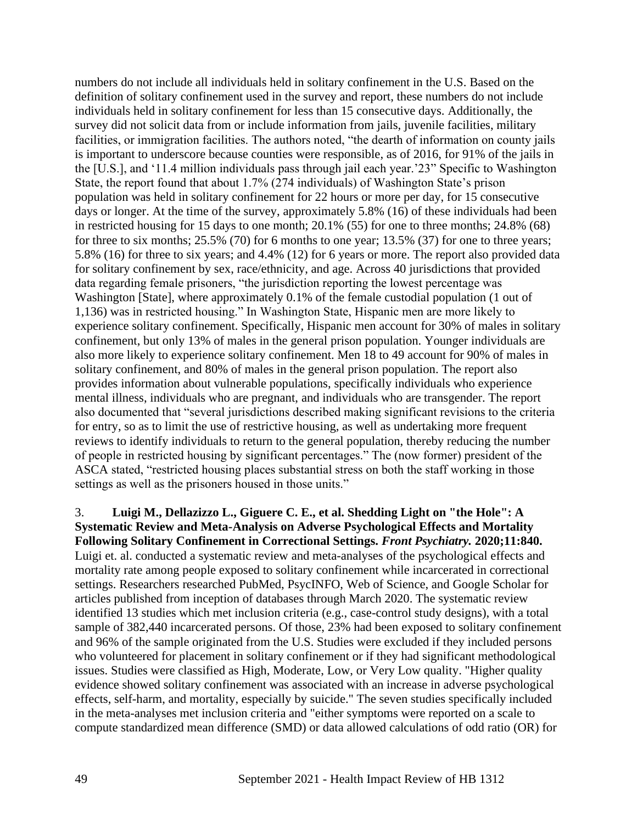numbers do not include all individuals held in solitary confinement in the U.S. Based on the definition of solitary confinement used in the survey and report, these numbers do not include individuals held in solitary confinement for less than 15 consecutive days. Additionally, the survey did not solicit data from or include information from jails, juvenile facilities, military facilities, or immigration facilities. The authors noted, "the dearth of information on county jails is important to underscore because counties were responsible, as of 2016, for 91% of the jails in the [U.S.], and '11.4 million individuals pass through jail each year.'23" Specific to Washington State, the report found that about 1.7% (274 individuals) of Washington State's prison population was held in solitary confinement for 22 hours or more per day, for 15 consecutive days or longer. At the time of the survey, approximately 5.8% (16) of these individuals had been in restricted housing for 15 days to one month; 20.1% (55) for one to three months; 24.8% (68) for three to six months; 25.5% (70) for 6 months to one year; 13.5% (37) for one to three years; 5.8% (16) for three to six years; and 4.4% (12) for 6 years or more. The report also provided data for solitary confinement by sex, race/ethnicity, and age. Across 40 jurisdictions that provided data regarding female prisoners, "the jurisdiction reporting the lowest percentage was Washington [State], where approximately 0.1% of the female custodial population (1 out of 1,136) was in restricted housing." In Washington State, Hispanic men are more likely to experience solitary confinement. Specifically, Hispanic men account for 30% of males in solitary confinement, but only 13% of males in the general prison population. Younger individuals are also more likely to experience solitary confinement. Men 18 to 49 account for 90% of males in solitary confinement, and 80% of males in the general prison population. The report also provides information about vulnerable populations, specifically individuals who experience mental illness, individuals who are pregnant, and individuals who are transgender. The report also documented that "several jurisdictions described making significant revisions to the criteria for entry, so as to limit the use of restrictive housing, as well as undertaking more frequent reviews to identify individuals to return to the general population, thereby reducing the number of people in restricted housing by significant percentages." The (now former) president of the ASCA stated, "restricted housing places substantial stress on both the staff working in those settings as well as the prisoners housed in those units."

3. **Luigi M., Dellazizzo L., Giguere C. E., et al. Shedding Light on "the Hole": A Systematic Review and Meta-Analysis on Adverse Psychological Effects and Mortality Following Solitary Confinement in Correctional Settings.** *Front Psychiatry.* **2020;11:840.** Luigi et. al. conducted a systematic review and meta-analyses of the psychological effects and mortality rate among people exposed to solitary confinement while incarcerated in correctional settings. Researchers researched PubMed, PsycINFO, Web of Science, and Google Scholar for articles published from inception of databases through March 2020. The systematic review identified 13 studies which met inclusion criteria (e.g., case-control study designs), with a total sample of 382,440 incarcerated persons. Of those, 23% had been exposed to solitary confinement and 96% of the sample originated from the U.S. Studies were excluded if they included persons who volunteered for placement in solitary confinement or if they had significant methodological issues. Studies were classified as High, Moderate, Low, or Very Low quality. "Higher quality evidence showed solitary confinement was associated with an increase in adverse psychological effects, self-harm, and mortality, especially by suicide." The seven studies specifically included in the meta-analyses met inclusion criteria and "either symptoms were reported on a scale to compute standardized mean difference (SMD) or data allowed calculations of odd ratio (OR) for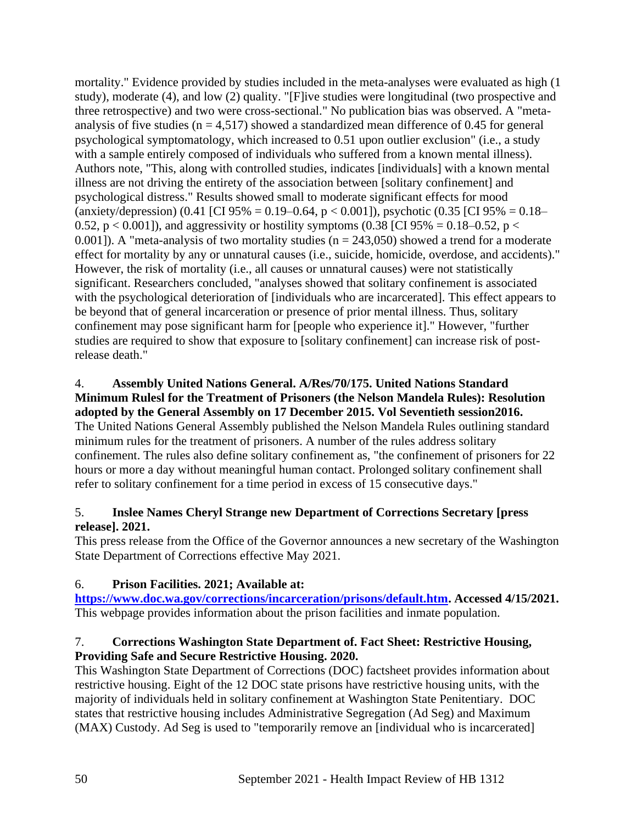mortality." Evidence provided by studies included in the meta-analyses were evaluated as high (1 study), moderate (4), and low (2) quality. "[F]ive studies were longitudinal (two prospective and three retrospective) and two were cross-sectional." No publication bias was observed. A "metaanalysis of five studies ( $n = 4,517$ ) showed a standardized mean difference of 0.45 for general psychological symptomatology, which increased to 0.51 upon outlier exclusion" (i.e., a study with a sample entirely composed of individuals who suffered from a known mental illness). Authors note, "This, along with controlled studies, indicates [individuals] with a known mental illness are not driving the entirety of the association between [solitary confinement] and psychological distress." Results showed small to moderate significant effects for mood (anxiety/depression) (0.41 [CI 95% = 0.19–0.64, p < 0.001]), psychotic (0.35 [CI 95% = 0.18– 0.52, p < 0.001]), and aggressivity or hostility symptoms (0.38 [CI 95% = 0.18–0.52, p < 0.001]). A "meta-analysis of two mortality studies ( $n = 243,050$ ) showed a trend for a moderate effect for mortality by any or unnatural causes (i.e., suicide, homicide, overdose, and accidents)." However, the risk of mortality (i.e., all causes or unnatural causes) were not statistically significant. Researchers concluded, "analyses showed that solitary confinement is associated with the psychological deterioration of [individuals who are incarcerated]. This effect appears to be beyond that of general incarceration or presence of prior mental illness. Thus, solitary confinement may pose significant harm for [people who experience it]." However, "further studies are required to show that exposure to [solitary confinement] can increase risk of postrelease death."

# 4. **Assembly United Nations General. A/Res/70/175. United Nations Standard Minimum Rulesl for the Treatment of Prisoners (the Nelson Mandela Rules): Resolution adopted by the General Assembly on 17 December 2015. Vol Seventieth session2016.** The United Nations General Assembly published the Nelson Mandela Rules outlining standard minimum rules for the treatment of prisoners. A number of the rules address solitary confinement. The rules also define solitary confinement as, "the confinement of prisoners for 22 hours or more a day without meaningful human contact. Prolonged solitary confinement shall refer to solitary confinement for a time period in excess of 15 consecutive days."

# 5. **Inslee Names Cheryl Strange new Department of Corrections Secretary [press release]. 2021.**

This press release from the Office of the Governor announces a new secretary of the Washington State Department of Corrections effective May 2021.

# 6. **Prison Facilities. 2021; Available at:**

**[https://www.doc.wa.gov/corrections/incarceration/prisons/default.htm.](https://www.doc.wa.gov/corrections/incarceration/prisons/default.htm) Accessed 4/15/2021.** This webpage provides information about the prison facilities and inmate population.

# 7. **Corrections Washington State Department of. Fact Sheet: Restrictive Housing, Providing Safe and Secure Restrictive Housing. 2020.**

This Washington State Department of Corrections (DOC) factsheet provides information about restrictive housing. Eight of the 12 DOC state prisons have restrictive housing units, with the majority of individuals held in solitary confinement at Washington State Penitentiary. DOC states that restrictive housing includes Administrative Segregation (Ad Seg) and Maximum (MAX) Custody. Ad Seg is used to "temporarily remove an [individual who is incarcerated]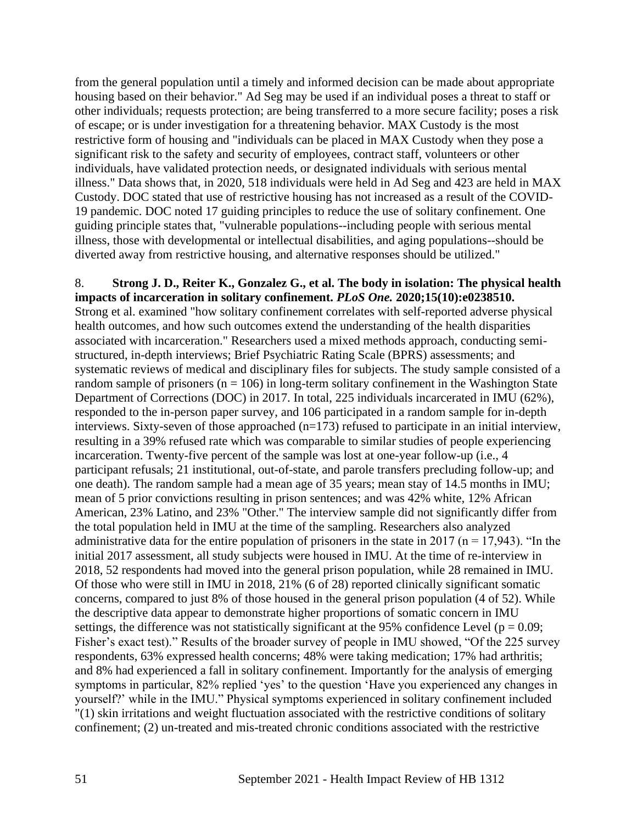from the general population until a timely and informed decision can be made about appropriate housing based on their behavior." Ad Seg may be used if an individual poses a threat to staff or other individuals; requests protection; are being transferred to a more secure facility; poses a risk of escape; or is under investigation for a threatening behavior. MAX Custody is the most restrictive form of housing and "individuals can be placed in MAX Custody when they pose a significant risk to the safety and security of employees, contract staff, volunteers or other individuals, have validated protection needs, or designated individuals with serious mental illness." Data shows that, in 2020, 518 individuals were held in Ad Seg and 423 are held in MAX Custody. DOC stated that use of restrictive housing has not increased as a result of the COVID-19 pandemic. DOC noted 17 guiding principles to reduce the use of solitary confinement. One guiding principle states that, "vulnerable populations--including people with serious mental illness, those with developmental or intellectual disabilities, and aging populations--should be diverted away from restrictive housing, and alternative responses should be utilized."

8. **Strong J. D., Reiter K., Gonzalez G., et al. The body in isolation: The physical health impacts of incarceration in solitary confinement.** *PLoS One.* **2020;15(10):e0238510.** Strong et al. examined "how solitary confinement correlates with self-reported adverse physical health outcomes, and how such outcomes extend the understanding of the health disparities associated with incarceration." Researchers used a mixed methods approach, conducting semistructured, in-depth interviews; Brief Psychiatric Rating Scale (BPRS) assessments; and systematic reviews of medical and disciplinary files for subjects. The study sample consisted of a random sample of prisoners ( $n = 106$ ) in long-term solitary confinement in the Washington State Department of Corrections (DOC) in 2017. In total, 225 individuals incarcerated in IMU (62%), responded to the in-person paper survey, and 106 participated in a random sample for in-depth interviews. Sixty-seven of those approached (n=173) refused to participate in an initial interview, resulting in a 39% refused rate which was comparable to similar studies of people experiencing incarceration. Twenty-five percent of the sample was lost at one-year follow-up (i.e., 4 participant refusals; 21 institutional, out-of-state, and parole transfers precluding follow-up; and one death). The random sample had a mean age of 35 years; mean stay of 14.5 months in IMU; mean of 5 prior convictions resulting in prison sentences; and was 42% white, 12% African American, 23% Latino, and 23% "Other." The interview sample did not significantly differ from the total population held in IMU at the time of the sampling. Researchers also analyzed administrative data for the entire population of prisoners in the state in 2017 ( $n = 17,943$ ). "In the initial 2017 assessment, all study subjects were housed in IMU. At the time of re-interview in 2018, 52 respondents had moved into the general prison population, while 28 remained in IMU. Of those who were still in IMU in 2018, 21% (6 of 28) reported clinically significant somatic concerns, compared to just 8% of those housed in the general prison population (4 of 52). While the descriptive data appear to demonstrate higher proportions of somatic concern in IMU settings, the difference was not statistically significant at the 95% confidence Level ( $p = 0.09$ ; Fisher's exact test)." Results of the broader survey of people in IMU showed, "Of the 225 survey respondents, 63% expressed health concerns; 48% were taking medication; 17% had arthritis; and 8% had experienced a fall in solitary confinement. Importantly for the analysis of emerging symptoms in particular, 82% replied 'yes' to the question 'Have you experienced any changes in yourself?' while in the IMU." Physical symptoms experienced in solitary confinement included "(1) skin irritations and weight fluctuation associated with the restrictive conditions of solitary confinement; (2) un-treated and mis-treated chronic conditions associated with the restrictive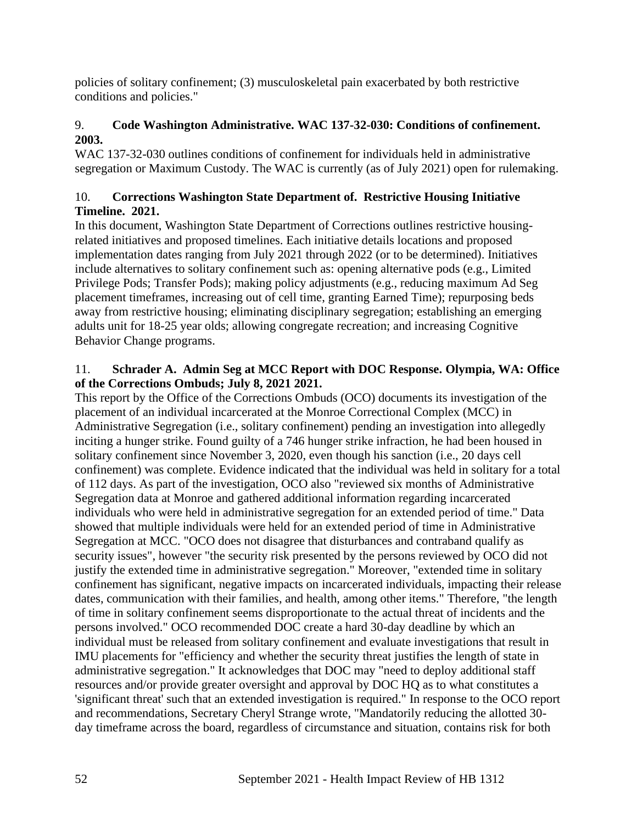policies of solitary confinement; (3) musculoskeletal pain exacerbated by both restrictive conditions and policies."

# 9. **Code Washington Administrative. WAC 137-32-030: Conditions of confinement. 2003.**

WAC 137-32-030 outlines conditions of confinement for individuals held in administrative segregation or Maximum Custody. The WAC is currently (as of July 2021) open for rulemaking.

# 10. **Corrections Washington State Department of. Restrictive Housing Initiative Timeline. 2021.**

In this document, Washington State Department of Corrections outlines restrictive housingrelated initiatives and proposed timelines. Each initiative details locations and proposed implementation dates ranging from July 2021 through 2022 (or to be determined). Initiatives include alternatives to solitary confinement such as: opening alternative pods (e.g., Limited Privilege Pods; Transfer Pods); making policy adjustments (e.g., reducing maximum Ad Seg placement timeframes, increasing out of cell time, granting Earned Time); repurposing beds away from restrictive housing; eliminating disciplinary segregation; establishing an emerging adults unit for 18-25 year olds; allowing congregate recreation; and increasing Cognitive Behavior Change programs.

# 11. **Schrader A. Admin Seg at MCC Report with DOC Response. Olympia, WA: Office of the Corrections Ombuds; July 8, 2021 2021.**

This report by the Office of the Corrections Ombuds (OCO) documents its investigation of the placement of an individual incarcerated at the Monroe Correctional Complex (MCC) in Administrative Segregation (i.e., solitary confinement) pending an investigation into allegedly inciting a hunger strike. Found guilty of a 746 hunger strike infraction, he had been housed in solitary confinement since November 3, 2020, even though his sanction (i.e., 20 days cell confinement) was complete. Evidence indicated that the individual was held in solitary for a total of 112 days. As part of the investigation, OCO also "reviewed six months of Administrative Segregation data at Monroe and gathered additional information regarding incarcerated individuals who were held in administrative segregation for an extended period of time." Data showed that multiple individuals were held for an extended period of time in Administrative Segregation at MCC. "OCO does not disagree that disturbances and contraband qualify as security issues", however "the security risk presented by the persons reviewed by OCO did not justify the extended time in administrative segregation." Moreover, "extended time in solitary confinement has significant, negative impacts on incarcerated individuals, impacting their release dates, communication with their families, and health, among other items." Therefore, "the length of time in solitary confinement seems disproportionate to the actual threat of incidents and the persons involved." OCO recommended DOC create a hard 30-day deadline by which an individual must be released from solitary confinement and evaluate investigations that result in IMU placements for "efficiency and whether the security threat justifies the length of state in administrative segregation." It acknowledges that DOC may "need to deploy additional staff resources and/or provide greater oversight and approval by DOC HQ as to what constitutes a 'significant threat' such that an extended investigation is required." In response to the OCO report and recommendations, Secretary Cheryl Strange wrote, "Mandatorily reducing the allotted 30 day timeframe across the board, regardless of circumstance and situation, contains risk for both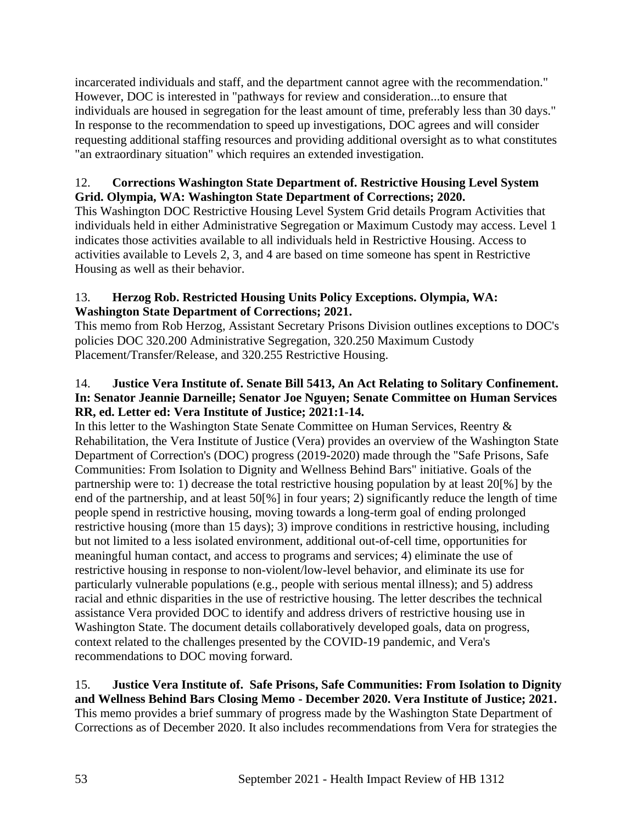incarcerated individuals and staff, and the department cannot agree with the recommendation." However, DOC is interested in "pathways for review and consideration...to ensure that individuals are housed in segregation for the least amount of time, preferably less than 30 days." In response to the recommendation to speed up investigations, DOC agrees and will consider requesting additional staffing resources and providing additional oversight as to what constitutes "an extraordinary situation" which requires an extended investigation.

# 12. **Corrections Washington State Department of. Restrictive Housing Level System Grid. Olympia, WA: Washington State Department of Corrections; 2020.**

This Washington DOC Restrictive Housing Level System Grid details Program Activities that individuals held in either Administrative Segregation or Maximum Custody may access. Level 1 indicates those activities available to all individuals held in Restrictive Housing. Access to activities available to Levels 2, 3, and 4 are based on time someone has spent in Restrictive Housing as well as their behavior.

# 13. **Herzog Rob. Restricted Housing Units Policy Exceptions. Olympia, WA: Washington State Department of Corrections; 2021.**

This memo from Rob Herzog, Assistant Secretary Prisons Division outlines exceptions to DOC's policies DOC 320.200 Administrative Segregation, 320.250 Maximum Custody Placement/Transfer/Release, and 320.255 Restrictive Housing.

# 14. **Justice Vera Institute of. Senate Bill 5413, An Act Relating to Solitary Confinement. In: Senator Jeannie Darneille; Senator Joe Nguyen; Senate Committee on Human Services RR, ed. Letter ed: Vera Institute of Justice; 2021:1-14.**

In this letter to the Washington State Senate Committee on Human Services, Reentry & Rehabilitation, the Vera Institute of Justice (Vera) provides an overview of the Washington State Department of Correction's (DOC) progress (2019-2020) made through the "Safe Prisons, Safe Communities: From Isolation to Dignity and Wellness Behind Bars" initiative. Goals of the partnership were to: 1) decrease the total restrictive housing population by at least 20[%] by the end of the partnership, and at least 50[%] in four years; 2) significantly reduce the length of time people spend in restrictive housing, moving towards a long-term goal of ending prolonged restrictive housing (more than 15 days); 3) improve conditions in restrictive housing, including but not limited to a less isolated environment, additional out-of-cell time, opportunities for meaningful human contact, and access to programs and services; 4) eliminate the use of restrictive housing in response to non-violent/low-level behavior, and eliminate its use for particularly vulnerable populations (e.g., people with serious mental illness); and 5) address racial and ethnic disparities in the use of restrictive housing. The letter describes the technical assistance Vera provided DOC to identify and address drivers of restrictive housing use in Washington State. The document details collaboratively developed goals, data on progress, context related to the challenges presented by the COVID-19 pandemic, and Vera's recommendations to DOC moving forward.

# 15. **Justice Vera Institute of. Safe Prisons, Safe Communities: From Isolation to Dignity and Wellness Behind Bars Closing Memo - December 2020. Vera Institute of Justice; 2021.** This memo provides a brief summary of progress made by the Washington State Department of Corrections as of December 2020. It also includes recommendations from Vera for strategies the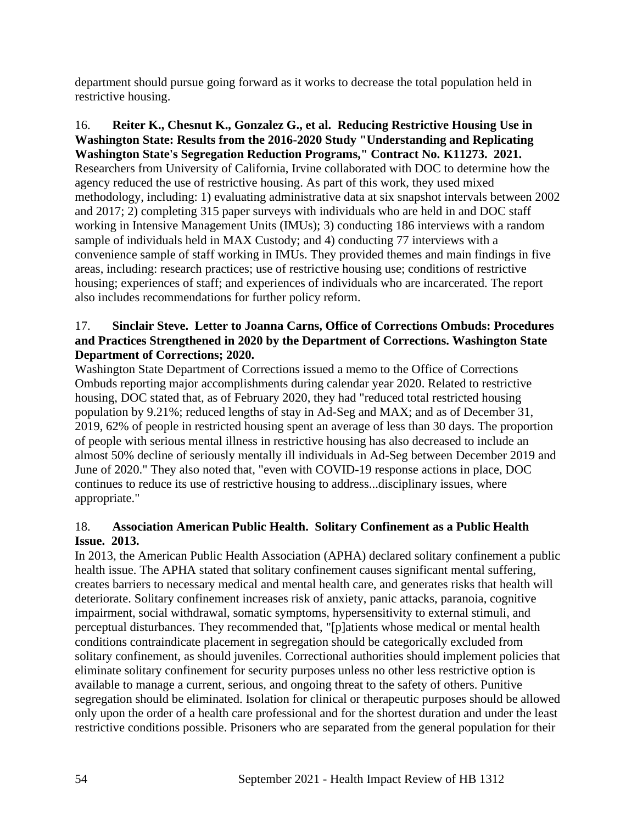department should pursue going forward as it works to decrease the total population held in restrictive housing.

16. **Reiter K., Chesnut K., Gonzalez G., et al. Reducing Restrictive Housing Use in Washington State: Results from the 2016-2020 Study "Understanding and Replicating Washington State's Segregation Reduction Programs," Contract No. K11273. 2021.** Researchers from University of California, Irvine collaborated with DOC to determine how the agency reduced the use of restrictive housing. As part of this work, they used mixed methodology, including: 1) evaluating administrative data at six snapshot intervals between 2002 and 2017; 2) completing 315 paper surveys with individuals who are held in and DOC staff working in Intensive Management Units (IMUs); 3) conducting 186 interviews with a random sample of individuals held in MAX Custody; and 4) conducting 77 interviews with a convenience sample of staff working in IMUs. They provided themes and main findings in five areas, including: research practices; use of restrictive housing use; conditions of restrictive housing; experiences of staff; and experiences of individuals who are incarcerated. The report also includes recommendations for further policy reform.

### 17. **Sinclair Steve. Letter to Joanna Carns, Office of Corrections Ombuds: Procedures and Practices Strengthened in 2020 by the Department of Corrections. Washington State Department of Corrections; 2020.**

Washington State Department of Corrections issued a memo to the Office of Corrections Ombuds reporting major accomplishments during calendar year 2020. Related to restrictive housing, DOC stated that, as of February 2020, they had "reduced total restricted housing population by 9.21%; reduced lengths of stay in Ad-Seg and MAX; and as of December 31, 2019, 62% of people in restricted housing spent an average of less than 30 days. The proportion of people with serious mental illness in restrictive housing has also decreased to include an almost 50% decline of seriously mentally ill individuals in Ad-Seg between December 2019 and June of 2020." They also noted that, "even with COVID-19 response actions in place, DOC continues to reduce its use of restrictive housing to address...disciplinary issues, where appropriate."

# 18. **Association American Public Health. Solitary Confinement as a Public Health Issue. 2013.**

In 2013, the American Public Health Association (APHA) declared solitary confinement a public health issue. The APHA stated that solitary confinement causes significant mental suffering, creates barriers to necessary medical and mental health care, and generates risks that health will deteriorate. Solitary confinement increases risk of anxiety, panic attacks, paranoia, cognitive impairment, social withdrawal, somatic symptoms, hypersensitivity to external stimuli, and perceptual disturbances. They recommended that, "[p]atients whose medical or mental health conditions contraindicate placement in segregation should be categorically excluded from solitary confinement, as should juveniles. Correctional authorities should implement policies that eliminate solitary confinement for security purposes unless no other less restrictive option is available to manage a current, serious, and ongoing threat to the safety of others. Punitive segregation should be eliminated. Isolation for clinical or therapeutic purposes should be allowed only upon the order of a health care professional and for the shortest duration and under the least restrictive conditions possible. Prisoners who are separated from the general population for their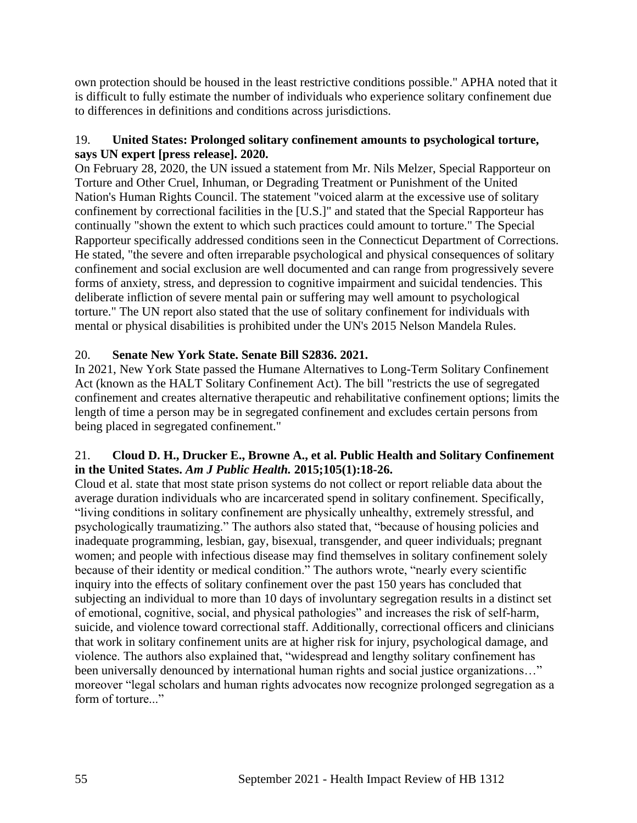own protection should be housed in the least restrictive conditions possible." APHA noted that it is difficult to fully estimate the number of individuals who experience solitary confinement due to differences in definitions and conditions across jurisdictions.

## 19. **United States: Prolonged solitary confinement amounts to psychological torture, says UN expert [press release]. 2020.**

On February 28, 2020, the UN issued a statement from Mr. Nils Melzer, Special Rapporteur on Torture and Other Cruel, Inhuman, or Degrading Treatment or Punishment of the United Nation's Human Rights Council. The statement "voiced alarm at the excessive use of solitary confinement by correctional facilities in the [U.S.]" and stated that the Special Rapporteur has continually "shown the extent to which such practices could amount to torture." The Special Rapporteur specifically addressed conditions seen in the Connecticut Department of Corrections. He stated, "the severe and often irreparable psychological and physical consequences of solitary confinement and social exclusion are well documented and can range from progressively severe forms of anxiety, stress, and depression to cognitive impairment and suicidal tendencies. This deliberate infliction of severe mental pain or suffering may well amount to psychological torture." The UN report also stated that the use of solitary confinement for individuals with mental or physical disabilities is prohibited under the UN's 2015 Nelson Mandela Rules.

# 20. **Senate New York State. Senate Bill S2836. 2021.**

In 2021, New York State passed the Humane Alternatives to Long-Term Solitary Confinement Act (known as the HALT Solitary Confinement Act). The bill "restricts the use of segregated confinement and creates alternative therapeutic and rehabilitative confinement options; limits the length of time a person may be in segregated confinement and excludes certain persons from being placed in segregated confinement."

# 21. **Cloud D. H., Drucker E., Browne A., et al. Public Health and Solitary Confinement in the United States.** *Am J Public Health.* **2015;105(1):18-26.**

Cloud et al. state that most state prison systems do not collect or report reliable data about the average duration individuals who are incarcerated spend in solitary confinement. Specifically, "living conditions in solitary confinement are physically unhealthy, extremely stressful, and psychologically traumatizing." The authors also stated that, "because of housing policies and inadequate programming, lesbian, gay, bisexual, transgender, and queer individuals; pregnant women; and people with infectious disease may find themselves in solitary confinement solely because of their identity or medical condition." The authors wrote, "nearly every scientific inquiry into the effects of solitary confinement over the past 150 years has concluded that subjecting an individual to more than 10 days of involuntary segregation results in a distinct set of emotional, cognitive, social, and physical pathologies" and increases the risk of self-harm, suicide, and violence toward correctional staff. Additionally, correctional officers and clinicians that work in solitary confinement units are at higher risk for injury, psychological damage, and violence. The authors also explained that, "widespread and lengthy solitary confinement has been universally denounced by international human rights and social justice organizations..." moreover "legal scholars and human rights advocates now recognize prolonged segregation as a form of torture..."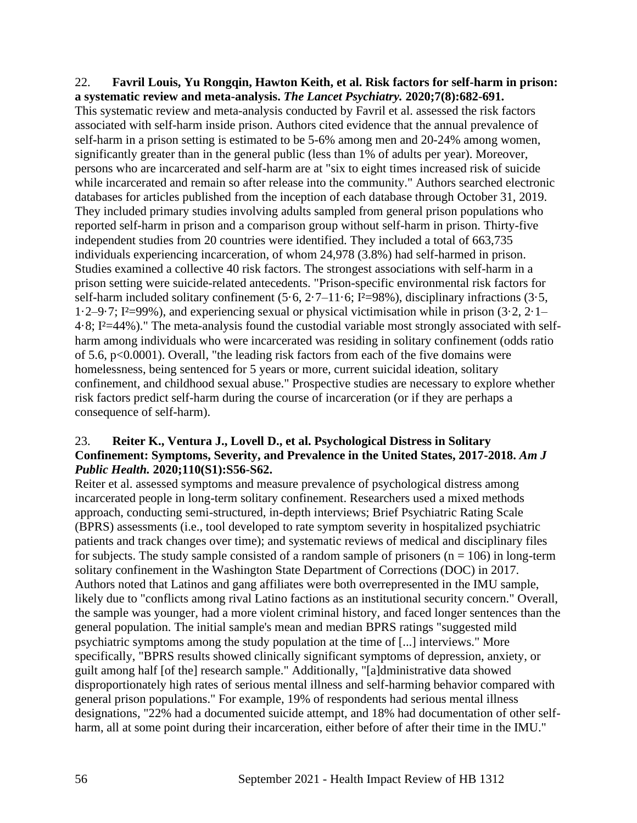#### 22. **Favril Louis, Yu Rongqin, Hawton Keith, et al. Risk factors for self-harm in prison: a systematic review and meta-analysis.** *The Lancet Psychiatry.* **2020;7(8):682-691.**

This systematic review and meta-analysis conducted by Favril et al. assessed the risk factors associated with self-harm inside prison. Authors cited evidence that the annual prevalence of self-harm in a prison setting is estimated to be 5-6% among men and 20-24% among women, significantly greater than in the general public (less than 1% of adults per year). Moreover, persons who are incarcerated and self-harm are at "six to eight times increased risk of suicide while incarcerated and remain so after release into the community." Authors searched electronic databases for articles published from the inception of each database through October 31, 2019. They included primary studies involving adults sampled from general prison populations who reported self-harm in prison and a comparison group without self-harm in prison. Thirty-five independent studies from 20 countries were identified. They included a total of 663,735 individuals experiencing incarceration, of whom 24,978 (3.8%) had self-harmed in prison. Studies examined a collective 40 risk factors. The strongest associations with self-harm in a prison setting were suicide-related antecedents. "Prison-specific environmental risk factors for self-harm included solitary confinement  $(5.6, 2.7-11.6; I<sup>2</sup>=98%)$ , disciplinary infractions  $(3.5, I<sup>2</sup>)$ 1·2–9·7; I<sup>2</sup>=99%), and experiencing sexual or physical victimisation while in prison  $(3.2, 2.1-$ 4·8; I²=44%)." The meta-analysis found the custodial variable most strongly associated with selfharm among individuals who were incarcerated was residing in solitary confinement (odds ratio of 5.6, p<0.0001). Overall, "the leading risk factors from each of the five domains were homelessness, being sentenced for 5 years or more, current suicidal ideation, solitary confinement, and childhood sexual abuse." Prospective studies are necessary to explore whether risk factors predict self-harm during the course of incarceration (or if they are perhaps a consequence of self-harm).

### 23. **Reiter K., Ventura J., Lovell D., et al. Psychological Distress in Solitary Confinement: Symptoms, Severity, and Prevalence in the United States, 2017-2018.** *Am J Public Health.* **2020;110(S1):S56-S62.**

Reiter et al. assessed symptoms and measure prevalence of psychological distress among incarcerated people in long-term solitary confinement. Researchers used a mixed methods approach, conducting semi-structured, in-depth interviews; Brief Psychiatric Rating Scale (BPRS) assessments (i.e., tool developed to rate symptom severity in hospitalized psychiatric patients and track changes over time); and systematic reviews of medical and disciplinary files for subjects. The study sample consisted of a random sample of prisoners ( $n = 106$ ) in long-term solitary confinement in the Washington State Department of Corrections (DOC) in 2017. Authors noted that Latinos and gang affiliates were both overrepresented in the IMU sample, likely due to "conflicts among rival Latino factions as an institutional security concern." Overall, the sample was younger, had a more violent criminal history, and faced longer sentences than the general population. The initial sample's mean and median BPRS ratings "suggested mild psychiatric symptoms among the study population at the time of [...] interviews." More specifically, "BPRS results showed clinically significant symptoms of depression, anxiety, or guilt among half [of the] research sample." Additionally, "[a]dministrative data showed disproportionately high rates of serious mental illness and self-harming behavior compared with general prison populations." For example, 19% of respondents had serious mental illness designations, "22% had a documented suicide attempt, and 18% had documentation of other selfharm, all at some point during their incarceration, either before of after their time in the IMU."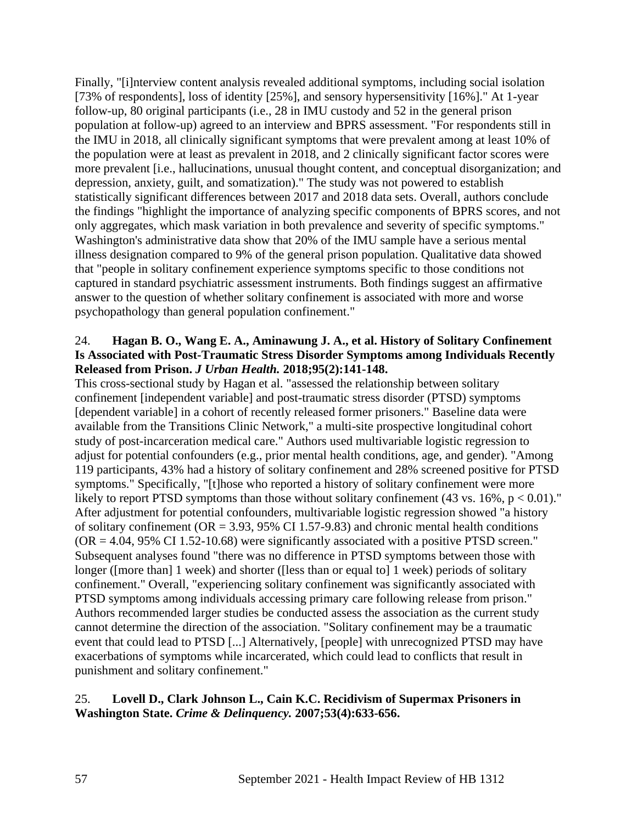Finally, "[i]nterview content analysis revealed additional symptoms, including social isolation [73% of respondents], loss of identity [25%], and sensory hypersensitivity [16%]." At 1-year follow-up, 80 original participants (i.e., 28 in IMU custody and 52 in the general prison population at follow-up) agreed to an interview and BPRS assessment. "For respondents still in the IMU in 2018, all clinically significant symptoms that were prevalent among at least 10% of the population were at least as prevalent in 2018, and 2 clinically significant factor scores were more prevalent [i.e., hallucinations, unusual thought content, and conceptual disorganization; and depression, anxiety, guilt, and somatization)." The study was not powered to establish statistically significant differences between 2017 and 2018 data sets. Overall, authors conclude the findings "highlight the importance of analyzing specific components of BPRS scores, and not only aggregates, which mask variation in both prevalence and severity of specific symptoms." Washington's administrative data show that 20% of the IMU sample have a serious mental illness designation compared to 9% of the general prison population. Qualitative data showed that "people in solitary confinement experience symptoms specific to those conditions not captured in standard psychiatric assessment instruments. Both findings suggest an affirmative answer to the question of whether solitary confinement is associated with more and worse psychopathology than general population confinement."

#### 24. **Hagan B. O., Wang E. A., Aminawung J. A., et al. History of Solitary Confinement Is Associated with Post-Traumatic Stress Disorder Symptoms among Individuals Recently Released from Prison.** *J Urban Health.* **2018;95(2):141-148.**

This cross-sectional study by Hagan et al. "assessed the relationship between solitary confinement [independent variable] and post-traumatic stress disorder (PTSD) symptoms [dependent variable] in a cohort of recently released former prisoners." Baseline data were available from the Transitions Clinic Network," a multi-site prospective longitudinal cohort study of post-incarceration medical care." Authors used multivariable logistic regression to adjust for potential confounders (e.g., prior mental health conditions, age, and gender). "Among 119 participants, 43% had a history of solitary confinement and 28% screened positive for PTSD symptoms." Specifically, "[t]hose who reported a history of solitary confinement were more likely to report PTSD symptoms than those without solitary confinement  $(43 \text{ vs. } 16\%, \text{ p} < 0.01)$ ." After adjustment for potential confounders, multivariable logistic regression showed "a history of solitary confinement ( $OR = 3.93$ , 95% CI 1.57-9.83) and chronic mental health conditions  $(OR = 4.04, 95\% \text{ CI } 1.52 - 10.68)$  were significantly associated with a positive PTSD screen." Subsequent analyses found "there was no difference in PTSD symptoms between those with longer ([more than] 1 week) and shorter ([less than or equal to] 1 week) periods of solitary confinement." Overall, "experiencing solitary confinement was significantly associated with PTSD symptoms among individuals accessing primary care following release from prison." Authors recommended larger studies be conducted assess the association as the current study cannot determine the direction of the association. "Solitary confinement may be a traumatic event that could lead to PTSD [...] Alternatively, [people] with unrecognized PTSD may have exacerbations of symptoms while incarcerated, which could lead to conflicts that result in punishment and solitary confinement."

# 25. **Lovell D., Clark Johnson L., Cain K.C. Recidivism of Supermax Prisoners in Washington State.** *Crime & Delinquency.* **2007;53(4):633-656.**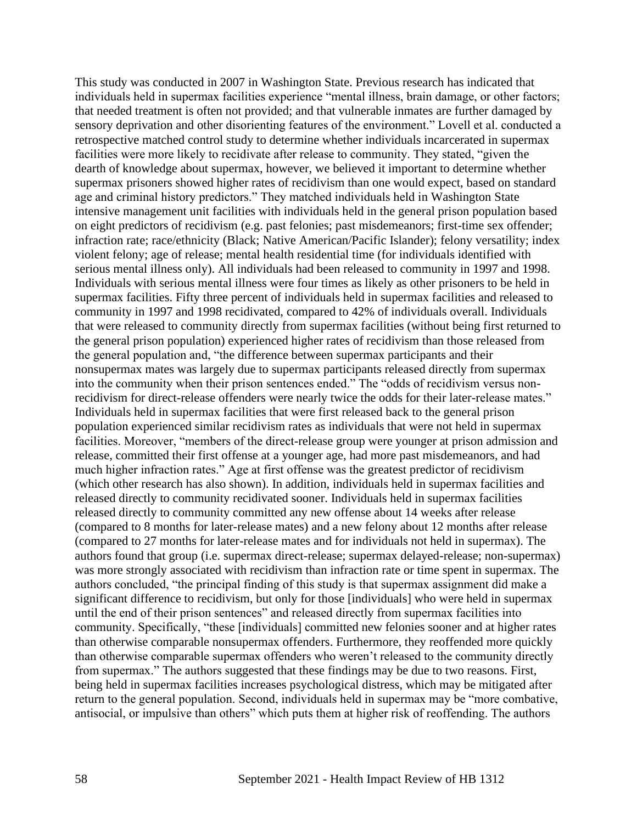This study was conducted in 2007 in Washington State. Previous research has indicated that individuals held in supermax facilities experience "mental illness, brain damage, or other factors; that needed treatment is often not provided; and that vulnerable inmates are further damaged by sensory deprivation and other disorienting features of the environment." Lovell et al. conducted a retrospective matched control study to determine whether individuals incarcerated in supermax facilities were more likely to recidivate after release to community. They stated, "given the dearth of knowledge about supermax, however, we believed it important to determine whether supermax prisoners showed higher rates of recidivism than one would expect, based on standard age and criminal history predictors." They matched individuals held in Washington State intensive management unit facilities with individuals held in the general prison population based on eight predictors of recidivism (e.g. past felonies; past misdemeanors; first-time sex offender; infraction rate; race/ethnicity (Black; Native American/Pacific Islander); felony versatility; index violent felony; age of release; mental health residential time (for individuals identified with serious mental illness only). All individuals had been released to community in 1997 and 1998. Individuals with serious mental illness were four times as likely as other prisoners to be held in supermax facilities. Fifty three percent of individuals held in supermax facilities and released to community in 1997 and 1998 recidivated, compared to 42% of individuals overall. Individuals that were released to community directly from supermax facilities (without being first returned to the general prison population) experienced higher rates of recidivism than those released from the general population and, "the difference between supermax participants and their nonsupermax mates was largely due to supermax participants released directly from supermax into the community when their prison sentences ended." The "odds of recidivism versus nonrecidivism for direct-release offenders were nearly twice the odds for their later-release mates." Individuals held in supermax facilities that were first released back to the general prison population experienced similar recidivism rates as individuals that were not held in supermax facilities. Moreover, "members of the direct-release group were younger at prison admission and release, committed their first offense at a younger age, had more past misdemeanors, and had much higher infraction rates." Age at first offense was the greatest predictor of recidivism (which other research has also shown). In addition, individuals held in supermax facilities and released directly to community recidivated sooner. Individuals held in supermax facilities released directly to community committed any new offense about 14 weeks after release (compared to 8 months for later-release mates) and a new felony about 12 months after release (compared to 27 months for later-release mates and for individuals not held in supermax). The authors found that group (i.e. supermax direct-release; supermax delayed-release; non-supermax) was more strongly associated with recidivism than infraction rate or time spent in supermax. The authors concluded, "the principal finding of this study is that supermax assignment did make a significant difference to recidivism, but only for those [individuals] who were held in supermax until the end of their prison sentences" and released directly from supermax facilities into community. Specifically, "these [individuals] committed new felonies sooner and at higher rates than otherwise comparable nonsupermax offenders. Furthermore, they reoffended more quickly than otherwise comparable supermax offenders who weren't released to the community directly from supermax." The authors suggested that these findings may be due to two reasons. First, being held in supermax facilities increases psychological distress, which may be mitigated after return to the general population. Second, individuals held in supermax may be "more combative, antisocial, or impulsive than others" which puts them at higher risk of reoffending. The authors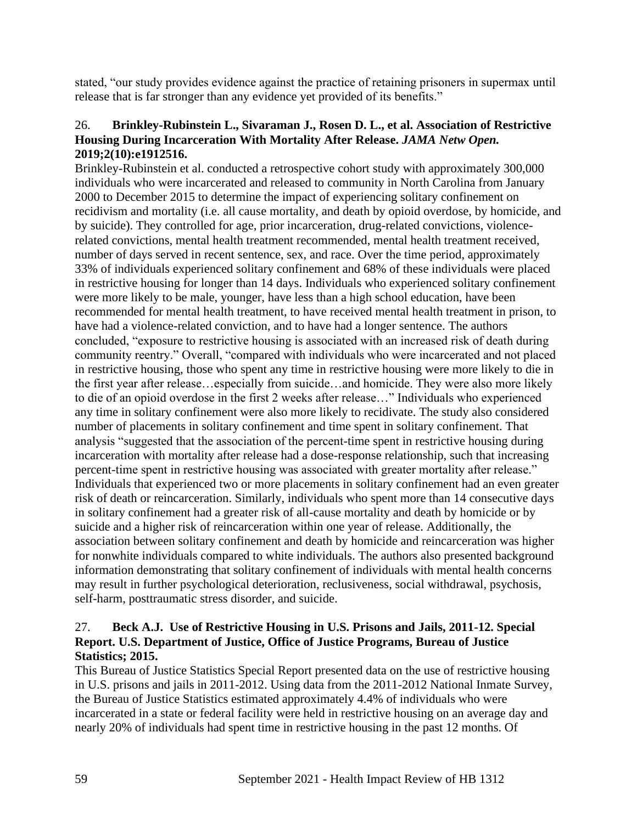stated, "our study provides evidence against the practice of retaining prisoners in supermax until release that is far stronger than any evidence yet provided of its benefits."

#### 26. **Brinkley-Rubinstein L., Sivaraman J., Rosen D. L., et al. Association of Restrictive Housing During Incarceration With Mortality After Release.** *JAMA Netw Open.*  **2019;2(10):e1912516.**

Brinkley-Rubinstein et al. conducted a retrospective cohort study with approximately 300,000 individuals who were incarcerated and released to community in North Carolina from January 2000 to December 2015 to determine the impact of experiencing solitary confinement on recidivism and mortality (i.e. all cause mortality, and death by opioid overdose, by homicide, and by suicide). They controlled for age, prior incarceration, drug-related convictions, violencerelated convictions, mental health treatment recommended, mental health treatment received, number of days served in recent sentence, sex, and race. Over the time period, approximately 33% of individuals experienced solitary confinement and 68% of these individuals were placed in restrictive housing for longer than 14 days. Individuals who experienced solitary confinement were more likely to be male, younger, have less than a high school education, have been recommended for mental health treatment, to have received mental health treatment in prison, to have had a violence-related conviction, and to have had a longer sentence. The authors concluded, "exposure to restrictive housing is associated with an increased risk of death during community reentry." Overall, "compared with individuals who were incarcerated and not placed in restrictive housing, those who spent any time in restrictive housing were more likely to die in the first year after release…especially from suicide…and homicide. They were also more likely to die of an opioid overdose in the first 2 weeks after release…" Individuals who experienced any time in solitary confinement were also more likely to recidivate. The study also considered number of placements in solitary confinement and time spent in solitary confinement. That analysis "suggested that the association of the percent-time spent in restrictive housing during incarceration with mortality after release had a dose-response relationship, such that increasing percent-time spent in restrictive housing was associated with greater mortality after release." Individuals that experienced two or more placements in solitary confinement had an even greater risk of death or reincarceration. Similarly, individuals who spent more than 14 consecutive days in solitary confinement had a greater risk of all-cause mortality and death by homicide or by suicide and a higher risk of reincarceration within one year of release. Additionally, the association between solitary confinement and death by homicide and reincarceration was higher for nonwhite individuals compared to white individuals. The authors also presented background information demonstrating that solitary confinement of individuals with mental health concerns may result in further psychological deterioration, reclusiveness, social withdrawal, psychosis, self-harm, posttraumatic stress disorder, and suicide.

# 27. **Beck A.J. Use of Restrictive Housing in U.S. Prisons and Jails, 2011-12. Special Report. U.S. Department of Justice, Office of Justice Programs, Bureau of Justice Statistics; 2015.**

This Bureau of Justice Statistics Special Report presented data on the use of restrictive housing in U.S. prisons and jails in 2011-2012. Using data from the 2011-2012 National Inmate Survey, the Bureau of Justice Statistics estimated approximately 4.4% of individuals who were incarcerated in a state or federal facility were held in restrictive housing on an average day and nearly 20% of individuals had spent time in restrictive housing in the past 12 months. Of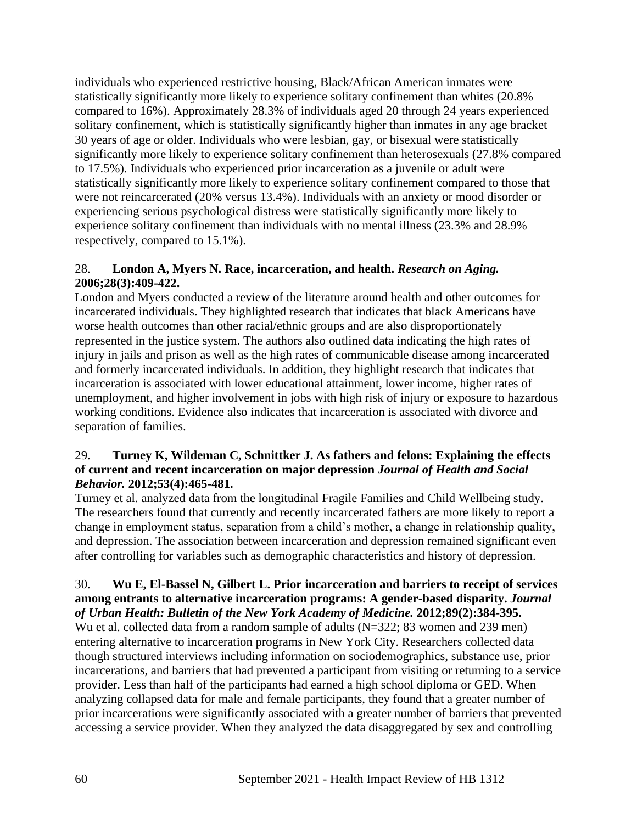individuals who experienced restrictive housing, Black/African American inmates were statistically significantly more likely to experience solitary confinement than whites (20.8% compared to 16%). Approximately 28.3% of individuals aged 20 through 24 years experienced solitary confinement, which is statistically significantly higher than inmates in any age bracket 30 years of age or older. Individuals who were lesbian, gay, or bisexual were statistically significantly more likely to experience solitary confinement than heterosexuals (27.8% compared to 17.5%). Individuals who experienced prior incarceration as a juvenile or adult were statistically significantly more likely to experience solitary confinement compared to those that were not reincarcerated (20% versus 13.4%). Individuals with an anxiety or mood disorder or experiencing serious psychological distress were statistically significantly more likely to experience solitary confinement than individuals with no mental illness (23.3% and 28.9% respectively, compared to 15.1%).

# 28. **London A, Myers N. Race, incarceration, and health.** *Research on Aging.*  **2006;28(3):409-422.**

London and Myers conducted a review of the literature around health and other outcomes for incarcerated individuals. They highlighted research that indicates that black Americans have worse health outcomes than other racial/ethnic groups and are also disproportionately represented in the justice system. The authors also outlined data indicating the high rates of injury in jails and prison as well as the high rates of communicable disease among incarcerated and formerly incarcerated individuals. In addition, they highlight research that indicates that incarceration is associated with lower educational attainment, lower income, higher rates of unemployment, and higher involvement in jobs with high risk of injury or exposure to hazardous working conditions. Evidence also indicates that incarceration is associated with divorce and separation of families.

### 29. **Turney K, Wildeman C, Schnittker J. As fathers and felons: Explaining the effects of current and recent incarceration on major depression** *Journal of Health and Social Behavior.* **2012;53(4):465-481.**

Turney et al. analyzed data from the longitudinal Fragile Families and Child Wellbeing study. The researchers found that currently and recently incarcerated fathers are more likely to report a change in employment status, separation from a child's mother, a change in relationship quality, and depression. The association between incarceration and depression remained significant even after controlling for variables such as demographic characteristics and history of depression.

#### 30. **Wu E, El-Bassel N, Gilbert L. Prior incarceration and barriers to receipt of services among entrants to alternative incarceration programs: A gender-based disparity.** *Journal of Urban Health: Bulletin of the New York Academy of Medicine.* **2012;89(2):384-395.**

Wu et al. collected data from a random sample of adults (N=322; 83 women and 239 men) entering alternative to incarceration programs in New York City. Researchers collected data though structured interviews including information on sociodemographics, substance use, prior incarcerations, and barriers that had prevented a participant from visiting or returning to a service provider. Less than half of the participants had earned a high school diploma or GED. When analyzing collapsed data for male and female participants, they found that a greater number of prior incarcerations were significantly associated with a greater number of barriers that prevented accessing a service provider. When they analyzed the data disaggregated by sex and controlling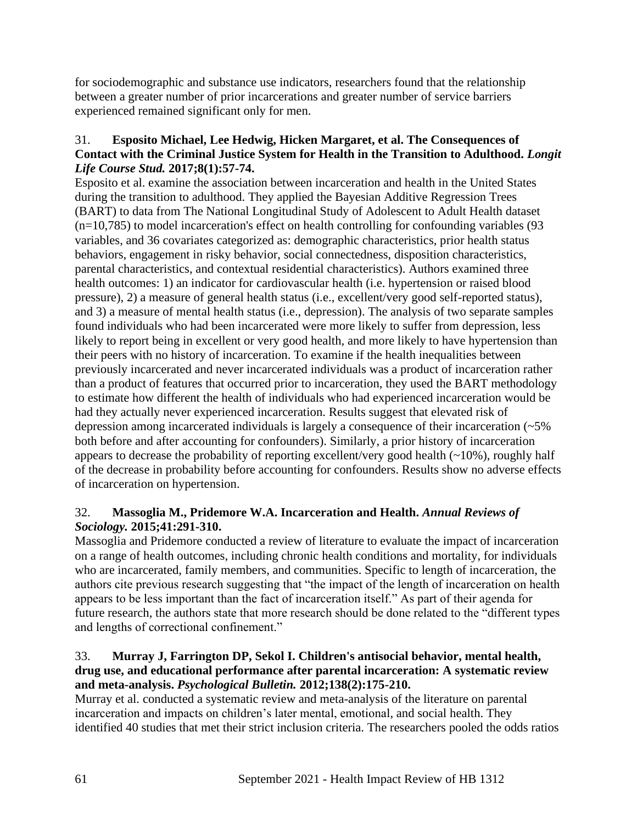for sociodemographic and substance use indicators, researchers found that the relationship between a greater number of prior incarcerations and greater number of service barriers experienced remained significant only for men.

### 31. **Esposito Michael, Lee Hedwig, Hicken Margaret, et al. The Consequences of Contact with the Criminal Justice System for Health in the Transition to Adulthood.** *Longit Life Course Stud.* **2017;8(1):57-74.**

Esposito et al. examine the association between incarceration and health in the United States during the transition to adulthood. They applied the Bayesian Additive Regression Trees (BART) to data from The National Longitudinal Study of Adolescent to Adult Health dataset  $(n=10,785)$  to model incarceration's effect on health controlling for confounding variables (93) variables, and 36 covariates categorized as: demographic characteristics, prior health status behaviors, engagement in risky behavior, social connectedness, disposition characteristics, parental characteristics, and contextual residential characteristics). Authors examined three health outcomes: 1) an indicator for cardiovascular health (i.e. hypertension or raised blood pressure), 2) a measure of general health status (i.e., excellent/very good self-reported status), and 3) a measure of mental health status (i.e., depression). The analysis of two separate samples found individuals who had been incarcerated were more likely to suffer from depression, less likely to report being in excellent or very good health, and more likely to have hypertension than their peers with no history of incarceration. To examine if the health inequalities between previously incarcerated and never incarcerated individuals was a product of incarceration rather than a product of features that occurred prior to incarceration, they used the BART methodology to estimate how different the health of individuals who had experienced incarceration would be had they actually never experienced incarceration. Results suggest that elevated risk of depression among incarcerated individuals is largely a consequence of their incarceration (~5% both before and after accounting for confounders). Similarly, a prior history of incarceration appears to decrease the probability of reporting excellent/very good health  $(-10\%)$ , roughly half of the decrease in probability before accounting for confounders. Results show no adverse effects of incarceration on hypertension.

# 32. **Massoglia M., Pridemore W.A. Incarceration and Health.** *Annual Reviews of Sociology.* **2015;41:291-310.**

Massoglia and Pridemore conducted a review of literature to evaluate the impact of incarceration on a range of health outcomes, including chronic health conditions and mortality, for individuals who are incarcerated, family members, and communities. Specific to length of incarceration, the authors cite previous research suggesting that "the impact of the length of incarceration on health appears to be less important than the fact of incarceration itself." As part of their agenda for future research, the authors state that more research should be done related to the "different types and lengths of correctional confinement."

# 33. **Murray J, Farrington DP, Sekol I. Children's antisocial behavior, mental health, drug use, and educational performance after parental incarceration: A systematic review and meta-analysis.** *Psychological Bulletin.* **2012;138(2):175-210.**

Murray et al. conducted a systematic review and meta-analysis of the literature on parental incarceration and impacts on children's later mental, emotional, and social health. They identified 40 studies that met their strict inclusion criteria. The researchers pooled the odds ratios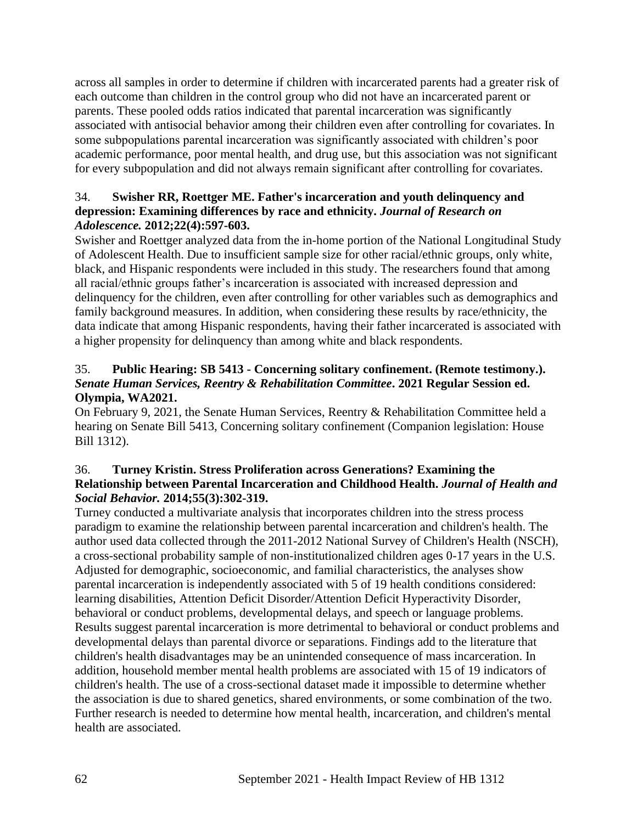across all samples in order to determine if children with incarcerated parents had a greater risk of each outcome than children in the control group who did not have an incarcerated parent or parents. These pooled odds ratios indicated that parental incarceration was significantly associated with antisocial behavior among their children even after controlling for covariates. In some subpopulations parental incarceration was significantly associated with children's poor academic performance, poor mental health, and drug use, but this association was not significant for every subpopulation and did not always remain significant after controlling for covariates.

## 34. **Swisher RR, Roettger ME. Father's incarceration and youth delinquency and depression: Examining differences by race and ethnicity.** *Journal of Research on Adolescence.* **2012;22(4):597-603.**

Swisher and Roettger analyzed data from the in-home portion of the National Longitudinal Study of Adolescent Health. Due to insufficient sample size for other racial/ethnic groups, only white, black, and Hispanic respondents were included in this study. The researchers found that among all racial/ethnic groups father's incarceration is associated with increased depression and delinquency for the children, even after controlling for other variables such as demographics and family background measures. In addition, when considering these results by race/ethnicity, the data indicate that among Hispanic respondents, having their father incarcerated is associated with a higher propensity for delinquency than among white and black respondents.

# 35. **Public Hearing: SB 5413 - Concerning solitary confinement. (Remote testimony.).**  *Senate Human Services, Reentry & Rehabilitation Committee***. 2021 Regular Session ed. Olympia, WA2021.**

On February 9, 2021, the Senate Human Services, Reentry & Rehabilitation Committee held a hearing on Senate Bill 5413, Concerning solitary confinement (Companion legislation: House Bill 1312).

# 36. **Turney Kristin. Stress Proliferation across Generations? Examining the Relationship between Parental Incarceration and Childhood Health.** *Journal of Health and Social Behavior.* **2014;55(3):302-319.**

Turney conducted a multivariate analysis that incorporates children into the stress process paradigm to examine the relationship between parental incarceration and children's health. The author used data collected through the 2011-2012 National Survey of Children's Health (NSCH), a cross-sectional probability sample of non-institutionalized children ages 0-17 years in the U.S. Adjusted for demographic, socioeconomic, and familial characteristics, the analyses show parental incarceration is independently associated with 5 of 19 health conditions considered: learning disabilities, Attention Deficit Disorder/Attention Deficit Hyperactivity Disorder, behavioral or conduct problems, developmental delays, and speech or language problems. Results suggest parental incarceration is more detrimental to behavioral or conduct problems and developmental delays than parental divorce or separations. Findings add to the literature that children's health disadvantages may be an unintended consequence of mass incarceration. In addition, household member mental health problems are associated with 15 of 19 indicators of children's health. The use of a cross-sectional dataset made it impossible to determine whether the association is due to shared genetics, shared environments, or some combination of the two. Further research is needed to determine how mental health, incarceration, and children's mental health are associated.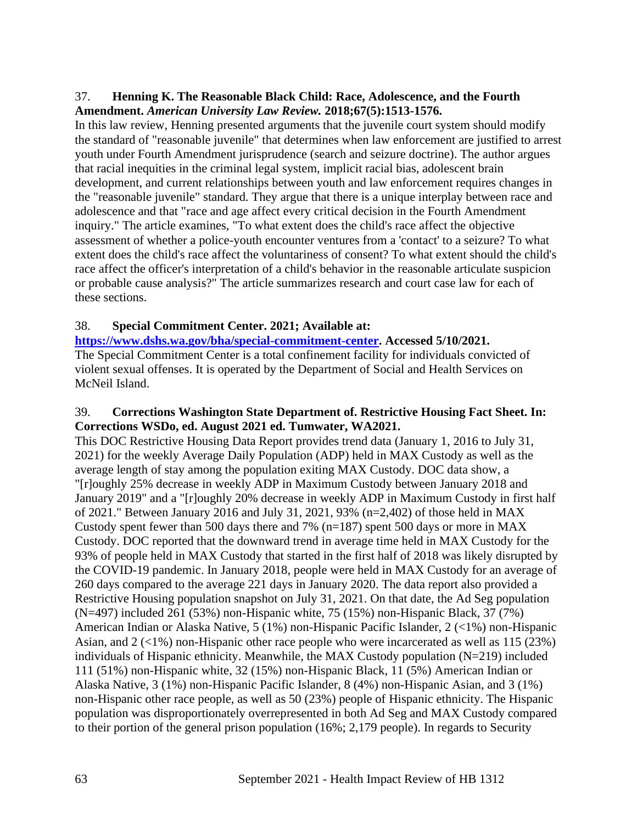### 37. **Henning K. The Reasonable Black Child: Race, Adolescence, and the Fourth Amendment.** *American University Law Review.* **2018;67(5):1513-1576.**

In this law review, Henning presented arguments that the juvenile court system should modify the standard of "reasonable juvenile" that determines when law enforcement are justified to arrest youth under Fourth Amendment jurisprudence (search and seizure doctrine). The author argues that racial inequities in the criminal legal system, implicit racial bias, adolescent brain development, and current relationships between youth and law enforcement requires changes in the "reasonable juvenile" standard. They argue that there is a unique interplay between race and adolescence and that "race and age affect every critical decision in the Fourth Amendment inquiry." The article examines, "To what extent does the child's race affect the objective assessment of whether a police-youth encounter ventures from a 'contact' to a seizure? To what extent does the child's race affect the voluntariness of consent? To what extent should the child's race affect the officer's interpretation of a child's behavior in the reasonable articulate suspicion or probable cause analysis?" The article summarizes research and court case law for each of these sections.

### 38. **Special Commitment Center. 2021; Available at:**

**[https://www.dshs.wa.gov/bha/special-commitment-center.](https://www.dshs.wa.gov/bha/special-commitment-center) Accessed 5/10/2021.** The Special Commitment Center is a total confinement facility for individuals convicted of violent sexual offenses. It is operated by the Department of Social and Health Services on McNeil Island.

### 39. **Corrections Washington State Department of. Restrictive Housing Fact Sheet. In: Corrections WSDo, ed. August 2021 ed. Tumwater, WA2021.**

This DOC Restrictive Housing Data Report provides trend data (January 1, 2016 to July 31, 2021) for the weekly Average Daily Population (ADP) held in MAX Custody as well as the average length of stay among the population exiting MAX Custody. DOC data show, a "[r]oughly 25% decrease in weekly ADP in Maximum Custody between January 2018 and January 2019" and a "[r]oughly 20% decrease in weekly ADP in Maximum Custody in first half of 2021." Between January 2016 and July 31, 2021, 93% (n=2,402) of those held in MAX Custody spent fewer than 500 days there and 7% (n=187) spent 500 days or more in MAX Custody. DOC reported that the downward trend in average time held in MAX Custody for the 93% of people held in MAX Custody that started in the first half of 2018 was likely disrupted by the COVID-19 pandemic. In January 2018, people were held in MAX Custody for an average of 260 days compared to the average 221 days in January 2020. The data report also provided a Restrictive Housing population snapshot on July 31, 2021. On that date, the Ad Seg population (N=497) included 261 (53%) non-Hispanic white, 75 (15%) non-Hispanic Black, 37 (7%) American Indian or Alaska Native, 5 (1%) non-Hispanic Pacific Islander, 2 (<1%) non-Hispanic Asian, and 2 (<1%) non-Hispanic other race people who were incarcerated as well as 115 (23%) individuals of Hispanic ethnicity. Meanwhile, the MAX Custody population (N=219) included 111 (51%) non-Hispanic white, 32 (15%) non-Hispanic Black, 11 (5%) American Indian or Alaska Native, 3 (1%) non-Hispanic Pacific Islander, 8 (4%) non-Hispanic Asian, and 3 (1%) non-Hispanic other race people, as well as 50 (23%) people of Hispanic ethnicity. The Hispanic population was disproportionately overrepresented in both Ad Seg and MAX Custody compared to their portion of the general prison population (16%; 2,179 people). In regards to Security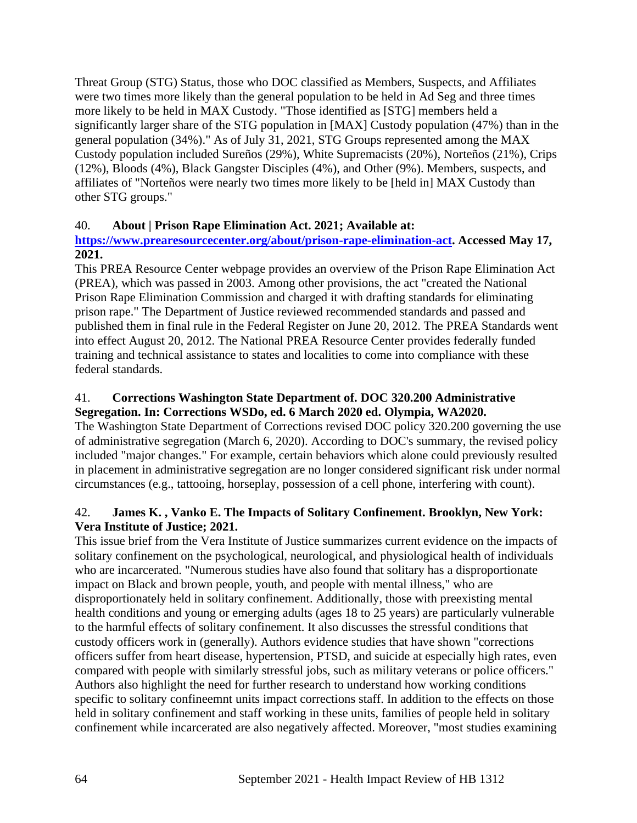Threat Group (STG) Status, those who DOC classified as Members, Suspects, and Affiliates were two times more likely than the general population to be held in Ad Seg and three times more likely to be held in MAX Custody. "Those identified as [STG] members held a significantly larger share of the STG population in [MAX] Custody population (47%) than in the general population (34%)." As of July 31, 2021, STG Groups represented among the MAX Custody population included Sureños (29%), White Supremacists (20%), Norteños (21%), Crips (12%), Bloods (4%), Black Gangster Disciples (4%), and Other (9%). Members, suspects, and affiliates of "Norteños were nearly two times more likely to be [held in] MAX Custody than other STG groups."

### 40. **About | Prison Rape Elimination Act. 2021; Available at:**

### **[https://www.prearesourcecenter.org/about/prison-rape-elimination-act.](https://www.prearesourcecenter.org/about/prison-rape-elimination-act) Accessed May 17, 2021.**

This PREA Resource Center webpage provides an overview of the Prison Rape Elimination Act (PREA), which was passed in 2003. Among other provisions, the act "created the National Prison Rape Elimination Commission and charged it with drafting standards for eliminating prison rape." The Department of Justice reviewed recommended standards and passed and published them in final rule in the Federal Register on June 20, 2012. The PREA Standards went into effect August 20, 2012. The National PREA Resource Center provides federally funded training and technical assistance to states and localities to come into compliance with these federal standards.

# 41. **Corrections Washington State Department of. DOC 320.200 Administrative Segregation. In: Corrections WSDo, ed. 6 March 2020 ed. Olympia, WA2020.**

The Washington State Department of Corrections revised DOC policy 320.200 governing the use of administrative segregation (March 6, 2020). According to DOC's summary, the revised policy included "major changes." For example, certain behaviors which alone could previously resulted in placement in administrative segregation are no longer considered significant risk under normal circumstances (e.g., tattooing, horseplay, possession of a cell phone, interfering with count).

# 42. **James K. , Vanko E. The Impacts of Solitary Confinement. Brooklyn, New York: Vera Institute of Justice; 2021.**

This issue brief from the Vera Institute of Justice summarizes current evidence on the impacts of solitary confinement on the psychological, neurological, and physiological health of individuals who are incarcerated. "Numerous studies have also found that solitary has a disproportionate impact on Black and brown people, youth, and people with mental illness," who are disproportionately held in solitary confinement. Additionally, those with preexisting mental health conditions and young or emerging adults (ages 18 to 25 years) are particularly vulnerable to the harmful effects of solitary confinement. It also discusses the stressful conditions that custody officers work in (generally). Authors evidence studies that have shown "corrections officers suffer from heart disease, hypertension, PTSD, and suicide at especially high rates, even compared with people with similarly stressful jobs, such as military veterans or police officers." Authors also highlight the need for further research to understand how working conditions specific to solitary confineemnt units impact corrections staff. In addition to the effects on those held in solitary confinement and staff working in these units, families of people held in solitary confinement while incarcerated are also negatively affected. Moreover, "most studies examining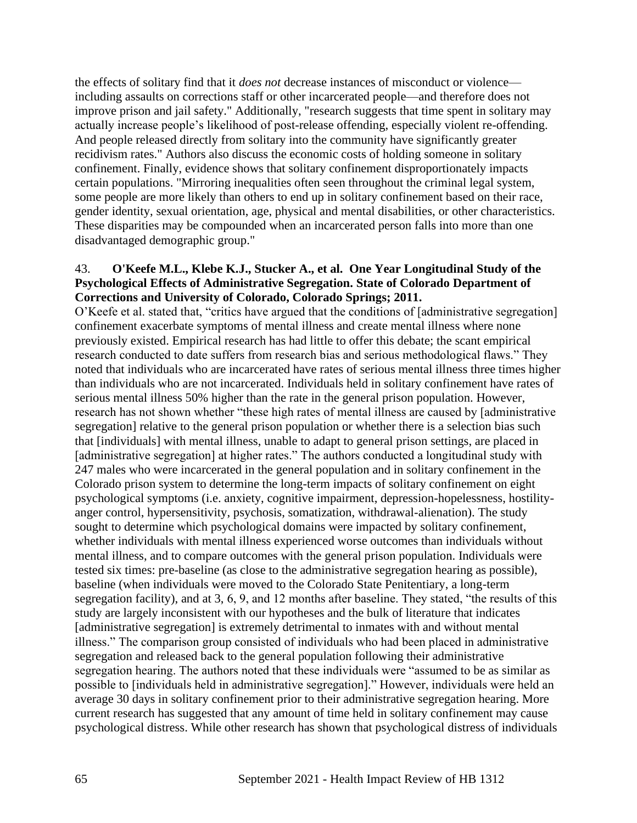the effects of solitary find that it *does not* decrease instances of misconduct or violence including assaults on corrections staff or other incarcerated people—and therefore does not improve prison and jail safety." Additionally, "research suggests that time spent in solitary may actually increase people's likelihood of post-release offending, especially violent re-offending. And people released directly from solitary into the community have significantly greater recidivism rates." Authors also discuss the economic costs of holding someone in solitary confinement. Finally, evidence shows that solitary confinement disproportionately impacts certain populations. "Mirroring inequalities often seen throughout the criminal legal system, some people are more likely than others to end up in solitary confinement based on their race, gender identity, sexual orientation, age, physical and mental disabilities, or other characteristics. These disparities may be compounded when an incarcerated person falls into more than one disadvantaged demographic group."

#### 43. **O'Keefe M.L., Klebe K.J., Stucker A., et al. One Year Longitudinal Study of the Psychological Effects of Administrative Segregation. State of Colorado Department of Corrections and University of Colorado, Colorado Springs; 2011.**

O'Keefe et al. stated that, "critics have argued that the conditions of [administrative segregation] confinement exacerbate symptoms of mental illness and create mental illness where none previously existed. Empirical research has had little to offer this debate; the scant empirical research conducted to date suffers from research bias and serious methodological flaws." They noted that individuals who are incarcerated have rates of serious mental illness three times higher than individuals who are not incarcerated. Individuals held in solitary confinement have rates of serious mental illness 50% higher than the rate in the general prison population. However, research has not shown whether "these high rates of mental illness are caused by [administrative segregation] relative to the general prison population or whether there is a selection bias such that [individuals] with mental illness, unable to adapt to general prison settings, are placed in [administrative segregation] at higher rates." The authors conducted a longitudinal study with 247 males who were incarcerated in the general population and in solitary confinement in the Colorado prison system to determine the long-term impacts of solitary confinement on eight psychological symptoms (i.e. anxiety, cognitive impairment, depression-hopelessness, hostilityanger control, hypersensitivity, psychosis, somatization, withdrawal-alienation). The study sought to determine which psychological domains were impacted by solitary confinement, whether individuals with mental illness experienced worse outcomes than individuals without mental illness, and to compare outcomes with the general prison population. Individuals were tested six times: pre-baseline (as close to the administrative segregation hearing as possible), baseline (when individuals were moved to the Colorado State Penitentiary, a long-term segregation facility), and at 3, 6, 9, and 12 months after baseline. They stated, "the results of this study are largely inconsistent with our hypotheses and the bulk of literature that indicates [administrative segregation] is extremely detrimental to inmates with and without mental illness." The comparison group consisted of individuals who had been placed in administrative segregation and released back to the general population following their administrative segregation hearing. The authors noted that these individuals were "assumed to be as similar as possible to [individuals held in administrative segregation]." However, individuals were held an average 30 days in solitary confinement prior to their administrative segregation hearing. More current research has suggested that any amount of time held in solitary confinement may cause psychological distress. While other research has shown that psychological distress of individuals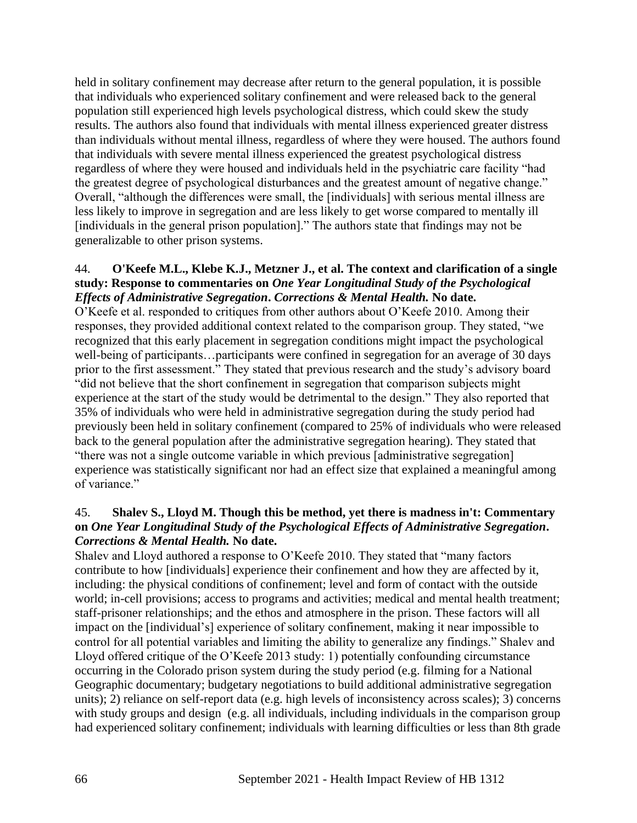held in solitary confinement may decrease after return to the general population, it is possible that individuals who experienced solitary confinement and were released back to the general population still experienced high levels psychological distress, which could skew the study results. The authors also found that individuals with mental illness experienced greater distress than individuals without mental illness, regardless of where they were housed. The authors found that individuals with severe mental illness experienced the greatest psychological distress regardless of where they were housed and individuals held in the psychiatric care facility "had the greatest degree of psychological disturbances and the greatest amount of negative change." Overall, "although the differences were small, the [individuals] with serious mental illness are less likely to improve in segregation and are less likely to get worse compared to mentally ill [individuals in the general prison population]." The authors state that findings may not be generalizable to other prison systems.

#### 44. **O'Keefe M.L., Klebe K.J., Metzner J., et al. The context and clarification of a single study: Response to commentaries on** *One Year Longitudinal Study of the Psychological Effects of Administrative Segregation***.** *Corrections & Mental Health.* **No date.**

O'Keefe et al. responded to critiques from other authors about O'Keefe 2010. Among their responses, they provided additional context related to the comparison group. They stated, "we recognized that this early placement in segregation conditions might impact the psychological well-being of participants…participants were confined in segregation for an average of 30 days prior to the first assessment." They stated that previous research and the study's advisory board "did not believe that the short confinement in segregation that comparison subjects might experience at the start of the study would be detrimental to the design." They also reported that 35% of individuals who were held in administrative segregation during the study period had previously been held in solitary confinement (compared to 25% of individuals who were released back to the general population after the administrative segregation hearing). They stated that "there was not a single outcome variable in which previous [administrative segregation] experience was statistically significant nor had an effect size that explained a meaningful among of variance."

### 45. **Shalev S., Lloyd M. Though this be method, yet there is madness in't: Commentary on** *One Year Longitudinal Study of the Psychological Effects of Administrative Segregation***.**  *Corrections & Mental Health.* **No date.**

Shalev and Lloyd authored a response to O'Keefe 2010. They stated that "many factors contribute to how [individuals] experience their confinement and how they are affected by it, including: the physical conditions of confinement; level and form of contact with the outside world; in-cell provisions; access to programs and activities; medical and mental health treatment; staff-prisoner relationships; and the ethos and atmosphere in the prison. These factors will all impact on the [individual's] experience of solitary confinement, making it near impossible to control for all potential variables and limiting the ability to generalize any findings." Shalev and Lloyd offered critique of the O'Keefe 2013 study: 1) potentially confounding circumstance occurring in the Colorado prison system during the study period (e.g. filming for a National Geographic documentary; budgetary negotiations to build additional administrative segregation units); 2) reliance on self-report data (e.g. high levels of inconsistency across scales); 3) concerns with study groups and design (e.g. all individuals, including individuals in the comparison group had experienced solitary confinement; individuals with learning difficulties or less than 8th grade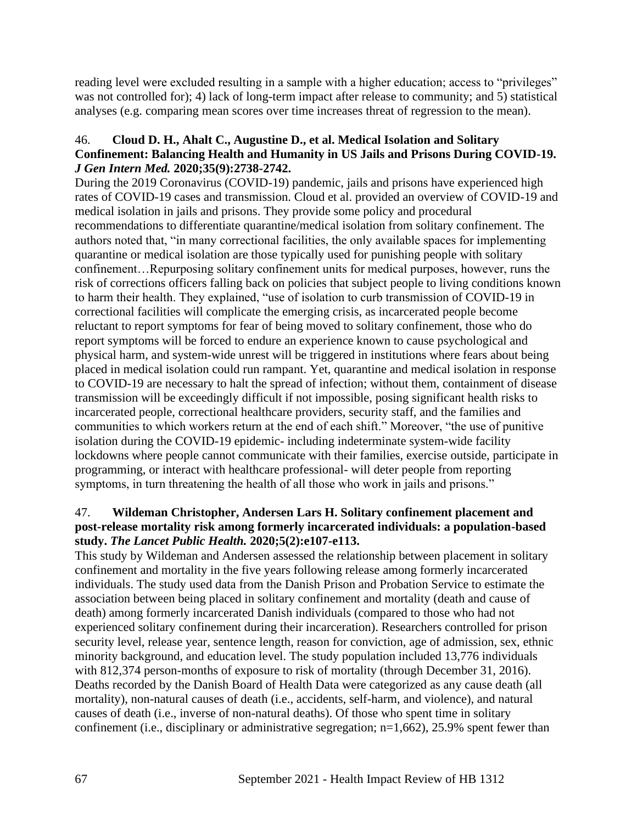reading level were excluded resulting in a sample with a higher education; access to "privileges" was not controlled for); 4) lack of long-term impact after release to community; and 5) statistical analyses (e.g. comparing mean scores over time increases threat of regression to the mean).

### 46. **Cloud D. H., Ahalt C., Augustine D., et al. Medical Isolation and Solitary Confinement: Balancing Health and Humanity in US Jails and Prisons During COVID-19.**  *J Gen Intern Med.* **2020;35(9):2738-2742.**

During the 2019 Coronavirus (COVID-19) pandemic, jails and prisons have experienced high rates of COVID-19 cases and transmission. Cloud et al. provided an overview of COVID-19 and medical isolation in jails and prisons. They provide some policy and procedural recommendations to differentiate quarantine/medical isolation from solitary confinement. The authors noted that, "in many correctional facilities, the only available spaces for implementing quarantine or medical isolation are those typically used for punishing people with solitary confinement…Repurposing solitary confinement units for medical purposes, however, runs the risk of corrections officers falling back on policies that subject people to living conditions known to harm their health. They explained, "use of isolation to curb transmission of COVID-19 in correctional facilities will complicate the emerging crisis, as incarcerated people become reluctant to report symptoms for fear of being moved to solitary confinement, those who do report symptoms will be forced to endure an experience known to cause psychological and physical harm, and system-wide unrest will be triggered in institutions where fears about being placed in medical isolation could run rampant. Yet, quarantine and medical isolation in response to COVID-19 are necessary to halt the spread of infection; without them, containment of disease transmission will be exceedingly difficult if not impossible, posing significant health risks to incarcerated people, correctional healthcare providers, security staff, and the families and communities to which workers return at the end of each shift." Moreover, "the use of punitive isolation during the COVID-19 epidemic- including indeterminate system-wide facility lockdowns where people cannot communicate with their families, exercise outside, participate in programming, or interact with healthcare professional- will deter people from reporting symptoms, in turn threatening the health of all those who work in jails and prisons."

#### 47. **Wildeman Christopher, Andersen Lars H. Solitary confinement placement and post-release mortality risk among formerly incarcerated individuals: a population-based study.** *The Lancet Public Health.* **2020;5(2):e107-e113.**

This study by Wildeman and Andersen assessed the relationship between placement in solitary confinement and mortality in the five years following release among formerly incarcerated individuals. The study used data from the Danish Prison and Probation Service to estimate the association between being placed in solitary confinement and mortality (death and cause of death) among formerly incarcerated Danish individuals (compared to those who had not experienced solitary confinement during their incarceration). Researchers controlled for prison security level, release year, sentence length, reason for conviction, age of admission, sex, ethnic minority background, and education level. The study population included 13,776 individuals with 812,374 person-months of exposure to risk of mortality (through December 31, 2016). Deaths recorded by the Danish Board of Health Data were categorized as any cause death (all mortality), non-natural causes of death (i.e., accidents, self-harm, and violence), and natural causes of death (i.e., inverse of non-natural deaths). Of those who spent time in solitary confinement (i.e., disciplinary or administrative segregation; n=1,662), 25.9% spent fewer than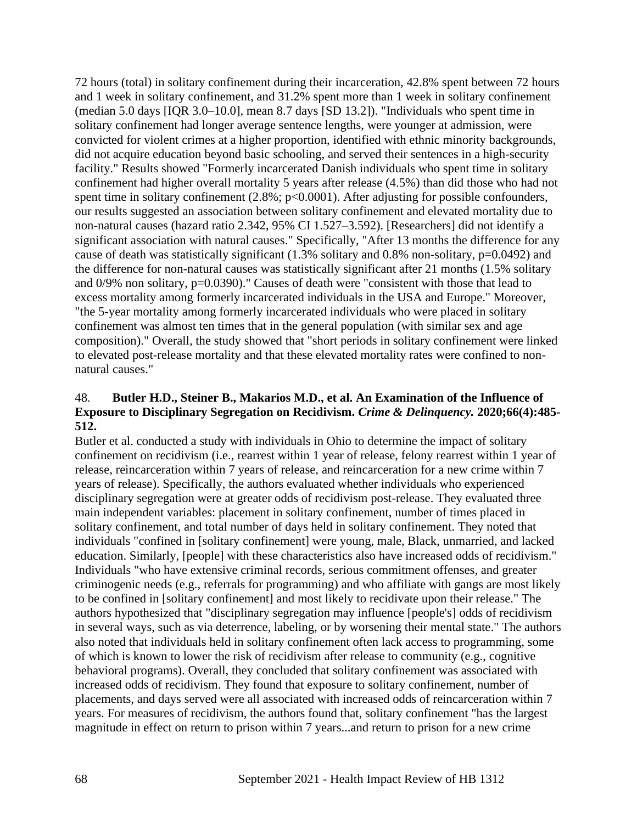72 hours (total) in solitary confinement during their incarceration, 42.8% spent between 72 hours and 1 week in solitary confinement, and 31.2% spent more than 1 week in solitary confinement (median 5.0 days [IQR 3.0–10.0], mean 8.7 days [SD 13.2]). "Individuals who spent time in solitary confinement had longer average sentence lengths, were younger at admission, were convicted for violent crimes at a higher proportion, identified with ethnic minority backgrounds, did not acquire education beyond basic schooling, and served their sentences in a high-security facility." Results showed "Formerly incarcerated Danish individuals who spent time in solitary confinement had higher overall mortality 5 years after release (4.5%) than did those who had not spent time in solitary confinement (2.8%; p<0.0001). After adjusting for possible confounders, our results suggested an association between solitary confinement and elevated mortality due to non-natural causes (hazard ratio 2.342, 95% CI 1.527–3.592). [Researchers] did not identify a significant association with natural causes." Specifically, "After 13 months the difference for any cause of death was statistically significant (1.3% solitary and 0.8% non-solitary, p=0.0492) and the difference for non-natural causes was statistically significant after 21 months (1.5% solitary and 0/9% non solitary, p=0.0390)." Causes of death were "consistent with those that lead to excess mortality among formerly incarcerated individuals in the USA and Europe." Moreover, "the 5-year mortality among formerly incarcerated individuals who were placed in solitary confinement was almost ten times that in the general population (with similar sex and age composition)." Overall, the study showed that "short periods in solitary confinement were linked to elevated post-release mortality and that these elevated mortality rates were confined to nonnatural causes."

#### 48. **Butler H.D., Steiner B., Makarios M.D., et al. An Examination of the Influence of Exposure to Disciplinary Segregation on Recidivism.** *Crime & Delinquency.* **2020;66(4):485- 512.**

Butler et al. conducted a study with individuals in Ohio to determine the impact of solitary confinement on recidivism (i.e., rearrest within 1 year of release, felony rearrest within 1 year of release, reincarceration within 7 years of release, and reincarceration for a new crime within 7 years of release). Specifically, the authors evaluated whether individuals who experienced disciplinary segregation were at greater odds of recidivism post-release. They evaluated three main independent variables: placement in solitary confinement, number of times placed in solitary confinement, and total number of days held in solitary confinement. They noted that individuals "confined in [solitary confinement] were young, male, Black, unmarried, and lacked education. Similarly, [people] with these characteristics also have increased odds of recidivism." Individuals "who have extensive criminal records, serious commitment offenses, and greater criminogenic needs (e.g., referrals for programming) and who affiliate with gangs are most likely to be confined in [solitary confinement] and most likely to recidivate upon their release." The authors hypothesized that "disciplinary segregation may influence [people's] odds of recidivism in several ways, such as via deterrence, labeling, or by worsening their mental state." The authors also noted that individuals held in solitary confinement often lack access to programming, some of which is known to lower the risk of recidivism after release to community (e.g., cognitive behavioral programs). Overall, they concluded that solitary confinement was associated with increased odds of recidivism. They found that exposure to solitary confinement, number of placements, and days served were all associated with increased odds of reincarceration within 7 years. For measures of recidivism, the authors found that, solitary confinement "has the largest magnitude in effect on return to prison within 7 years...and return to prison for a new crime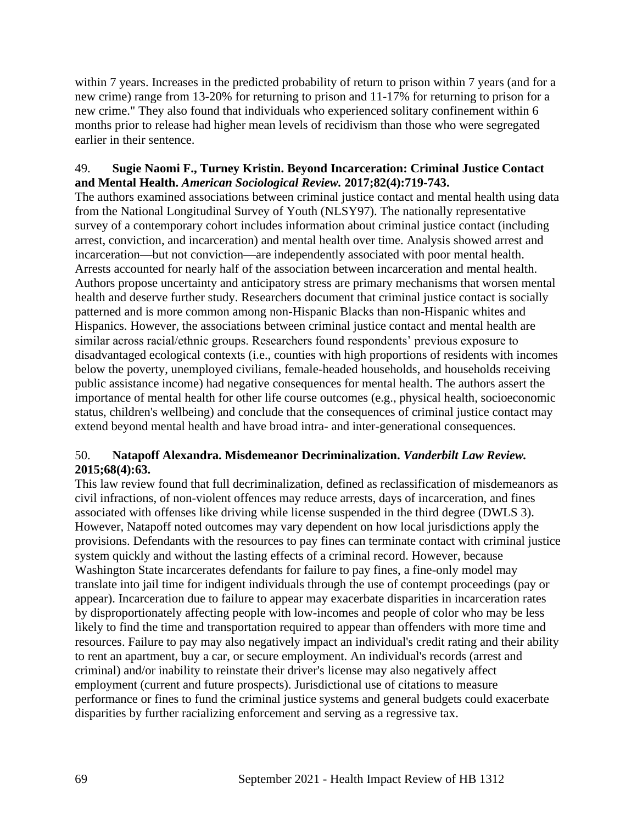within 7 years. Increases in the predicted probability of return to prison within 7 years (and for a new crime) range from 13-20% for returning to prison and 11-17% for returning to prison for a new crime." They also found that individuals who experienced solitary confinement within 6 months prior to release had higher mean levels of recidivism than those who were segregated earlier in their sentence.

### 49. **Sugie Naomi F., Turney Kristin. Beyond Incarceration: Criminal Justice Contact and Mental Health.** *American Sociological Review.* **2017;82(4):719-743.**

The authors examined associations between criminal justice contact and mental health using data from the National Longitudinal Survey of Youth (NLSY97). The nationally representative survey of a contemporary cohort includes information about criminal justice contact (including arrest, conviction, and incarceration) and mental health over time. Analysis showed arrest and incarceration—but not conviction—are independently associated with poor mental health. Arrests accounted for nearly half of the association between incarceration and mental health. Authors propose uncertainty and anticipatory stress are primary mechanisms that worsen mental health and deserve further study. Researchers document that criminal justice contact is socially patterned and is more common among non-Hispanic Blacks than non-Hispanic whites and Hispanics. However, the associations between criminal justice contact and mental health are similar across racial/ethnic groups. Researchers found respondents' previous exposure to disadvantaged ecological contexts (i.e., counties with high proportions of residents with incomes below the poverty, unemployed civilians, female-headed households, and households receiving public assistance income) had negative consequences for mental health. The authors assert the importance of mental health for other life course outcomes (e.g., physical health, socioeconomic status, children's wellbeing) and conclude that the consequences of criminal justice contact may extend beyond mental health and have broad intra- and inter-generational consequences.

# 50. **Natapoff Alexandra. Misdemeanor Decriminalization.** *Vanderbilt Law Review.*  **2015;68(4):63.**

This law review found that full decriminalization, defined as reclassification of misdemeanors as civil infractions, of non-violent offences may reduce arrests, days of incarceration, and fines associated with offenses like driving while license suspended in the third degree (DWLS 3). However, Natapoff noted outcomes may vary dependent on how local jurisdictions apply the provisions. Defendants with the resources to pay fines can terminate contact with criminal justice system quickly and without the lasting effects of a criminal record. However, because Washington State incarcerates defendants for failure to pay fines, a fine-only model may translate into jail time for indigent individuals through the use of contempt proceedings (pay or appear). Incarceration due to failure to appear may exacerbate disparities in incarceration rates by disproportionately affecting people with low-incomes and people of color who may be less likely to find the time and transportation required to appear than offenders with more time and resources. Failure to pay may also negatively impact an individual's credit rating and their ability to rent an apartment, buy a car, or secure employment. An individual's records (arrest and criminal) and/or inability to reinstate their driver's license may also negatively affect employment (current and future prospects). Jurisdictional use of citations to measure performance or fines to fund the criminal justice systems and general budgets could exacerbate disparities by further racializing enforcement and serving as a regressive tax.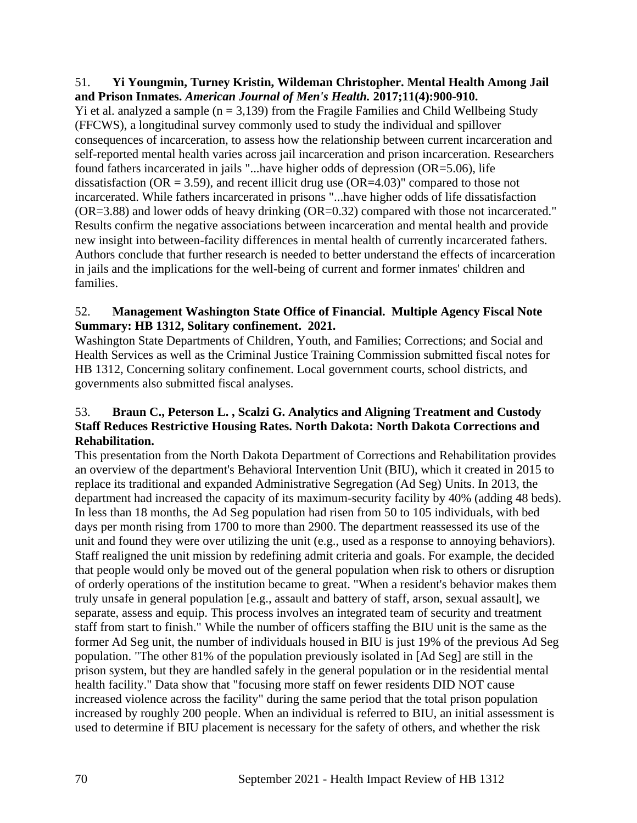#### 51. **Yi Youngmin, Turney Kristin, Wildeman Christopher. Mental Health Among Jail and Prison Inmates.** *American Journal of Men's Health.* **2017;11(4):900-910.**

Yi et al. analyzed a sample  $(n = 3,139)$  from the Fragile Families and Child Wellbeing Study (FFCWS), a longitudinal survey commonly used to study the individual and spillover consequences of incarceration, to assess how the relationship between current incarceration and self-reported mental health varies across jail incarceration and prison incarceration. Researchers found fathers incarcerated in jails "...have higher odds of depression (OR=5.06), life dissatisfaction ( $OR = 3.59$ ), and recent illicit drug use ( $OR = 4.03$ )" compared to those not incarcerated. While fathers incarcerated in prisons "...have higher odds of life dissatisfaction (OR=3.88) and lower odds of heavy drinking (OR=0.32) compared with those not incarcerated." Results confirm the negative associations between incarceration and mental health and provide new insight into between-facility differences in mental health of currently incarcerated fathers. Authors conclude that further research is needed to better understand the effects of incarceration in jails and the implications for the well-being of current and former inmates' children and families.

# 52. **Management Washington State Office of Financial. Multiple Agency Fiscal Note Summary: HB 1312, Solitary confinement. 2021.**

Washington State Departments of Children, Youth, and Families; Corrections; and Social and Health Services as well as the Criminal Justice Training Commission submitted fiscal notes for HB 1312, Concerning solitary confinement. Local government courts, school districts, and governments also submitted fiscal analyses.

# 53. **Braun C., Peterson L. , Scalzi G. Analytics and Aligning Treatment and Custody Staff Reduces Restrictive Housing Rates. North Dakota: North Dakota Corrections and Rehabilitation.**

This presentation from the North Dakota Department of Corrections and Rehabilitation provides an overview of the department's Behavioral Intervention Unit (BIU), which it created in 2015 to replace its traditional and expanded Administrative Segregation (Ad Seg) Units. In 2013, the department had increased the capacity of its maximum-security facility by 40% (adding 48 beds). In less than 18 months, the Ad Seg population had risen from 50 to 105 individuals, with bed days per month rising from 1700 to more than 2900. The department reassessed its use of the unit and found they were over utilizing the unit (e.g., used as a response to annoying behaviors). Staff realigned the unit mission by redefining admit criteria and goals. For example, the decided that people would only be moved out of the general population when risk to others or disruption of orderly operations of the institution became to great. "When a resident's behavior makes them truly unsafe in general population [e.g., assault and battery of staff, arson, sexual assault], we separate, assess and equip. This process involves an integrated team of security and treatment staff from start to finish." While the number of officers staffing the BIU unit is the same as the former Ad Seg unit, the number of individuals housed in BIU is just 19% of the previous Ad Seg population. "The other 81% of the population previously isolated in [Ad Seg] are still in the prison system, but they are handled safely in the general population or in the residential mental health facility." Data show that "focusing more staff on fewer residents DID NOT cause increased violence across the facility" during the same period that the total prison population increased by roughly 200 people. When an individual is referred to BIU, an initial assessment is used to determine if BIU placement is necessary for the safety of others, and whether the risk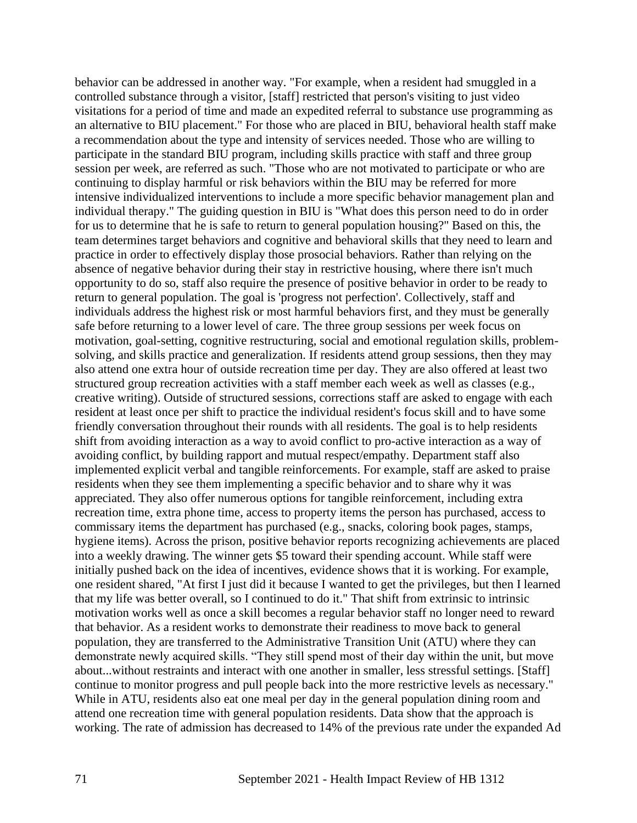behavior can be addressed in another way. "For example, when a resident had smuggled in a controlled substance through a visitor, [staff] restricted that person's visiting to just video visitations for a period of time and made an expedited referral to substance use programming as an alternative to BIU placement." For those who are placed in BIU, behavioral health staff make a recommendation about the type and intensity of services needed. Those who are willing to participate in the standard BIU program, including skills practice with staff and three group session per week, are referred as such. "Those who are not motivated to participate or who are continuing to display harmful or risk behaviors within the BIU may be referred for more intensive individualized interventions to include a more specific behavior management plan and individual therapy." The guiding question in BIU is "What does this person need to do in order for us to determine that he is safe to return to general population housing?" Based on this, the team determines target behaviors and cognitive and behavioral skills that they need to learn and practice in order to effectively display those prosocial behaviors. Rather than relying on the absence of negative behavior during their stay in restrictive housing, where there isn't much opportunity to do so, staff also require the presence of positive behavior in order to be ready to return to general population. The goal is 'progress not perfection'. Collectively, staff and individuals address the highest risk or most harmful behaviors first, and they must be generally safe before returning to a lower level of care. The three group sessions per week focus on motivation, goal-setting, cognitive restructuring, social and emotional regulation skills, problemsolving, and skills practice and generalization. If residents attend group sessions, then they may also attend one extra hour of outside recreation time per day. They are also offered at least two structured group recreation activities with a staff member each week as well as classes (e.g., creative writing). Outside of structured sessions, corrections staff are asked to engage with each resident at least once per shift to practice the individual resident's focus skill and to have some friendly conversation throughout their rounds with all residents. The goal is to help residents shift from avoiding interaction as a way to avoid conflict to pro-active interaction as a way of avoiding conflict, by building rapport and mutual respect/empathy. Department staff also implemented explicit verbal and tangible reinforcements. For example, staff are asked to praise residents when they see them implementing a specific behavior and to share why it was appreciated. They also offer numerous options for tangible reinforcement, including extra recreation time, extra phone time, access to property items the person has purchased, access to commissary items the department has purchased (e.g., snacks, coloring book pages, stamps, hygiene items). Across the prison, positive behavior reports recognizing achievements are placed into a weekly drawing. The winner gets \$5 toward their spending account. While staff were initially pushed back on the idea of incentives, evidence shows that it is working. For example, one resident shared, "At first I just did it because I wanted to get the privileges, but then I learned that my life was better overall, so I continued to do it." That shift from extrinsic to intrinsic motivation works well as once a skill becomes a regular behavior staff no longer need to reward that behavior. As a resident works to demonstrate their readiness to move back to general population, they are transferred to the Administrative Transition Unit (ATU) where they can demonstrate newly acquired skills. "They still spend most of their day within the unit, but move about...without restraints and interact with one another in smaller, less stressful settings. [Staff] continue to monitor progress and pull people back into the more restrictive levels as necessary." While in ATU, residents also eat one meal per day in the general population dining room and attend one recreation time with general population residents. Data show that the approach is working. The rate of admission has decreased to 14% of the previous rate under the expanded Ad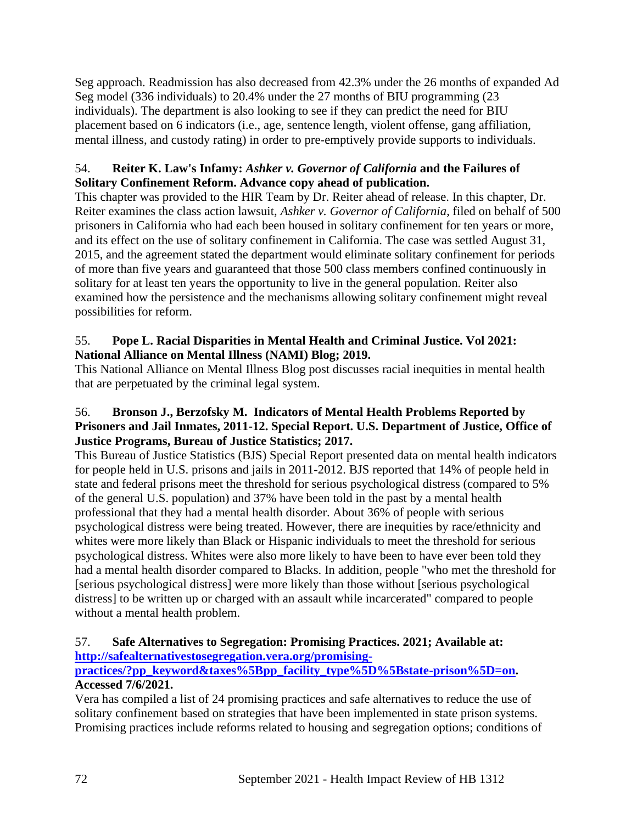Seg approach. Readmission has also decreased from 42.3% under the 26 months of expanded Ad Seg model (336 individuals) to 20.4% under the 27 months of BIU programming (23 individuals). The department is also looking to see if they can predict the need for BIU placement based on 6 indicators (i.e., age, sentence length, violent offense, gang affiliation, mental illness, and custody rating) in order to pre-emptively provide supports to individuals.

# 54. **Reiter K. Law's Infamy:** *Ashker v. Governor of California* **and the Failures of Solitary Confinement Reform. Advance copy ahead of publication.**

This chapter was provided to the HIR Team by Dr. Reiter ahead of release. In this chapter, Dr. Reiter examines the class action lawsuit, *Ashker v. Governor of California*, filed on behalf of 500 prisoners in California who had each been housed in solitary confinement for ten years or more, and its effect on the use of solitary confinement in California. The case was settled August 31, 2015, and the agreement stated the department would eliminate solitary confinement for periods of more than five years and guaranteed that those 500 class members confined continuously in solitary for at least ten years the opportunity to live in the general population. Reiter also examined how the persistence and the mechanisms allowing solitary confinement might reveal possibilities for reform.

# 55. **Pope L. Racial Disparities in Mental Health and Criminal Justice. Vol 2021: National Alliance on Mental Illness (NAMI) Blog; 2019.**

This National Alliance on Mental Illness Blog post discusses racial inequities in mental health that are perpetuated by the criminal legal system.

# 56. **Bronson J., Berzofsky M. Indicators of Mental Health Problems Reported by Prisoners and Jail Inmates, 2011-12. Special Report. U.S. Department of Justice, Office of Justice Programs, Bureau of Justice Statistics; 2017.**

This Bureau of Justice Statistics (BJS) Special Report presented data on mental health indicators for people held in U.S. prisons and jails in 2011-2012. BJS reported that 14% of people held in state and federal prisons meet the threshold for serious psychological distress (compared to 5% of the general U.S. population) and 37% have been told in the past by a mental health professional that they had a mental health disorder. About 36% of people with serious psychological distress were being treated. However, there are inequities by race/ethnicity and whites were more likely than Black or Hispanic individuals to meet the threshold for serious psychological distress. Whites were also more likely to have been to have ever been told they had a mental health disorder compared to Blacks. In addition, people "who met the threshold for [serious psychological distress] were more likely than those without [serious psychological distress] to be written up or charged with an assault while incarcerated" compared to people without a mental health problem.

### 57. **Safe Alternatives to Segregation: Promising Practices. 2021; Available at: [http://safealternativestosegregation.vera.org/promising-](http://safealternativestosegregation.vera.org/promising-practices/?pp_keyword&taxes%5Bpp_facility_type%5D%5Bstate-prison%5D=on)**

# **[practices/?pp\\_keyword&taxes%5Bpp\\_facility\\_type%5D%5Bstate-prison%5D=on.](http://safealternativestosegregation.vera.org/promising-practices/?pp_keyword&taxes%5Bpp_facility_type%5D%5Bstate-prison%5D=on) Accessed 7/6/2021.**

Vera has compiled a list of 24 promising practices and safe alternatives to reduce the use of solitary confinement based on strategies that have been implemented in state prison systems. Promising practices include reforms related to housing and segregation options; conditions of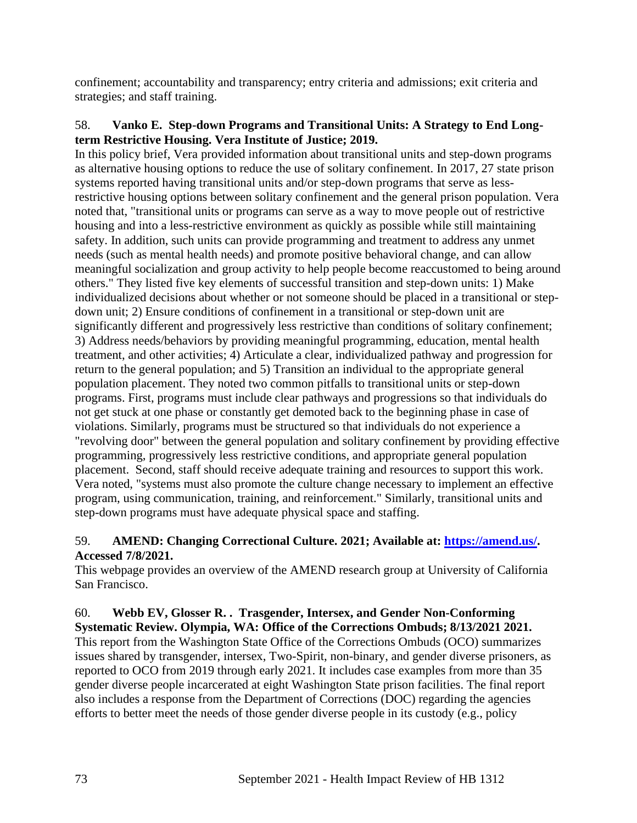confinement; accountability and transparency; entry criteria and admissions; exit criteria and strategies; and staff training.

#### 58. **Vanko E. Step-down Programs and Transitional Units: A Strategy to End Longterm Restrictive Housing. Vera Institute of Justice; 2019.**

In this policy brief, Vera provided information about transitional units and step-down programs as alternative housing options to reduce the use of solitary confinement. In 2017, 27 state prison systems reported having transitional units and/or step-down programs that serve as lessrestrictive housing options between solitary confinement and the general prison population. Vera noted that, "transitional units or programs can serve as a way to move people out of restrictive housing and into a less-restrictive environment as quickly as possible while still maintaining safety. In addition, such units can provide programming and treatment to address any unmet needs (such as mental health needs) and promote positive behavioral change, and can allow meaningful socialization and group activity to help people become reaccustomed to being around others." They listed five key elements of successful transition and step-down units: 1) Make individualized decisions about whether or not someone should be placed in a transitional or stepdown unit; 2) Ensure conditions of confinement in a transitional or step-down unit are significantly different and progressively less restrictive than conditions of solitary confinement; 3) Address needs/behaviors by providing meaningful programming, education, mental health treatment, and other activities; 4) Articulate a clear, individualized pathway and progression for return to the general population; and 5) Transition an individual to the appropriate general population placement. They noted two common pitfalls to transitional units or step-down programs. First, programs must include clear pathways and progressions so that individuals do not get stuck at one phase or constantly get demoted back to the beginning phase in case of violations. Similarly, programs must be structured so that individuals do not experience a "revolving door" between the general population and solitary confinement by providing effective programming, progressively less restrictive conditions, and appropriate general population placement. Second, staff should receive adequate training and resources to support this work. Vera noted, "systems must also promote the culture change necessary to implement an effective program, using communication, training, and reinforcement." Similarly, transitional units and step-down programs must have adequate physical space and staffing.

## 59. **AMEND: Changing Correctional Culture. 2021; Available at: [https://amend.us/.](https://amend.us/) Accessed 7/8/2021.**

This webpage provides an overview of the AMEND research group at University of California San Francisco.

#### 60. **Webb EV, Glosser R. . Trasgender, Intersex, and Gender Non-Conforming Systematic Review. Olympia, WA: Office of the Corrections Ombuds; 8/13/2021 2021.**

This report from the Washington State Office of the Corrections Ombuds (OCO) summarizes issues shared by transgender, intersex, Two-Spirit, non-binary, and gender diverse prisoners, as reported to OCO from 2019 through early 2021. It includes case examples from more than 35 gender diverse people incarcerated at eight Washington State prison facilities. The final report also includes a response from the Department of Corrections (DOC) regarding the agencies efforts to better meet the needs of those gender diverse people in its custody (e.g., policy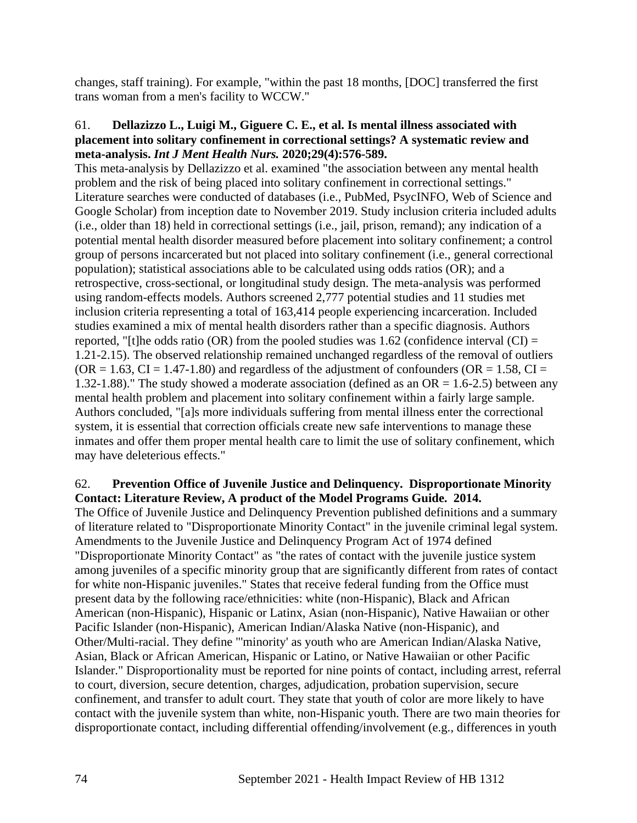changes, staff training). For example, "within the past 18 months, [DOC] transferred the first trans woman from a men's facility to WCCW."

#### 61. **Dellazizzo L., Luigi M., Giguere C. E., et al. Is mental illness associated with placement into solitary confinement in correctional settings? A systematic review and meta-analysis.** *Int J Ment Health Nurs.* **2020;29(4):576-589.**

This meta-analysis by Dellazizzo et al. examined "the association between any mental health problem and the risk of being placed into solitary confinement in correctional settings." Literature searches were conducted of databases (i.e., PubMed, PsycINFO, Web of Science and Google Scholar) from inception date to November 2019. Study inclusion criteria included adults (i.e., older than 18) held in correctional settings (i.e., jail, prison, remand); any indication of a potential mental health disorder measured before placement into solitary confinement; a control group of persons incarcerated but not placed into solitary confinement (i.e., general correctional population); statistical associations able to be calculated using odds ratios (OR); and a retrospective, cross-sectional, or longitudinal study design. The meta-analysis was performed using random-effects models. Authors screened 2,777 potential studies and 11 studies met inclusion criteria representing a total of 163,414 people experiencing incarceration. Included studies examined a mix of mental health disorders rather than a specific diagnosis. Authors reported, "[t]he odds ratio (OR) from the pooled studies was  $1.62$  (confidence interval (CI) = 1.21-2.15). The observed relationship remained unchanged regardless of the removal of outliers  $(OR = 1.63, CI = 1.47-1.80)$  and regardless of the adjustment of confounders  $(OR = 1.58, CI = 1.58)$ 1.32-1.88)." The study showed a moderate association (defined as an  $OR = 1.6$ -2.5) between any mental health problem and placement into solitary confinement within a fairly large sample. Authors concluded, "[a]s more individuals suffering from mental illness enter the correctional system, it is essential that correction officials create new safe interventions to manage these inmates and offer them proper mental health care to limit the use of solitary confinement, which may have deleterious effects."

## 62. **Prevention Office of Juvenile Justice and Delinquency. Disproportionate Minority Contact: Literature Review, A product of the Model Programs Guide. 2014.**

The Office of Juvenile Justice and Delinquency Prevention published definitions and a summary of literature related to "Disproportionate Minority Contact" in the juvenile criminal legal system. Amendments to the Juvenile Justice and Delinquency Program Act of 1974 defined "Disproportionate Minority Contact" as "the rates of contact with the juvenile justice system among juveniles of a specific minority group that are significantly different from rates of contact for white non-Hispanic juveniles." States that receive federal funding from the Office must present data by the following race/ethnicities: white (non-Hispanic), Black and African American (non-Hispanic), Hispanic or Latinx, Asian (non-Hispanic), Native Hawaiian or other Pacific Islander (non-Hispanic), American Indian/Alaska Native (non-Hispanic), and Other/Multi-racial. They define "'minority' as youth who are American Indian/Alaska Native, Asian, Black or African American, Hispanic or Latino, or Native Hawaiian or other Pacific Islander." Disproportionality must be reported for nine points of contact, including arrest, referral to court, diversion, secure detention, charges, adjudication, probation supervision, secure confinement, and transfer to adult court. They state that youth of color are more likely to have contact with the juvenile system than white, non-Hispanic youth. There are two main theories for disproportionate contact, including differential offending/involvement (e.g., differences in youth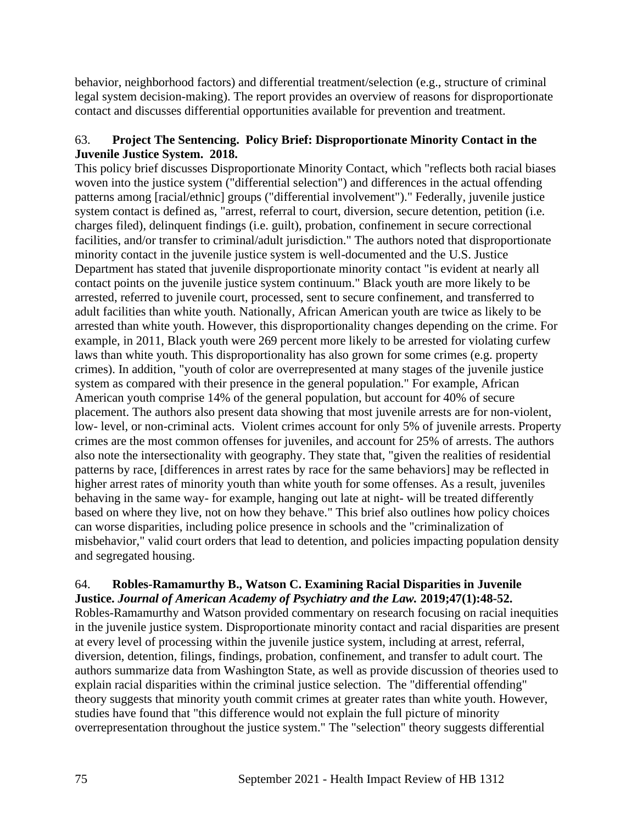behavior, neighborhood factors) and differential treatment/selection (e.g., structure of criminal legal system decision-making). The report provides an overview of reasons for disproportionate contact and discusses differential opportunities available for prevention and treatment.

## 63. **Project The Sentencing. Policy Brief: Disproportionate Minority Contact in the Juvenile Justice System. 2018.**

This policy brief discusses Disproportionate Minority Contact, which "reflects both racial biases woven into the justice system ("differential selection") and differences in the actual offending patterns among [racial/ethnic] groups ("differential involvement")." Federally, juvenile justice system contact is defined as, "arrest, referral to court, diversion, secure detention, petition (i.e. charges filed), delinquent findings (i.e. guilt), probation, confinement in secure correctional facilities, and/or transfer to criminal/adult jurisdiction." The authors noted that disproportionate minority contact in the juvenile justice system is well-documented and the U.S. Justice Department has stated that juvenile disproportionate minority contact "is evident at nearly all contact points on the juvenile justice system continuum." Black youth are more likely to be arrested, referred to juvenile court, processed, sent to secure confinement, and transferred to adult facilities than white youth. Nationally, African American youth are twice as likely to be arrested than white youth. However, this disproportionality changes depending on the crime. For example, in 2011, Black youth were 269 percent more likely to be arrested for violating curfew laws than white youth. This disproportionality has also grown for some crimes (e.g. property crimes). In addition, "youth of color are overrepresented at many stages of the juvenile justice system as compared with their presence in the general population." For example, African American youth comprise 14% of the general population, but account for 40% of secure placement. The authors also present data showing that most juvenile arrests are for non-violent, low- level, or non-criminal acts. Violent crimes account for only 5% of juvenile arrests. Property crimes are the most common offenses for juveniles, and account for 25% of arrests. The authors also note the intersectionality with geography. They state that, "given the realities of residential patterns by race, [differences in arrest rates by race for the same behaviors] may be reflected in higher arrest rates of minority youth than white youth for some offenses. As a result, juveniles behaving in the same way- for example, hanging out late at night- will be treated differently based on where they live, not on how they behave." This brief also outlines how policy choices can worse disparities, including police presence in schools and the "criminalization of misbehavior," valid court orders that lead to detention, and policies impacting population density and segregated housing.

#### 64. **Robles-Ramamurthy B., Watson C. Examining Racial Disparities in Juvenile Justice.** *Journal of American Academy of Psychiatry and the Law.* **2019;47(1):48-52.**

Robles-Ramamurthy and Watson provided commentary on research focusing on racial inequities in the juvenile justice system. Disproportionate minority contact and racial disparities are present at every level of processing within the juvenile justice system, including at arrest, referral, diversion, detention, filings, findings, probation, confinement, and transfer to adult court. The authors summarize data from Washington State, as well as provide discussion of theories used to explain racial disparities within the criminal justice selection. The "differential offending" theory suggests that minority youth commit crimes at greater rates than white youth. However, studies have found that "this difference would not explain the full picture of minority overrepresentation throughout the justice system." The "selection" theory suggests differential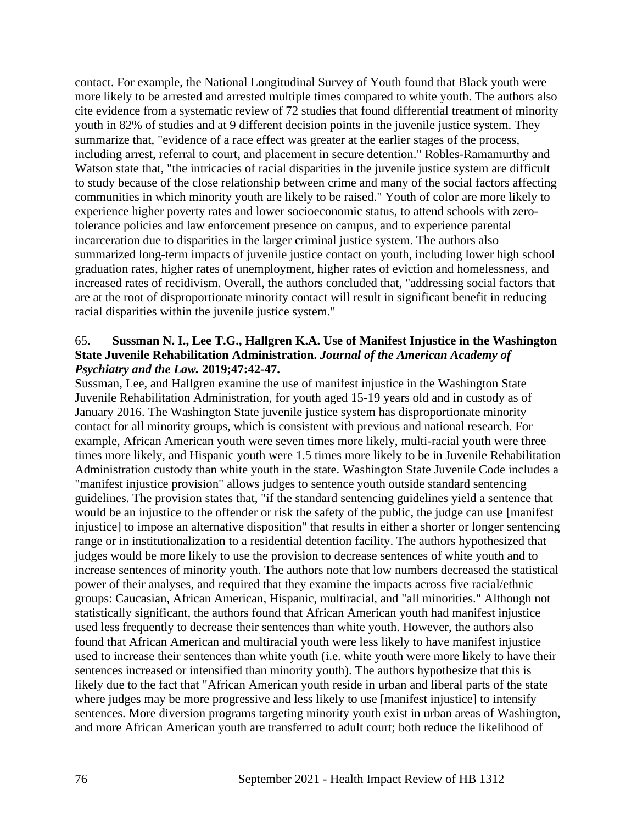contact. For example, the National Longitudinal Survey of Youth found that Black youth were more likely to be arrested and arrested multiple times compared to white youth. The authors also cite evidence from a systematic review of 72 studies that found differential treatment of minority youth in 82% of studies and at 9 different decision points in the juvenile justice system. They summarize that, "evidence of a race effect was greater at the earlier stages of the process, including arrest, referral to court, and placement in secure detention." Robles-Ramamurthy and Watson state that, "the intricacies of racial disparities in the juvenile justice system are difficult to study because of the close relationship between crime and many of the social factors affecting communities in which minority youth are likely to be raised." Youth of color are more likely to experience higher poverty rates and lower socioeconomic status, to attend schools with zerotolerance policies and law enforcement presence on campus, and to experience parental incarceration due to disparities in the larger criminal justice system. The authors also summarized long-term impacts of juvenile justice contact on youth, including lower high school graduation rates, higher rates of unemployment, higher rates of eviction and homelessness, and increased rates of recidivism. Overall, the authors concluded that, "addressing social factors that are at the root of disproportionate minority contact will result in significant benefit in reducing racial disparities within the juvenile justice system."

#### 65. **Sussman N. I., Lee T.G., Hallgren K.A. Use of Manifest Injustice in the Washington State Juvenile Rehabilitation Administration.** *Journal of the American Academy of Psychiatry and the Law.* **2019;47:42-47.**

Sussman, Lee, and Hallgren examine the use of manifest injustice in the Washington State Juvenile Rehabilitation Administration, for youth aged 15-19 years old and in custody as of January 2016. The Washington State juvenile justice system has disproportionate minority contact for all minority groups, which is consistent with previous and national research. For example, African American youth were seven times more likely, multi-racial youth were three times more likely, and Hispanic youth were 1.5 times more likely to be in Juvenile Rehabilitation Administration custody than white youth in the state. Washington State Juvenile Code includes a "manifest injustice provision" allows judges to sentence youth outside standard sentencing guidelines. The provision states that, "if the standard sentencing guidelines yield a sentence that would be an injustice to the offender or risk the safety of the public, the judge can use [manifest injustice] to impose an alternative disposition" that results in either a shorter or longer sentencing range or in institutionalization to a residential detention facility. The authors hypothesized that judges would be more likely to use the provision to decrease sentences of white youth and to increase sentences of minority youth. The authors note that low numbers decreased the statistical power of their analyses, and required that they examine the impacts across five racial/ethnic groups: Caucasian, African American, Hispanic, multiracial, and "all minorities." Although not statistically significant, the authors found that African American youth had manifest injustice used less frequently to decrease their sentences than white youth. However, the authors also found that African American and multiracial youth were less likely to have manifest injustice used to increase their sentences than white youth (i.e. white youth were more likely to have their sentences increased or intensified than minority youth). The authors hypothesize that this is likely due to the fact that "African American youth reside in urban and liberal parts of the state where judges may be more progressive and less likely to use [manifest injustice] to intensify sentences. More diversion programs targeting minority youth exist in urban areas of Washington, and more African American youth are transferred to adult court; both reduce the likelihood of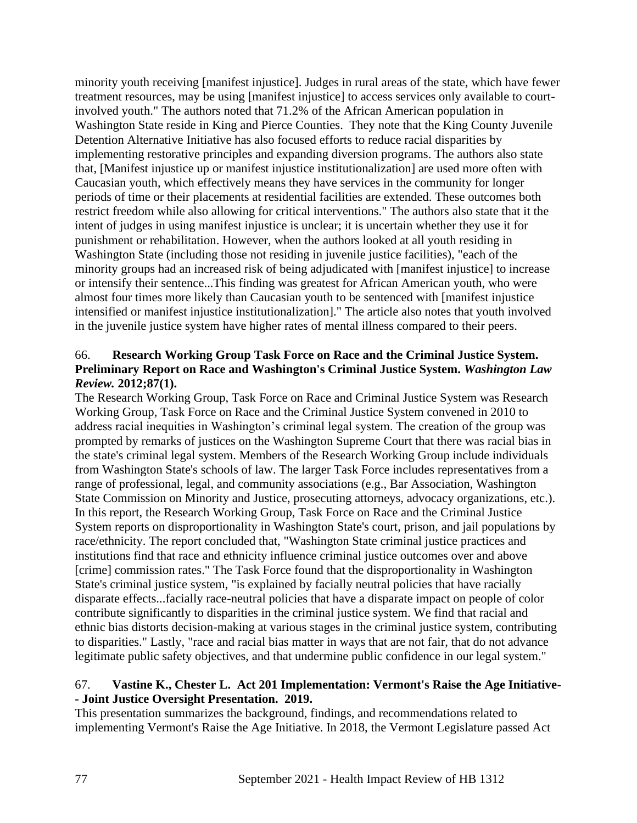minority youth receiving [manifest injustice]. Judges in rural areas of the state, which have fewer treatment resources, may be using [manifest injustice] to access services only available to courtinvolved youth." The authors noted that 71.2% of the African American population in Washington State reside in King and Pierce Counties. They note that the King County Juvenile Detention Alternative Initiative has also focused efforts to reduce racial disparities by implementing restorative principles and expanding diversion programs. The authors also state that, [Manifest injustice up or manifest injustice institutionalization] are used more often with Caucasian youth, which effectively means they have services in the community for longer periods of time or their placements at residential facilities are extended. These outcomes both restrict freedom while also allowing for critical interventions." The authors also state that it the intent of judges in using manifest injustice is unclear; it is uncertain whether they use it for punishment or rehabilitation. However, when the authors looked at all youth residing in Washington State (including those not residing in juvenile justice facilities), "each of the minority groups had an increased risk of being adjudicated with [manifest injustice] to increase or intensify their sentence...This finding was greatest for African American youth, who were almost four times more likely than Caucasian youth to be sentenced with [manifest injustice intensified or manifest injustice institutionalization]." The article also notes that youth involved in the juvenile justice system have higher rates of mental illness compared to their peers.

## 66. **Research Working Group Task Force on Race and the Criminal Justice System. Preliminary Report on Race and Washington's Criminal Justice System.** *Washington Law Review.* **2012;87(1).**

The Research Working Group, Task Force on Race and Criminal Justice System was Research Working Group, Task Force on Race and the Criminal Justice System convened in 2010 to address racial inequities in Washington's criminal legal system. The creation of the group was prompted by remarks of justices on the Washington Supreme Court that there was racial bias in the state's criminal legal system. Members of the Research Working Group include individuals from Washington State's schools of law. The larger Task Force includes representatives from a range of professional, legal, and community associations (e.g., Bar Association, Washington State Commission on Minority and Justice, prosecuting attorneys, advocacy organizations, etc.). In this report, the Research Working Group, Task Force on Race and the Criminal Justice System reports on disproportionality in Washington State's court, prison, and jail populations by race/ethnicity. The report concluded that, "Washington State criminal justice practices and institutions find that race and ethnicity influence criminal justice outcomes over and above [crime] commission rates." The Task Force found that the disproportionality in Washington State's criminal justice system, "is explained by facially neutral policies that have racially disparate effects...facially race-neutral policies that have a disparate impact on people of color contribute significantly to disparities in the criminal justice system. We find that racial and ethnic bias distorts decision-making at various stages in the criminal justice system, contributing to disparities." Lastly, "race and racial bias matter in ways that are not fair, that do not advance legitimate public safety objectives, and that undermine public confidence in our legal system."

#### 67. **Vastine K., Chester L. Act 201 Implementation: Vermont's Raise the Age Initiative- - Joint Justice Oversight Presentation. 2019.**

This presentation summarizes the background, findings, and recommendations related to implementing Vermont's Raise the Age Initiative. In 2018, the Vermont Legislature passed Act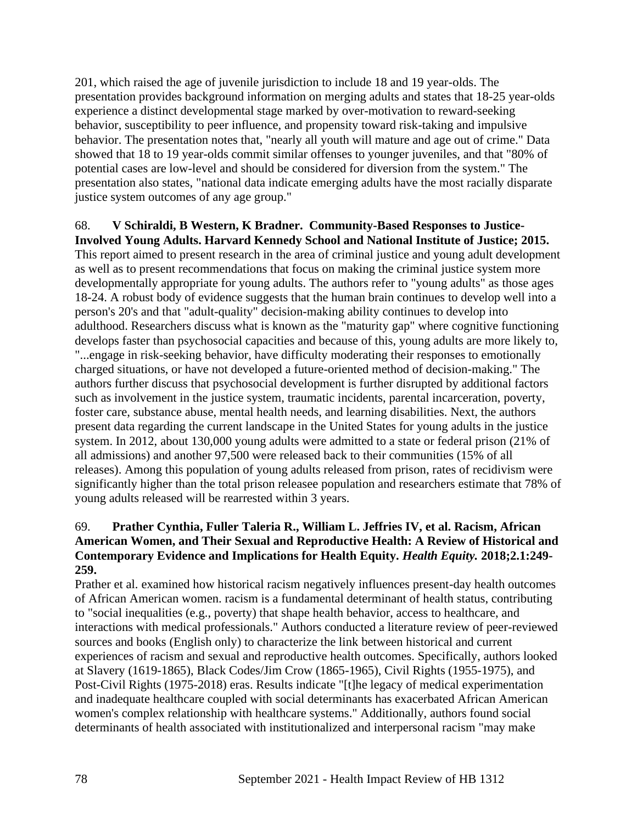201, which raised the age of juvenile jurisdiction to include 18 and 19 year-olds. The presentation provides background information on merging adults and states that 18-25 year-olds experience a distinct developmental stage marked by over-motivation to reward-seeking behavior, susceptibility to peer influence, and propensity toward risk-taking and impulsive behavior. The presentation notes that, "nearly all youth will mature and age out of crime." Data showed that 18 to 19 year-olds commit similar offenses to younger juveniles, and that "80% of potential cases are low-level and should be considered for diversion from the system." The presentation also states, "national data indicate emerging adults have the most racially disparate justice system outcomes of any age group."

# 68. **V Schiraldi, B Western, K Bradner. Community-Based Responses to Justice-**

**Involved Young Adults. Harvard Kennedy School and National Institute of Justice; 2015.** This report aimed to present research in the area of criminal justice and young adult development as well as to present recommendations that focus on making the criminal justice system more developmentally appropriate for young adults. The authors refer to "young adults" as those ages 18-24. A robust body of evidence suggests that the human brain continues to develop well into a person's 20's and that "adult-quality" decision-making ability continues to develop into adulthood. Researchers discuss what is known as the "maturity gap" where cognitive functioning develops faster than psychosocial capacities and because of this, young adults are more likely to, "...engage in risk-seeking behavior, have difficulty moderating their responses to emotionally charged situations, or have not developed a future-oriented method of decision-making." The authors further discuss that psychosocial development is further disrupted by additional factors such as involvement in the justice system, traumatic incidents, parental incarceration, poverty, foster care, substance abuse, mental health needs, and learning disabilities. Next, the authors present data regarding the current landscape in the United States for young adults in the justice system. In 2012, about 130,000 young adults were admitted to a state or federal prison (21% of all admissions) and another 97,500 were released back to their communities (15% of all releases). Among this population of young adults released from prison, rates of recidivism were significantly higher than the total prison releasee population and researchers estimate that 78% of young adults released will be rearrested within 3 years.

## 69. **Prather Cynthia, Fuller Taleria R., William L. Jeffries IV, et al. Racism, African American Women, and Their Sexual and Reproductive Health: A Review of Historical and Contemporary Evidence and Implications for Health Equity.** *Health Equity.* **2018;2.1:249- 259.**

Prather et al. examined how historical racism negatively influences present-day health outcomes of African American women. racism is a fundamental determinant of health status, contributing to "social inequalities (e.g., poverty) that shape health behavior, access to healthcare, and interactions with medical professionals." Authors conducted a literature review of peer-reviewed sources and books (English only) to characterize the link between historical and current experiences of racism and sexual and reproductive health outcomes. Specifically, authors looked at Slavery (1619-1865), Black Codes/Jim Crow (1865-1965), Civil Rights (1955-1975), and Post-Civil Rights (1975-2018) eras. Results indicate "[t]he legacy of medical experimentation and inadequate healthcare coupled with social determinants has exacerbated African American women's complex relationship with healthcare systems." Additionally, authors found social determinants of health associated with institutionalized and interpersonal racism "may make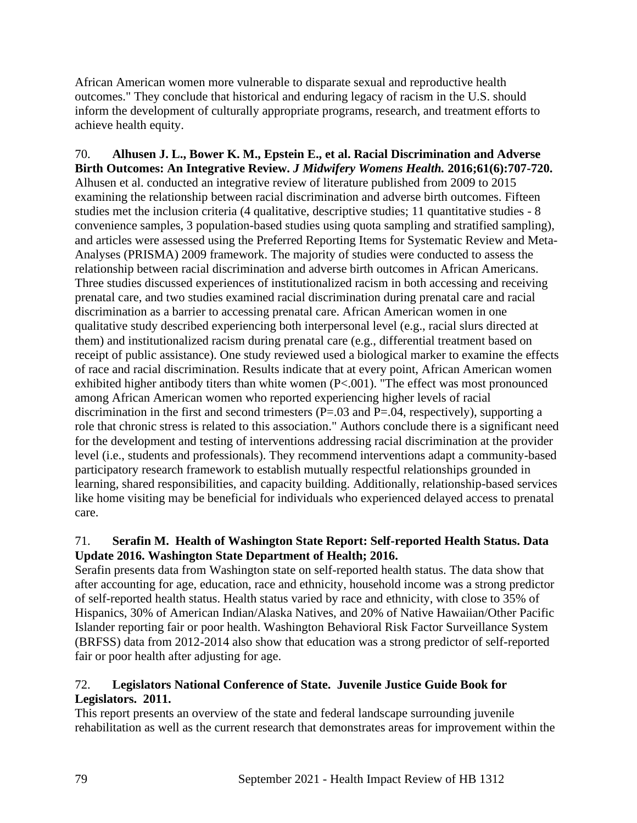African American women more vulnerable to disparate sexual and reproductive health outcomes." They conclude that historical and enduring legacy of racism in the U.S. should inform the development of culturally appropriate programs, research, and treatment efforts to achieve health equity.

70. **Alhusen J. L., Bower K. M., Epstein E., et al. Racial Discrimination and Adverse Birth Outcomes: An Integrative Review.** *J Midwifery Womens Health.* **2016;61(6):707-720.** Alhusen et al. conducted an integrative review of literature published from 2009 to 2015 examining the relationship between racial discrimination and adverse birth outcomes. Fifteen studies met the inclusion criteria (4 qualitative, descriptive studies; 11 quantitative studies - 8 convenience samples, 3 population-based studies using quota sampling and stratified sampling), and articles were assessed using the Preferred Reporting Items for Systematic Review and Meta-Analyses (PRISMA) 2009 framework. The majority of studies were conducted to assess the relationship between racial discrimination and adverse birth outcomes in African Americans. Three studies discussed experiences of institutionalized racism in both accessing and receiving prenatal care, and two studies examined racial discrimination during prenatal care and racial discrimination as a barrier to accessing prenatal care. African American women in one qualitative study described experiencing both interpersonal level (e.g., racial slurs directed at them) and institutionalized racism during prenatal care (e.g., differential treatment based on receipt of public assistance). One study reviewed used a biological marker to examine the effects of race and racial discrimination. Results indicate that at every point, African American women exhibited higher antibody titers than white women (P<.001). "The effect was most pronounced among African American women who reported experiencing higher levels of racial discrimination in the first and second trimesters  $(P=.03$  and  $P=.04$ , respectively), supporting a role that chronic stress is related to this association." Authors conclude there is a significant need for the development and testing of interventions addressing racial discrimination at the provider level (i.e., students and professionals). They recommend interventions adapt a community-based participatory research framework to establish mutually respectful relationships grounded in learning, shared responsibilities, and capacity building. Additionally, relationship-based services like home visiting may be beneficial for individuals who experienced delayed access to prenatal care.

## 71. **Serafin M. Health of Washington State Report: Self-reported Health Status. Data Update 2016. Washington State Department of Health; 2016.**

Serafin presents data from Washington state on self-reported health status. The data show that after accounting for age, education, race and ethnicity, household income was a strong predictor of self-reported health status. Health status varied by race and ethnicity, with close to 35% of Hispanics, 30% of American Indian/Alaska Natives, and 20% of Native Hawaiian/Other Pacific Islander reporting fair or poor health. Washington Behavioral Risk Factor Surveillance System (BRFSS) data from 2012-2014 also show that education was a strong predictor of self-reported fair or poor health after adjusting for age.

## 72. **Legislators National Conference of State. Juvenile Justice Guide Book for Legislators. 2011.**

This report presents an overview of the state and federal landscape surrounding juvenile rehabilitation as well as the current research that demonstrates areas for improvement within the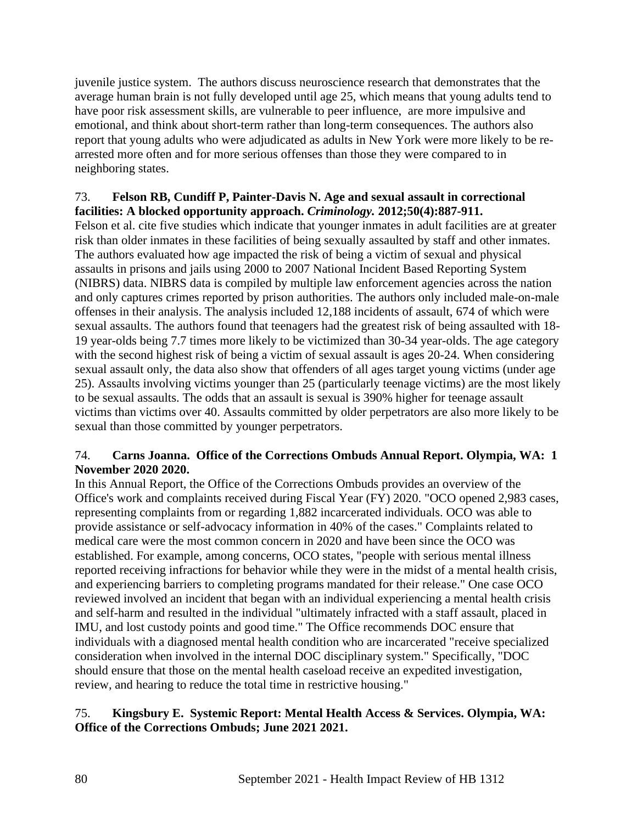juvenile justice system. The authors discuss neuroscience research that demonstrates that the average human brain is not fully developed until age 25, which means that young adults tend to have poor risk assessment skills, are vulnerable to peer influence, are more impulsive and emotional, and think about short-term rather than long-term consequences. The authors also report that young adults who were adjudicated as adults in New York were more likely to be rearrested more often and for more serious offenses than those they were compared to in neighboring states.

## 73. **Felson RB, Cundiff P, Painter-Davis N. Age and sexual assault in correctional facilities: A blocked opportunity approach.** *Criminology.* **2012;50(4):887-911.**

Felson et al. cite five studies which indicate that younger inmates in adult facilities are at greater risk than older inmates in these facilities of being sexually assaulted by staff and other inmates. The authors evaluated how age impacted the risk of being a victim of sexual and physical assaults in prisons and jails using 2000 to 2007 National Incident Based Reporting System (NIBRS) data. NIBRS data is compiled by multiple law enforcement agencies across the nation and only captures crimes reported by prison authorities. The authors only included male-on-male offenses in their analysis. The analysis included 12,188 incidents of assault, 674 of which were sexual assaults. The authors found that teenagers had the greatest risk of being assaulted with 18- 19 year-olds being 7.7 times more likely to be victimized than 30-34 year-olds. The age category with the second highest risk of being a victim of sexual assault is ages 20-24. When considering sexual assault only, the data also show that offenders of all ages target young victims (under age 25). Assaults involving victims younger than 25 (particularly teenage victims) are the most likely to be sexual assaults. The odds that an assault is sexual is 390% higher for teenage assault victims than victims over 40. Assaults committed by older perpetrators are also more likely to be sexual than those committed by younger perpetrators.

## 74. **Carns Joanna. Office of the Corrections Ombuds Annual Report. Olympia, WA: 1 November 2020 2020.**

In this Annual Report, the Office of the Corrections Ombuds provides an overview of the Office's work and complaints received during Fiscal Year (FY) 2020. "OCO opened 2,983 cases, representing complaints from or regarding 1,882 incarcerated individuals. OCO was able to provide assistance or self-advocacy information in 40% of the cases." Complaints related to medical care were the most common concern in 2020 and have been since the OCO was established. For example, among concerns, OCO states, "people with serious mental illness reported receiving infractions for behavior while they were in the midst of a mental health crisis, and experiencing barriers to completing programs mandated for their release." One case OCO reviewed involved an incident that began with an individual experiencing a mental health crisis and self-harm and resulted in the individual "ultimately infracted with a staff assault, placed in IMU, and lost custody points and good time." The Office recommends DOC ensure that individuals with a diagnosed mental health condition who are incarcerated "receive specialized consideration when involved in the internal DOC disciplinary system." Specifically, "DOC should ensure that those on the mental health caseload receive an expedited investigation, review, and hearing to reduce the total time in restrictive housing."

## 75. **Kingsbury E. Systemic Report: Mental Health Access & Services. Olympia, WA: Office of the Corrections Ombuds; June 2021 2021.**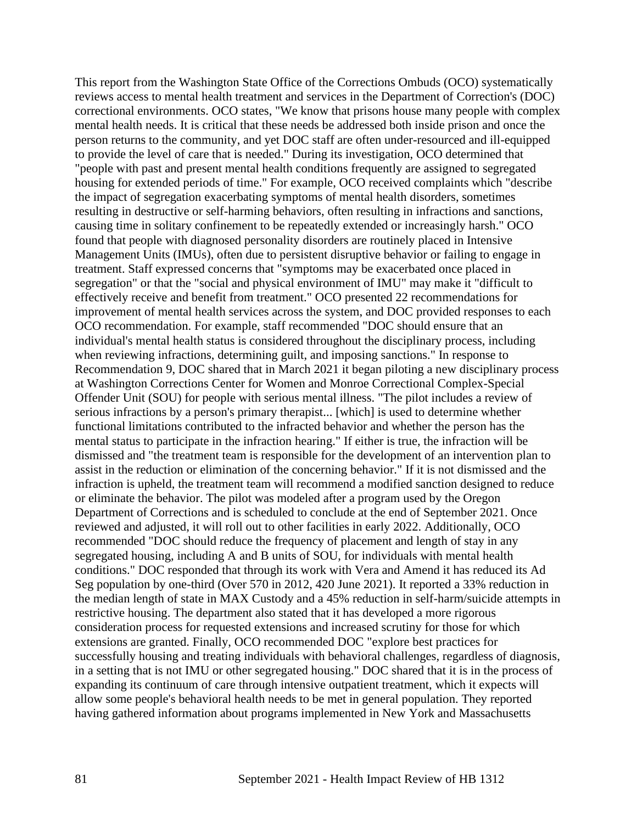This report from the Washington State Office of the Corrections Ombuds (OCO) systematically reviews access to mental health treatment and services in the Department of Correction's (DOC) correctional environments. OCO states, "We know that prisons house many people with complex mental health needs. It is critical that these needs be addressed both inside prison and once the person returns to the community, and yet DOC staff are often under-resourced and ill-equipped to provide the level of care that is needed." During its investigation, OCO determined that "people with past and present mental health conditions frequently are assigned to segregated housing for extended periods of time." For example, OCO received complaints which "describe the impact of segregation exacerbating symptoms of mental health disorders, sometimes resulting in destructive or self-harming behaviors, often resulting in infractions and sanctions, causing time in solitary confinement to be repeatedly extended or increasingly harsh." OCO found that people with diagnosed personality disorders are routinely placed in Intensive Management Units (IMUs), often due to persistent disruptive behavior or failing to engage in treatment. Staff expressed concerns that "symptoms may be exacerbated once placed in segregation" or that the "social and physical environment of IMU" may make it "difficult to effectively receive and benefit from treatment." OCO presented 22 recommendations for improvement of mental health services across the system, and DOC provided responses to each OCO recommendation. For example, staff recommended "DOC should ensure that an individual's mental health status is considered throughout the disciplinary process, including when reviewing infractions, determining guilt, and imposing sanctions." In response to Recommendation 9, DOC shared that in March 2021 it began piloting a new disciplinary process at Washington Corrections Center for Women and Monroe Correctional Complex-Special Offender Unit (SOU) for people with serious mental illness. "The pilot includes a review of serious infractions by a person's primary therapist... [which] is used to determine whether functional limitations contributed to the infracted behavior and whether the person has the mental status to participate in the infraction hearing." If either is true, the infraction will be dismissed and "the treatment team is responsible for the development of an intervention plan to assist in the reduction or elimination of the concerning behavior." If it is not dismissed and the infraction is upheld, the treatment team will recommend a modified sanction designed to reduce or eliminate the behavior. The pilot was modeled after a program used by the Oregon Department of Corrections and is scheduled to conclude at the end of September 2021. Once reviewed and adjusted, it will roll out to other facilities in early 2022. Additionally, OCO recommended "DOC should reduce the frequency of placement and length of stay in any segregated housing, including A and B units of SOU, for individuals with mental health conditions." DOC responded that through its work with Vera and Amend it has reduced its Ad Seg population by one-third (Over 570 in 2012, 420 June 2021). It reported a 33% reduction in the median length of state in MAX Custody and a 45% reduction in self-harm/suicide attempts in restrictive housing. The department also stated that it has developed a more rigorous consideration process for requested extensions and increased scrutiny for those for which extensions are granted. Finally, OCO recommended DOC "explore best practices for successfully housing and treating individuals with behavioral challenges, regardless of diagnosis, in a setting that is not IMU or other segregated housing." DOC shared that it is in the process of expanding its continuum of care through intensive outpatient treatment, which it expects will allow some people's behavioral health needs to be met in general population. They reported having gathered information about programs implemented in New York and Massachusetts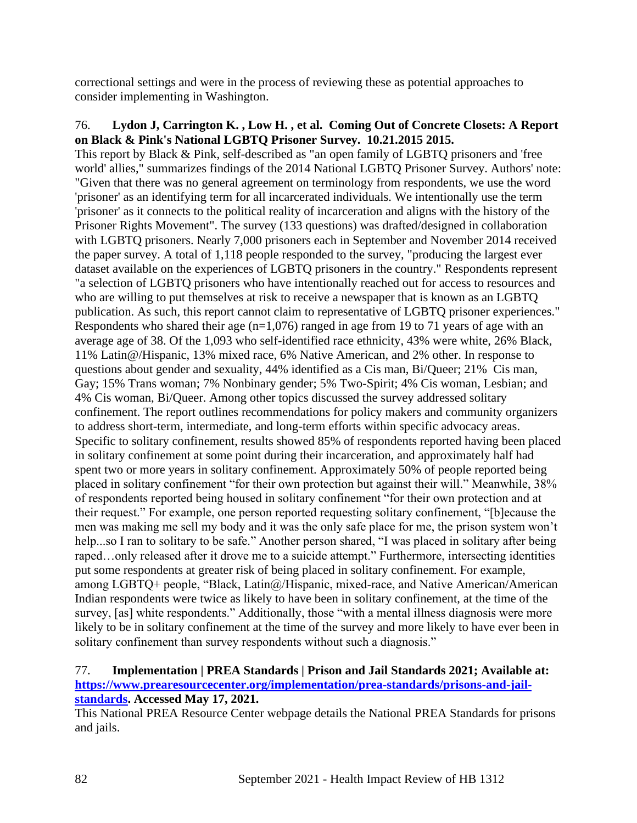correctional settings and were in the process of reviewing these as potential approaches to consider implementing in Washington.

#### 76. **Lydon J, Carrington K. , Low H. , et al. Coming Out of Concrete Closets: A Report on Black & Pink's National LGBTQ Prisoner Survey. 10.21.2015 2015.**

This report by Black & Pink, self-described as "an open family of LGBTQ prisoners and 'free world' allies," summarizes findings of the 2014 National LGBTQ Prisoner Survey. Authors' note: "Given that there was no general agreement on terminology from respondents, we use the word 'prisoner' as an identifying term for all incarcerated individuals. We intentionally use the term 'prisoner' as it connects to the political reality of incarceration and aligns with the history of the Prisoner Rights Movement". The survey (133 questions) was drafted/designed in collaboration with LGBTQ prisoners. Nearly 7,000 prisoners each in September and November 2014 received the paper survey. A total of 1,118 people responded to the survey, "producing the largest ever dataset available on the experiences of LGBTQ prisoners in the country." Respondents represent "a selection of LGBTQ prisoners who have intentionally reached out for access to resources and who are willing to put themselves at risk to receive a newspaper that is known as an LGBTQ publication. As such, this report cannot claim to representative of LGBTQ prisoner experiences." Respondents who shared their age  $(n=1,076)$  ranged in age from 19 to 71 years of age with an average age of 38. Of the 1,093 who self-identified race ethnicity, 43% were white, 26% Black, 11% Latin@/Hispanic, 13% mixed race, 6% Native American, and 2% other. In response to questions about gender and sexuality, 44% identified as a Cis man, Bi/Queer; 21% Cis man, Gay; 15% Trans woman; 7% Nonbinary gender; 5% Two-Spirit; 4% Cis woman, Lesbian; and 4% Cis woman, Bi/Queer. Among other topics discussed the survey addressed solitary confinement. The report outlines recommendations for policy makers and community organizers to address short-term, intermediate, and long-term efforts within specific advocacy areas. Specific to solitary confinement, results showed 85% of respondents reported having been placed in solitary confinement at some point during their incarceration, and approximately half had spent two or more years in solitary confinement. Approximately 50% of people reported being placed in solitary confinement "for their own protection but against their will." Meanwhile, 38% of respondents reported being housed in solitary confinement "for their own protection and at their request." For example, one person reported requesting solitary confinement, "[b]ecause the men was making me sell my body and it was the only safe place for me, the prison system won't help...so I ran to solitary to be safe." Another person shared, "I was placed in solitary after being raped…only released after it drove me to a suicide attempt." Furthermore, intersecting identities put some respondents at greater risk of being placed in solitary confinement. For example, among LGBTQ+ people, "Black, Latin $\omega$ /Hispanic, mixed-race, and Native American/American Indian respondents were twice as likely to have been in solitary confinement, at the time of the survey, [as] white respondents." Additionally, those "with a mental illness diagnosis were more likely to be in solitary confinement at the time of the survey and more likely to have ever been in solitary confinement than survey respondents without such a diagnosis."

#### 77. **Implementation | PREA Standards | Prison and Jail Standards 2021; Available at: [https://www.prearesourcecenter.org/implementation/prea-standards/prisons-and-jail](https://www.prearesourcecenter.org/implementation/prea-standards/prisons-and-jail-standards)[standards.](https://www.prearesourcecenter.org/implementation/prea-standards/prisons-and-jail-standards) Accessed May 17, 2021.**

This National PREA Resource Center webpage details the National PREA Standards for prisons and jails.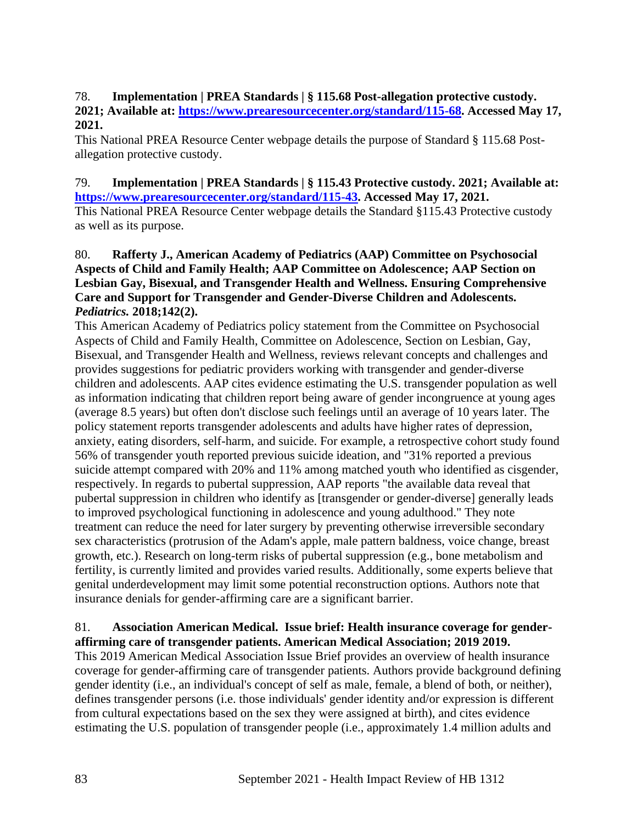## 78. **Implementation | PREA Standards | § 115.68 Post-allegation protective custody. 2021; Available at: [https://www.prearesourcecenter.org/standard/115-68.](https://www.prearesourcecenter.org/standard/115-68) Accessed May 17, 2021.**

This National PREA Resource Center webpage details the purpose of Standard § 115.68 Postallegation protective custody.

#### 79. **Implementation | PREA Standards | § 115.43 Protective custody. 2021; Available at: [https://www.prearesourcecenter.org/standard/115-43.](https://www.prearesourcecenter.org/standard/115-43) Accessed May 17, 2021.**

This National PREA Resource Center webpage details the Standard §115.43 Protective custody as well as its purpose.

## 80. **Rafferty J., American Academy of Pediatrics (AAP) Committee on Psychosocial Aspects of Child and Family Health; AAP Committee on Adolescence; AAP Section on Lesbian Gay, Bisexual, and Transgender Health and Wellness. Ensuring Comprehensive Care and Support for Transgender and Gender-Diverse Children and Adolescents.**  *Pediatrics.* **2018;142(2).**

This American Academy of Pediatrics policy statement from the Committee on Psychosocial Aspects of Child and Family Health, Committee on Adolescence, Section on Lesbian, Gay, Bisexual, and Transgender Health and Wellness, reviews relevant concepts and challenges and provides suggestions for pediatric providers working with transgender and gender-diverse children and adolescents. AAP cites evidence estimating the U.S. transgender population as well as information indicating that children report being aware of gender incongruence at young ages (average 8.5 years) but often don't disclose such feelings until an average of 10 years later. The policy statement reports transgender adolescents and adults have higher rates of depression, anxiety, eating disorders, self-harm, and suicide. For example, a retrospective cohort study found 56% of transgender youth reported previous suicide ideation, and "31% reported a previous suicide attempt compared with 20% and 11% among matched youth who identified as cisgender, respectively. In regards to pubertal suppression, AAP reports "the available data reveal that pubertal suppression in children who identify as [transgender or gender-diverse] generally leads to improved psychological functioning in adolescence and young adulthood." They note treatment can reduce the need for later surgery by preventing otherwise irreversible secondary sex characteristics (protrusion of the Adam's apple, male pattern baldness, voice change, breast growth, etc.). Research on long-term risks of pubertal suppression (e.g., bone metabolism and fertility, is currently limited and provides varied results. Additionally, some experts believe that genital underdevelopment may limit some potential reconstruction options. Authors note that insurance denials for gender-affirming care are a significant barrier.

## 81. **Association American Medical. Issue brief: Health insurance coverage for genderaffirming care of transgender patients. American Medical Association; 2019 2019.**

This 2019 American Medical Association Issue Brief provides an overview of health insurance coverage for gender-affirming care of transgender patients. Authors provide background defining gender identity (i.e., an individual's concept of self as male, female, a blend of both, or neither), defines transgender persons (i.e. those individuals' gender identity and/or expression is different from cultural expectations based on the sex they were assigned at birth), and cites evidence estimating the U.S. population of transgender people (i.e., approximately 1.4 million adults and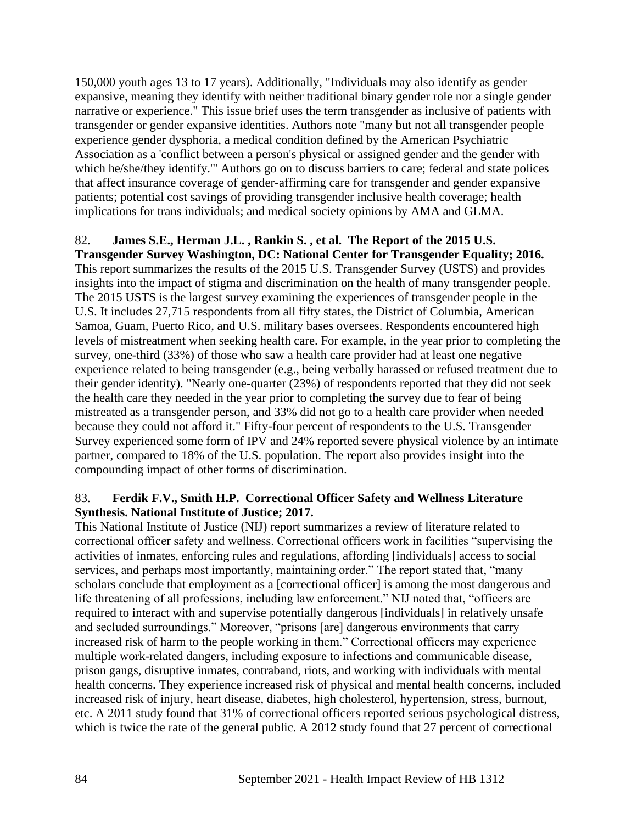150,000 youth ages 13 to 17 years). Additionally, "Individuals may also identify as gender expansive, meaning they identify with neither traditional binary gender role nor a single gender narrative or experience." This issue brief uses the term transgender as inclusive of patients with transgender or gender expansive identities. Authors note "many but not all transgender people experience gender dysphoria, a medical condition defined by the American Psychiatric Association as a 'conflict between a person's physical or assigned gender and the gender with which he/she/they identify.'" Authors go on to discuss barriers to care; federal and state polices that affect insurance coverage of gender-affirming care for transgender and gender expansive patients; potential cost savings of providing transgender inclusive health coverage; health implications for trans individuals; and medical society opinions by AMA and GLMA.

## 82. **James S.E., Herman J.L. , Rankin S. , et al. The Report of the 2015 U.S.**

**Transgender Survey Washington, DC: National Center for Transgender Equality; 2016.** This report summarizes the results of the 2015 U.S. Transgender Survey (USTS) and provides insights into the impact of stigma and discrimination on the health of many transgender people. The 2015 USTS is the largest survey examining the experiences of transgender people in the U.S. It includes 27,715 respondents from all fifty states, the District of Columbia, American Samoa, Guam, Puerto Rico, and U.S. military bases oversees. Respondents encountered high levels of mistreatment when seeking health care. For example, in the year prior to completing the survey, one-third (33%) of those who saw a health care provider had at least one negative experience related to being transgender (e.g., being verbally harassed or refused treatment due to their gender identity). "Nearly one-quarter (23%) of respondents reported that they did not seek the health care they needed in the year prior to completing the survey due to fear of being mistreated as a transgender person, and 33% did not go to a health care provider when needed because they could not afford it." Fifty-four percent of respondents to the U.S. Transgender Survey experienced some form of IPV and 24% reported severe physical violence by an intimate partner, compared to 18% of the U.S. population. The report also provides insight into the compounding impact of other forms of discrimination.

#### 83. **Ferdik F.V., Smith H.P. Correctional Officer Safety and Wellness Literature Synthesis. National Institute of Justice; 2017.**

This National Institute of Justice (NIJ) report summarizes a review of literature related to correctional officer safety and wellness. Correctional officers work in facilities "supervising the activities of inmates, enforcing rules and regulations, affording [individuals] access to social services, and perhaps most importantly, maintaining order." The report stated that, "many scholars conclude that employment as a [correctional officer] is among the most dangerous and life threatening of all professions, including law enforcement." NIJ noted that, "officers are required to interact with and supervise potentially dangerous [individuals] in relatively unsafe and secluded surroundings." Moreover, "prisons [are] dangerous environments that carry increased risk of harm to the people working in them." Correctional officers may experience multiple work-related dangers, including exposure to infections and communicable disease, prison gangs, disruptive inmates, contraband, riots, and working with individuals with mental health concerns. They experience increased risk of physical and mental health concerns, included increased risk of injury, heart disease, diabetes, high cholesterol, hypertension, stress, burnout, etc. A 2011 study found that 31% of correctional officers reported serious psychological distress, which is twice the rate of the general public. A 2012 study found that 27 percent of correctional